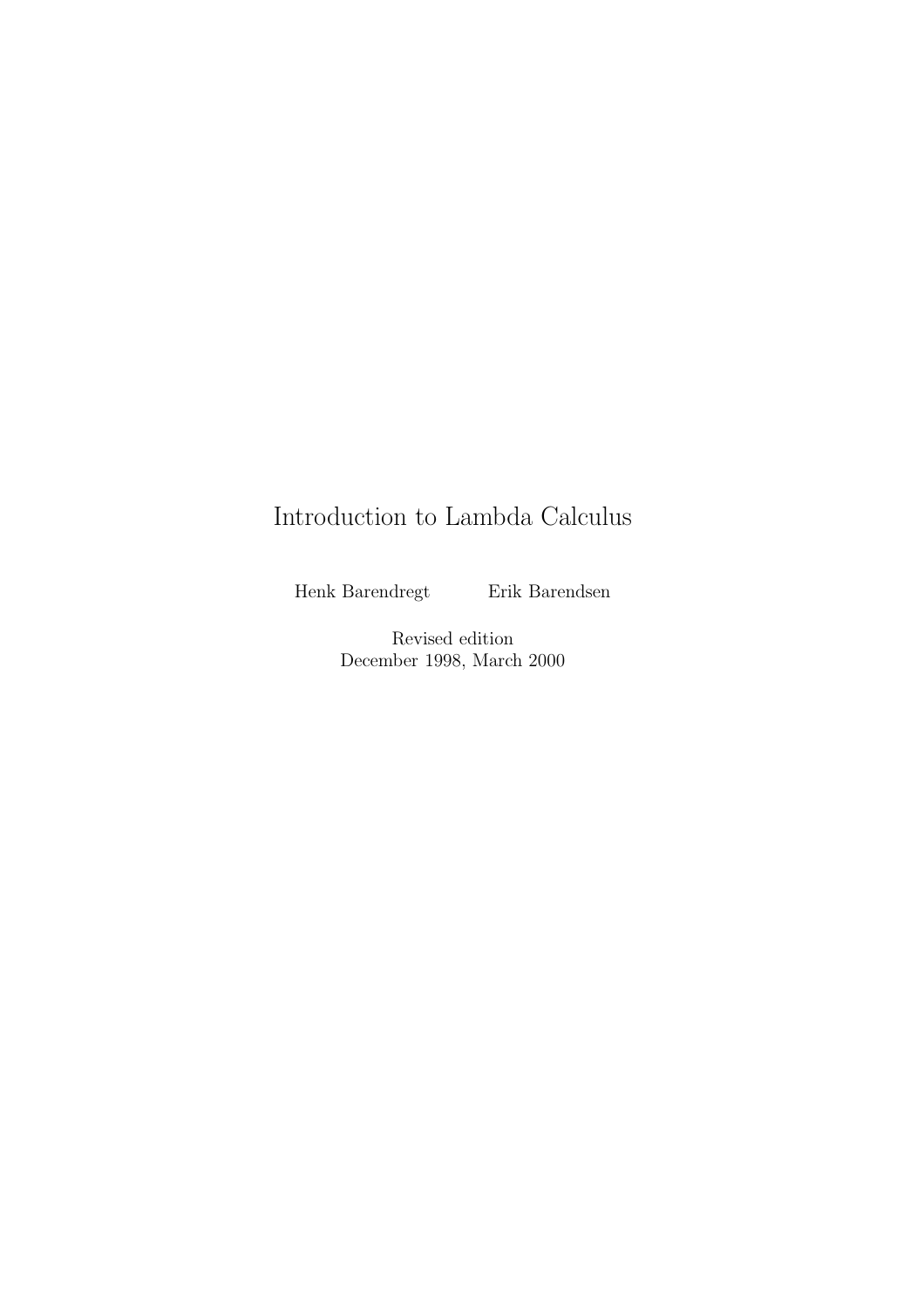# Introduction to Lambda Calculus

Henk Barendregt Erik Barendsen

Revised edition December 1998, March 2000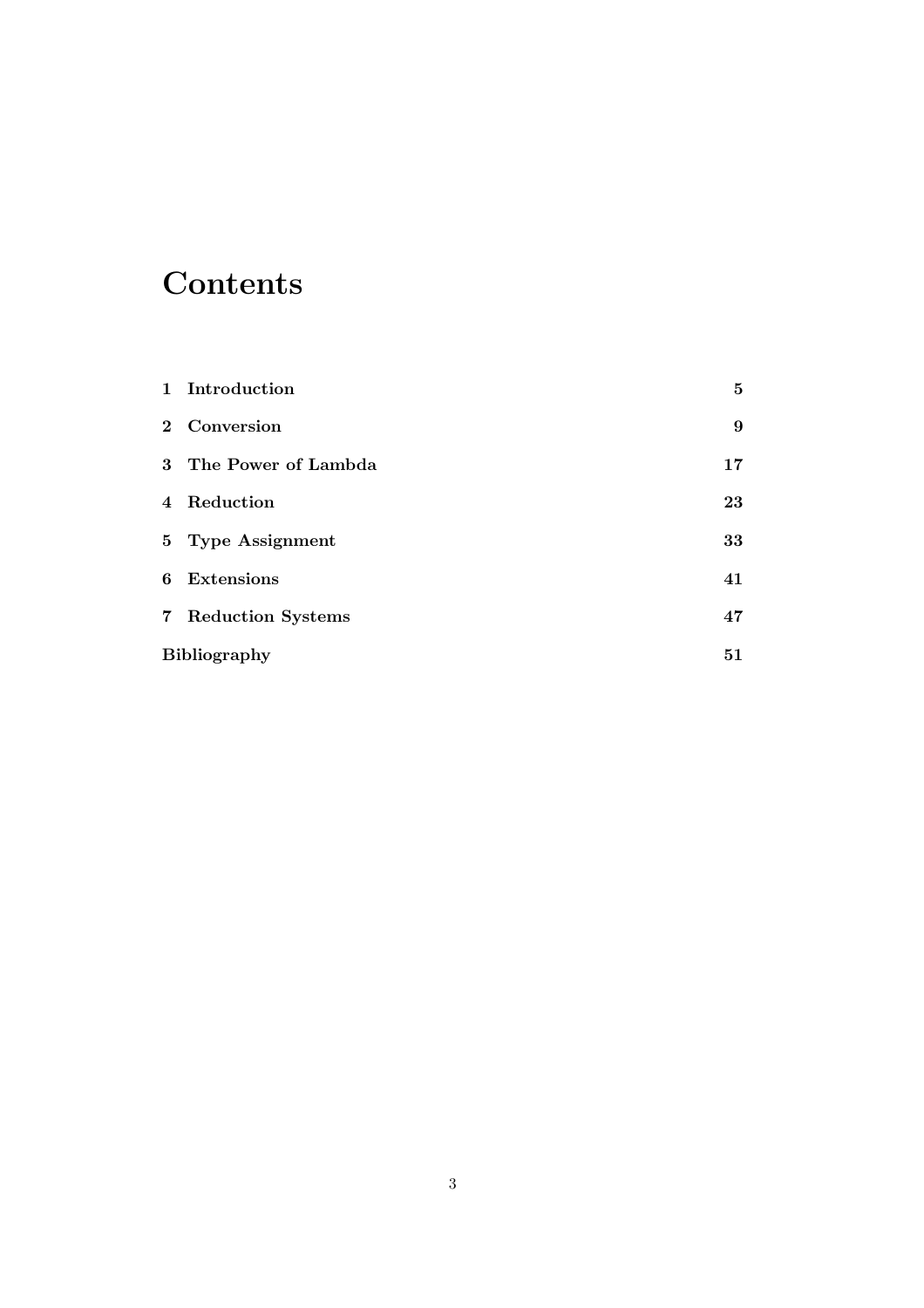# **Contents**

|   | 1 Introduction        | 5  |  |
|---|-----------------------|----|--|
|   | 2 Conversion          | 9  |  |
|   | 3 The Power of Lambda | 17 |  |
|   | 4 Reduction           | 23 |  |
|   | 5 Type Assignment     | 33 |  |
| 6 | <b>Extensions</b>     | 41 |  |
|   | 7 Reduction Systems   | 47 |  |
|   | Bibliography          |    |  |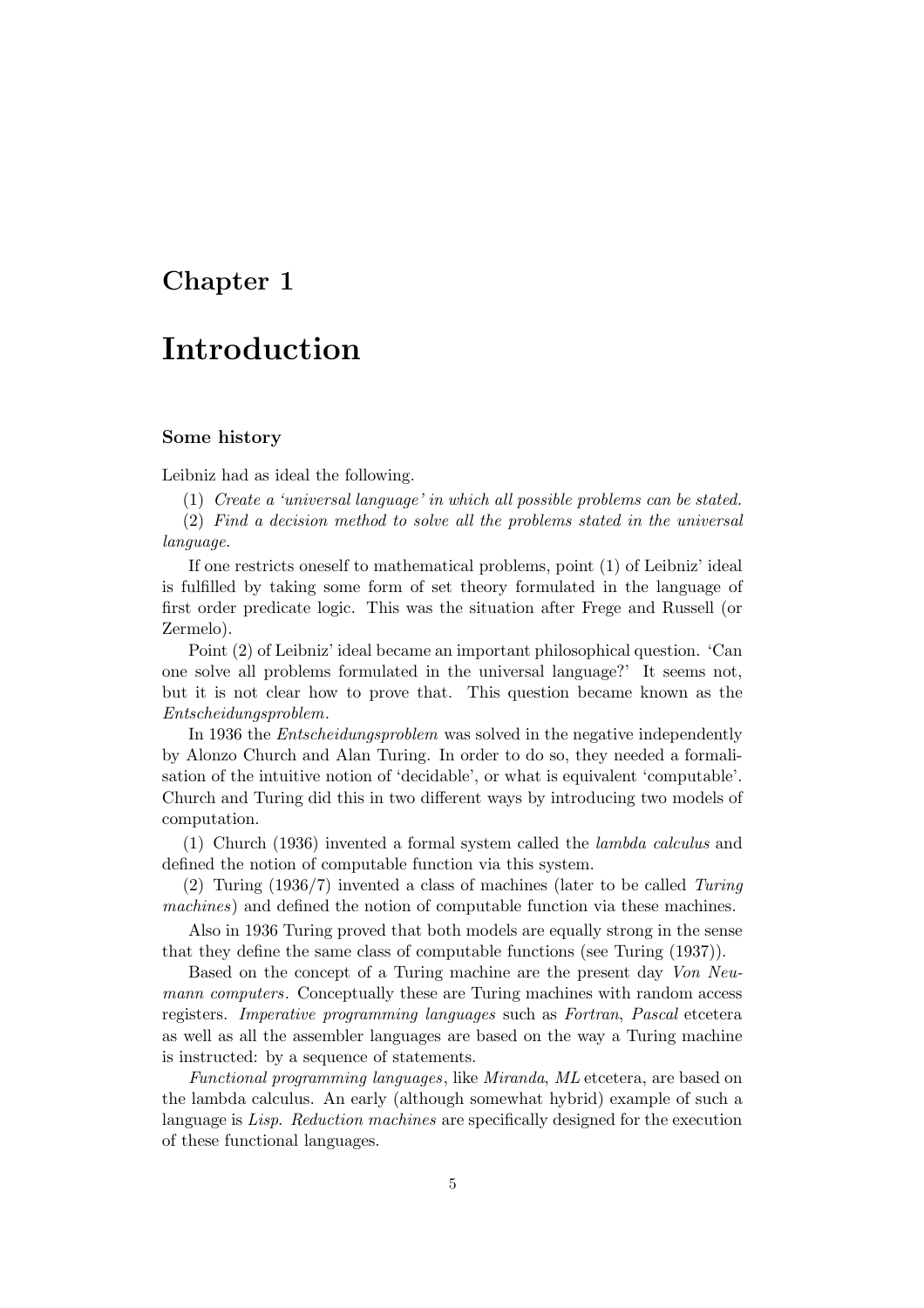## Chapter 1

# Introduction

### Some history

Leibniz had as ideal the following.

(1) Create a 'universal language' in which all possible problems can be stated.

(2) Find a decision method to solve all the problems stated in the universal language.

If one restricts oneself to mathematical problems, point (1) of Leibniz' ideal is fulfilled by taking some form of set theory formulated in the language of first order predicate logic. This was the situation after Frege and Russell (or Zermelo).

Point (2) of Leibniz' ideal became an important philosophical question. 'Can one solve all problems formulated in the universal language?' It seems not, but it is not clear how to prove that. This question became known as the Entscheidungsproblem.

In 1936 the Entscheidungsproblem was solved in the negative independently by Alonzo Church and Alan Turing. In order to do so, they needed a formalisation of the intuitive notion of 'decidable', or what is equivalent 'computable'. Church and Turing did this in two different ways by introducing two models of computation.

(1) Church (1936) invented a formal system called the lambda calculus and defined the notion of computable function via this system.

(2) Turing (1936/7) invented a class of machines (later to be called Turing machines) and defined the notion of computable function via these machines.

Also in 1936 Turing proved that both models are equally strong in the sense that they define the same class of computable functions (see Turing (1937)).

Based on the concept of a Turing machine are the present day Von Neumann computers. Conceptually these are Turing machines with random access registers. Imperative programming languages such as Fortran, Pascal etcetera as well as all the assembler languages are based on the way a Turing machine is instructed: by a sequence of statements.

Functional programming languages, like Miranda, ML etcetera, are based on the lambda calculus. An early (although somewhat hybrid) example of such a language is Lisp. Reduction machines are specifically designed for the execution of these functional languages.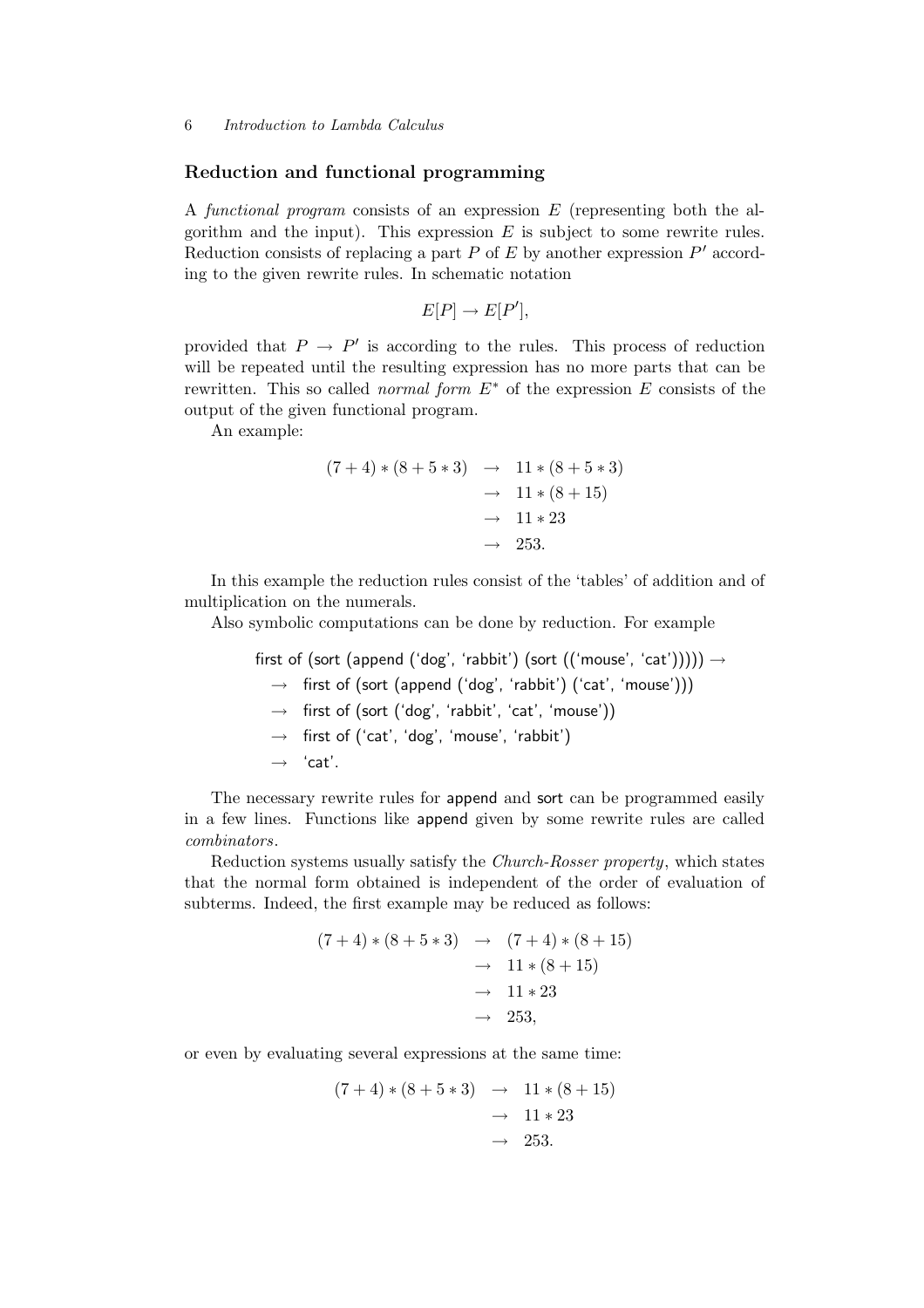### Reduction and functional programming

A functional program consists of an expression  $E$  (representing both the algorithm and the input). This expression  $E$  is subject to some rewrite rules. Reduction consists of replacing a part  $P$  of  $E$  by another expression  $P'$  according to the given rewrite rules. In schematic notation

$$
E[P] \to E[P'],
$$

provided that  $P \to P'$  is according to the rules. This process of reduction will be repeated until the resulting expression has no more parts that can be rewritten. This so called *normal form*  $E^*$  of the expression E consists of the output of the given functional program.

An example:

$$
(7+4)*(8+5*3) \rightarrow 11*(8+5*3)
$$

$$
\rightarrow 11*(8+15)
$$

$$
\rightarrow 11*23
$$

$$
\rightarrow 253.
$$

In this example the reduction rules consist of the 'tables' of addition and of multiplication on the numerals.

Also symbolic computations can be done by reduction. For example

first of (sort (append ('dog', 'rabbit') (sort (('mouse', 'cat')))))  $\rightarrow$  $\rightarrow$  first of (sort (append ('dog', 'rabbit') ('cat', 'mouse')))  $\rightarrow$  first of (sort ('dog', 'rabbit', 'cat', 'mouse'))  $\rightarrow$  first of ('cat', 'dog', 'mouse', 'rabbit')  $\rightarrow$  'cat'.

The necessary rewrite rules for append and sort can be programmed easily in a few lines. Functions like append given by some rewrite rules are called combinators.

Reduction systems usually satisfy the Church-Rosser property, which states that the normal form obtained is independent of the order of evaluation of subterms. Indeed, the first example may be reduced as follows:

$$
(7+4)*(8+5*3) \rightarrow (7+4)*(8+15)
$$

$$
\rightarrow 11*(8+15)
$$

$$
\rightarrow 11*23
$$

$$
\rightarrow 253,
$$

or even by evaluating several expressions at the same time:

$$
(7+4)*(8+5*3) \rightarrow 11*(8+15)
$$

$$
\rightarrow 11*23
$$

$$
\rightarrow 253.
$$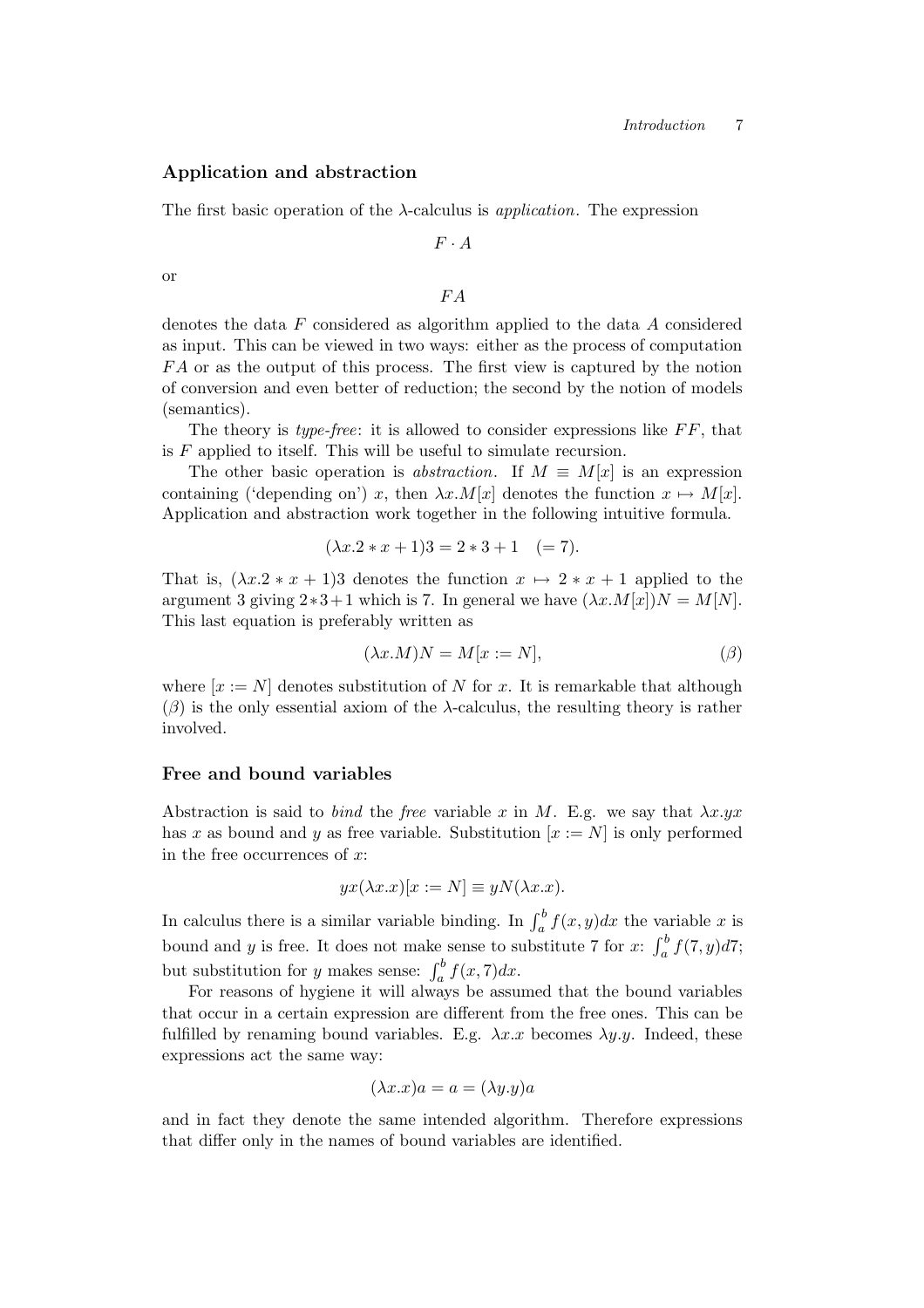### Application and abstraction

The first basic operation of the  $\lambda$ -calculus is *application*. The expression

 $F \cdot A$ 

or

#### FA

denotes the data F considered as algorithm applied to the data A considered as input. This can be viewed in two ways: either as the process of computation FA or as the output of this process. The first view is captured by the notion of conversion and even better of reduction; the second by the notion of models (semantics).

The theory is *type-free*: it is allowed to consider expressions like  $FF$ , that is F applied to itself. This will be useful to simulate recursion.

The other basic operation is *abstraction*. If  $M \equiv M[x]$  is an expression containing ('depending on') x, then  $\lambda x.M[x]$  denotes the function  $x \mapsto M[x]$ . Application and abstraction work together in the following intuitive formula.

$$
(\lambda x \cdot 2 * x + 1)3 = 2 * 3 + 1 \quad (=7).
$$

That is,  $(\lambda x.2 * x + 1)3$  denotes the function  $x \mapsto 2 * x + 1$  applied to the argument 3 giving  $2*3+1$  which is 7. In general we have  $(\lambda x.M[x])N = M[N]$ . This last equation is preferably written as

$$
(\lambda x.M)N = M[x := N],\tag{3}
$$

where  $[x := N]$  denotes substitution of N for x. It is remarkable that although  $(\beta)$  is the only essential axiom of the  $\lambda$ -calculus, the resulting theory is rather involved.

#### Free and bound variables

Abstraction is said to bind the free variable x in M. E.g. we say that  $\lambda x.yx$ has x as bound and y as free variable. Substitution  $[x := N]$  is only performed in the free occurrences of  $x$ :

$$
yx(\lambda x.x)[x := N] \equiv yN(\lambda x.x).
$$

In calculus there is a similar variable binding. In  $\int_a^b f(x, y)dx$  the variable x is bound and y is free. It does not make sense to substitute 7 for x:  $\int_a^b f(7, y)d7$ ; but substitution for y makes sense:  $\int_a^b f(x, 7) dx$ .

For reasons of hygiene it will always be assumed that the bound variables that occur in a certain expression are different from the free ones. This can be fulfilled by renaming bound variables. E.g.  $\lambda x.x$  becomes  $\lambda y.y$ . Indeed, these expressions act the same way:

$$
(\lambda x.x)a = a = (\lambda y.y)a
$$

and in fact they denote the same intended algorithm. Therefore expressions that differ only in the names of bound variables are identified.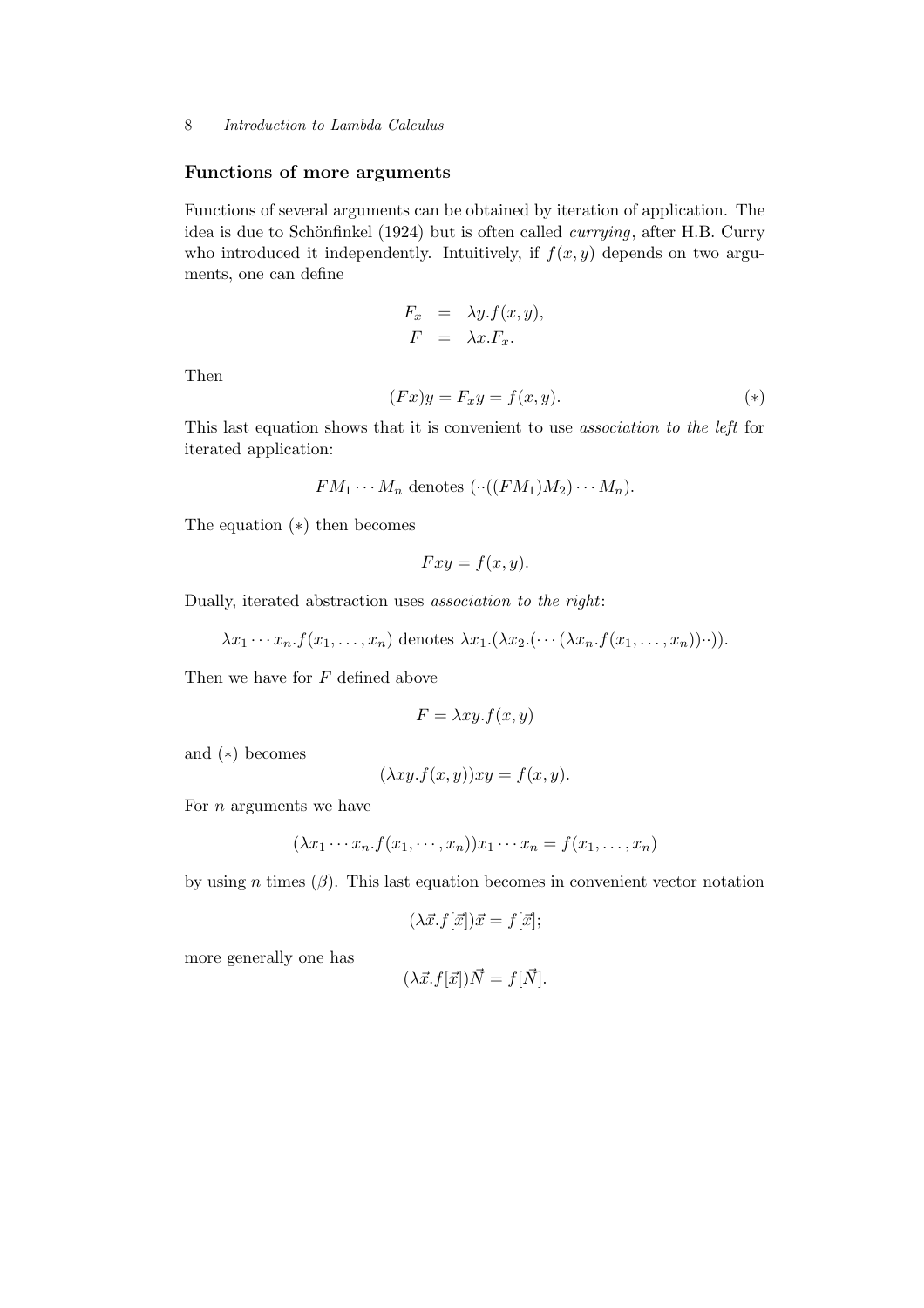### Functions of more arguments

Functions of several arguments can be obtained by iteration of application. The idea is due to Schönfinkel (1924) but is often called *currying*, after H.B. Curry who introduced it independently. Intuitively, if  $f(x, y)$  depends on two arguments, one can define

$$
F_x = \lambda y.f(x, y),
$$
  

$$
F = \lambda x.F_x.
$$

Then

$$
(Fx)y = F_x y = f(x, y).
$$
\n<sup>(\*)</sup>

This last equation shows that it is convenient to use association to the left for iterated application:

$$
FM_1\cdots M_n \text{ denotes }(\cdots((FM_1)M_2)\cdots M_n).
$$

The equation (∗) then becomes

$$
Fxy = f(x, y).
$$

Dually, iterated abstraction uses association to the right:

$$
\lambda x_1 \cdots x_n . f(x_1, \ldots, x_n)
$$
 denotes  $\lambda x_1 . (\lambda x_2 . (\cdots (\lambda x_n . f(x_1, \ldots, x_n)) \cdots)).$ 

Then we have for  $F$  defined above

$$
F = \lambda xy.f(x, y)
$$

and (∗) becomes

$$
(\lambda xy.f(x,y))xy = f(x,y).
$$

For  $n$  arguments we have

$$
(\lambda x_1 \cdots x_n.f(x_1,\cdots,x_n))x_1 \cdots x_n = f(x_1,\ldots,x_n)
$$

by using n times  $(\beta)$ . This last equation becomes in convenient vector notation

$$
(\lambda \vec{x}. f[\vec{x}]) \vec{x} = f[\vec{x}];
$$

more generally one has

$$
(\lambda \vec{x}. f[\vec{x}]) \vec{N} = f[\vec{N}].
$$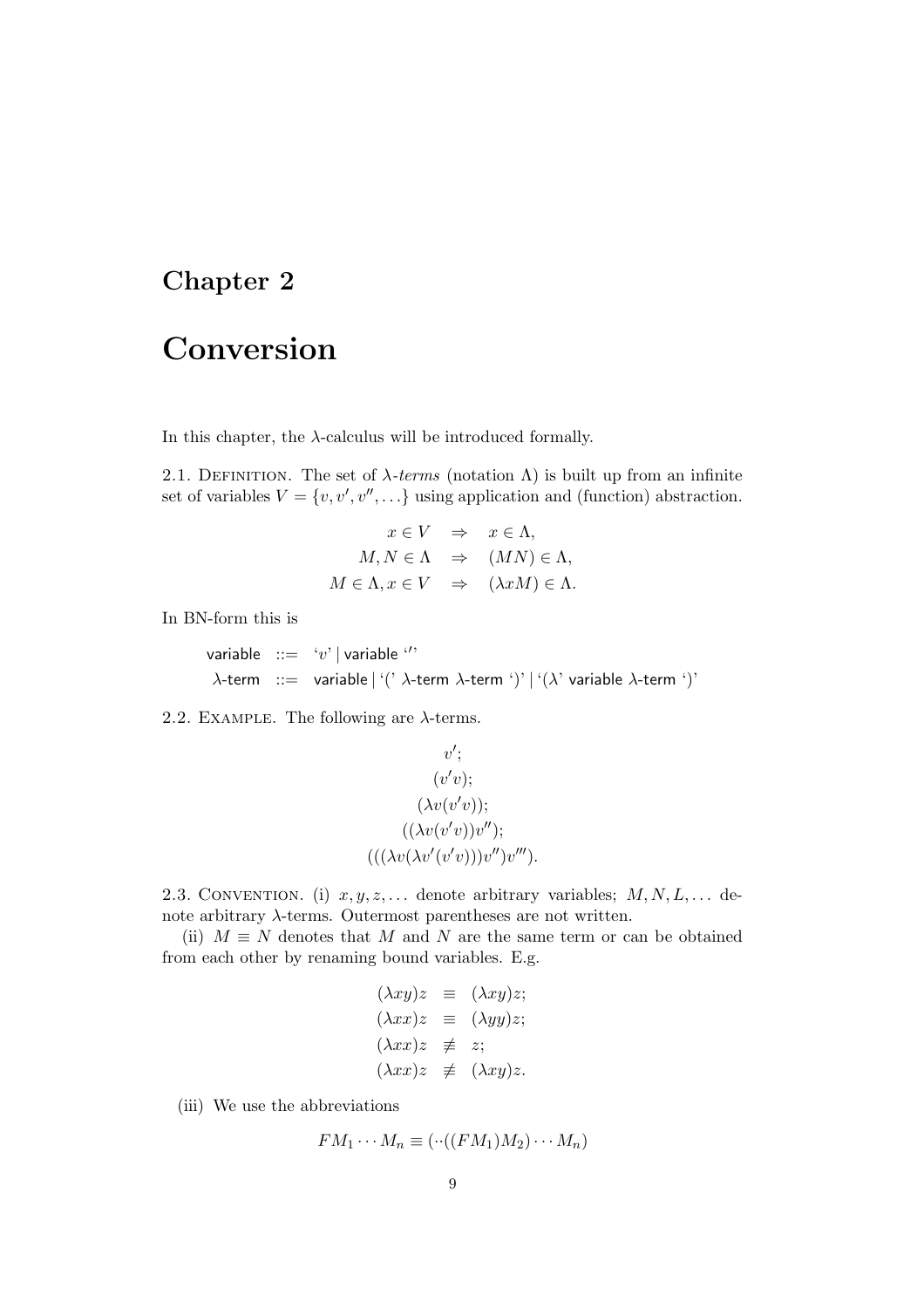## Chapter 2

# Conversion

In this chapter, the  $\lambda$ -calculus will be introduced formally.

2.1. DEFINITION. The set of  $\lambda$ -terms (notation  $\Lambda$ ) is built up from an infinite set of variables  $V = \{v, v', v'', \ldots\}$  using application and (function) abstraction.

$$
x \in V \quad \Rightarrow \quad x \in \Lambda,
$$
  
\n
$$
M, N \in \Lambda \quad \Rightarrow \quad (MN) \in \Lambda,
$$
  
\n
$$
M \in \Lambda, x \in V \quad \Rightarrow \quad (\lambda x M) \in \Lambda.
$$

In BN-form this is

variable  $\;\;::=$   $\;\;\dot{ }v \text{'}$  | variable  $\;\!\dot{ }$  ''  $\lambda$ -term ::= variable | '(' λ-term λ-term ')' | '(λ' variable λ-term ')'

2.2. EXAMPLE. The following are  $\lambda$ -terms.

$$
v';(v'v);(\lambda v(v'v));((\lambda v(v'v))v'');(((\lambda v(\lambda v'(v'v)))v'')v'').
$$

 $\overline{\phantom{a}}$ 

2.3. CONVENTION. (i)  $x, y, z, \ldots$  denote arbitrary variables;  $M, N, L, \ldots$  denote arbitrary λ-terms. Outermost parentheses are not written.

(ii)  $M \equiv N$  denotes that M and N are the same term or can be obtained from each other by renaming bound variables. E.g.

$$
(\lambda xy)z \equiv (\lambda xy)z; \n(\lambda xx)z \equiv (\lambda yy)z; \n(\lambda xx)z \neq z; \n(\lambda xx)z \neq (\lambda xy)z.
$$

(iii) We use the abbreviations

$$
FM_1\cdots M_n\equiv (\cdots ((FM_1)M_2)\cdots M_n)
$$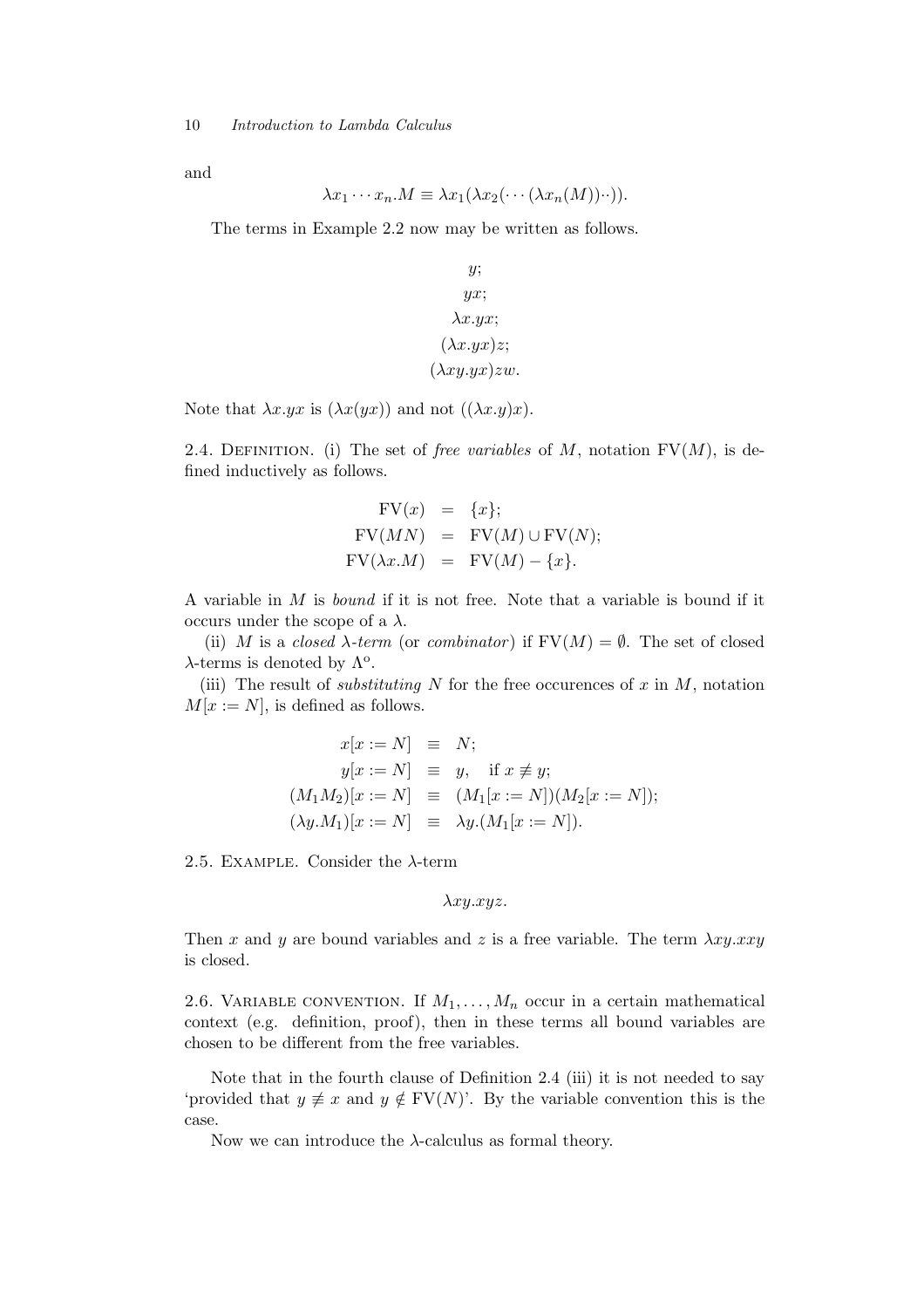and

$$
\lambda x_1 \cdots x_n.M \equiv \lambda x_1 (\lambda x_2 (\cdots (\lambda x_n (M))\cdots)).
$$

The terms in Example 2.2 now may be written as follows.

$$
y;
$$
  
\n
$$
yx;
$$
  
\n
$$
\lambda x.yx;
$$
  
\n
$$
(\lambda x.yx)z;
$$
  
\n
$$
(\lambda xy.yx)zw.
$$

Note that  $\lambda x.yx$  is  $(\lambda x(yx))$  and not  $((\lambda x.y)x)$ .

2.4. DEFINITION. (i) The set of free variables of M, notation  $FV(M)$ , is defined inductively as follows.

$$
FV(x) = \{x\};
$$
  
\n
$$
FV(MN) = FV(M) \cup FV(N);
$$
  
\n
$$
FV(\lambda x.M) = FV(M) - \{x\}.
$$

A variable in M is bound if it is not free. Note that a variable is bound if it occurs under the scope of a  $\lambda$ .

(ii) M is a closed  $\lambda$ -term (or combinator) if  $FV(M) = \emptyset$ . The set of closed  $\lambda$ -terms is denoted by  $\Lambda$ <sup>o</sup>.

(iii) The result of *substituting* N for the free occurences of x in M, notation  $M[x := N]$ , is defined as follows.

$$
x[x := N] \equiv N; \n y[x := N] \equiv y, \text{ if } x \neq y; \n (M_1M_2)[x := N] \equiv (M_1[x := N])(M_2[x := N]); \n (\lambda y.M_1)[x := N] \equiv \lambda y.(M_1[x := N]).
$$

2.5. EXAMPLE. Consider the  $\lambda$ -term

 $\lambda xy.xyz.$ 

Then x and y are bound variables and z is a free variable. The term  $\lambda xy. xxy$ is closed.

2.6. VARIABLE CONVENTION. If  $M_1, \ldots, M_n$  occur in a certain mathematical context (e.g. definition, proof), then in these terms all bound variables are chosen to be different from the free variables.

Note that in the fourth clause of Definition 2.4 (iii) it is not needed to say 'provided that  $y \neq x$  and  $y \notin FV(N)$ '. By the variable convention this is the case.

Now we can introduce the  $\lambda$ -calculus as formal theory.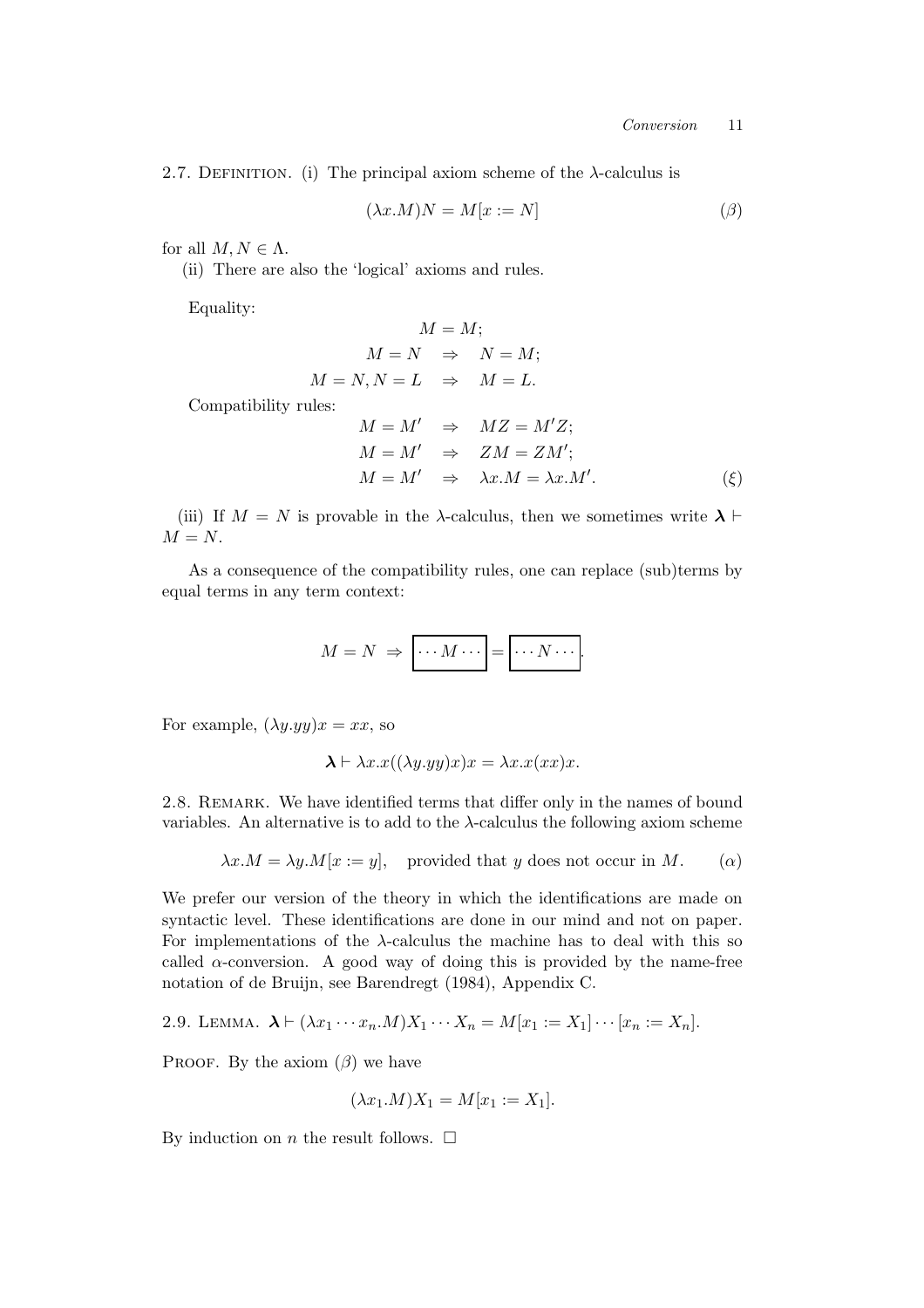2.7. DEFINITION. (i) The principal axiom scheme of the  $\lambda$ -calculus is

$$
(\lambda x.M)N = M[x := N]
$$
\n<sup>(\beta)</sup>

for all  $M, N \in \Lambda$ .

(ii) There are also the 'logical' axioms and rules.

Equality:

$$
M = M;
$$
  
\n
$$
M = N \Rightarrow N = M;
$$
  
\n
$$
M = N, N = L \Rightarrow M = L.
$$

Compatibility rules:

$$
M = M' \Rightarrow MZ = M'Z;
$$
  
\n
$$
M = M' \Rightarrow ZM = ZM';
$$
  
\n
$$
M = M' \Rightarrow \lambda x.M = \lambda x.M'.
$$
\n(ξ)

(iii) If  $M = N$  is provable in the  $\lambda$ -calculus, then we sometimes write  $\lambda \vdash$  $M = N$ .

As a consequence of the compatibility rules, one can replace (sub)terms by equal terms in any term context:

$$
M = N \Rightarrow \boxed{\cdots M \cdots} = \boxed{\cdots N \cdots}.
$$

For example,  $(\lambda y.yy)x = xx$ , so

$$
\lambda \vdash \lambda x.x((\lambda y.yy)x)x = \lambda x.x(xx)x.
$$

2.8. REMARK. We have identified terms that differ only in the names of bound variables. An alternative is to add to the  $\lambda$ -calculus the following axiom scheme

 $\lambda x.M = \lambda y.M[x := y],$  provided that y does not occur in M. ( $\alpha$ )

We prefer our version of the theory in which the identifications are made on syntactic level. These identifications are done in our mind and not on paper. For implementations of the  $\lambda$ -calculus the machine has to deal with this so called  $\alpha$ -conversion. A good way of doing this is provided by the name-free notation of de Bruijn, see Barendregt (1984), Appendix C.

2.9. LEMMA. 
$$
\lambda \vdash (\lambda x_1 \cdots x_n.M)X_1 \cdots X_n = M[x_1 := X_1] \cdots [x_n := X_n].
$$

PROOF. By the axiom  $(\beta)$  we have

$$
(\lambda x_1.M)X_1 = M[x_1 := X_1].
$$

By induction on *n* the result follows.  $\Box$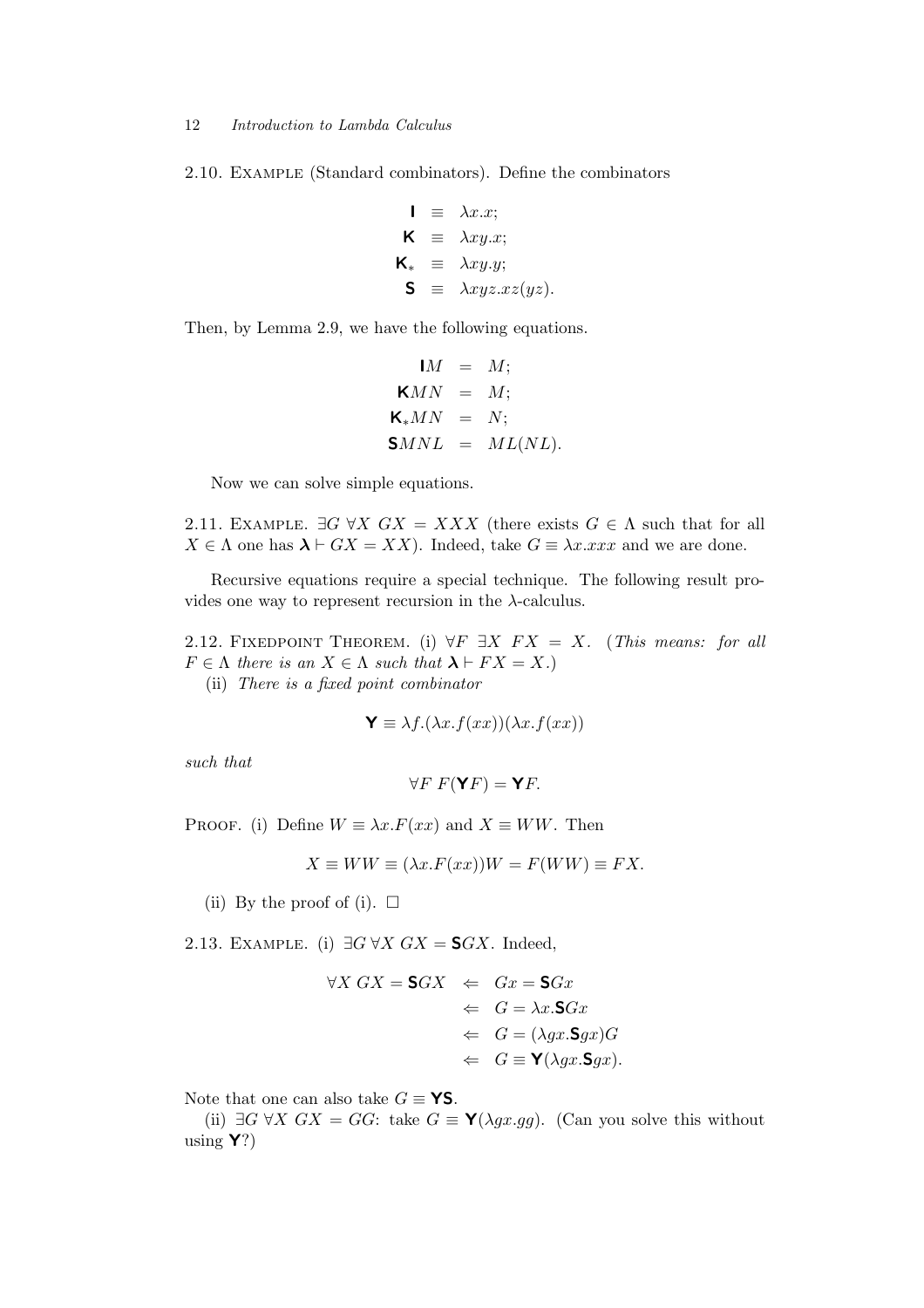2.10. Example (Standard combinators). Define the combinators

$$
I = \lambda x.x;
$$
  
\n
$$
K = \lambda xy.x;
$$
  
\n
$$
K_* \equiv \lambda xy.y;
$$
  
\n
$$
S = \lambda xyz.xz(yz).
$$

Then, by Lemma 2.9, we have the following equations.

$$
IM = M;
$$
  
\n
$$
KMN = M;
$$
  
\n
$$
K_*MN = N;
$$
  
\n
$$
SMNL = ML(NL).
$$

Now we can solve simple equations.

2.11. EXAMPLE.  $\exists G \ \forall X \ GX = XXX$  (there exists  $G \in \Lambda$  such that for all  $X \in \Lambda$  one has  $\lambda \vdash GX = XX$ ). Indeed, take  $G \equiv \lambda x .xxx$  and we are done.

Recursive equations require a special technique. The following result provides one way to represent recursion in the λ-calculus.

2.12. FIXEDPOINT THEOREM. (i)  $\forall F \exists X \ FX = X$ . (This means: for all  $F \in \Lambda$  there is an  $X \in \Lambda$  such that  $\lambda \vdash FX = X.$ ) (ii) There is a fixed point combinator

$$
\mathbf{Y} \equiv \lambda f.(\lambda x.f(xx))(\lambda x.f(xx))
$$

such that

$$
\forall F \ F(\mathbf{Y} F) = \mathbf{Y} F.
$$

PROOF. (i) Define  $W \equiv \lambda x.F(xx)$  and  $X \equiv WW$ . Then

$$
X \equiv WW \equiv (\lambda x.F(xx))W = F(WW) \equiv FX.
$$

(ii) By the proof of (i).  $\Box$ 

2.13. EXAMPLE. (i)  $\exists G \forall X \, GX = \mathbf{S}GX$ . Indeed,

$$
\forall X \, GX = \mathbf{S}GX \iff Gx = \mathbf{S}Gx
$$
  
\n
$$
\iff G = \lambda x . \mathbf{S}Gx
$$
  
\n
$$
\iff G = (\lambda gx . \mathbf{S}gx)G
$$
  
\n
$$
\iff G \equiv \mathbf{Y}(\lambda gx . \mathbf{S}gx).
$$

Note that one can also take  $G \equiv YS$ .

(ii)  $\exists G \forall X \ GX = GG:$  take  $G \equiv \mathbf{Y}(\lambda gx.gg)$ . (Can you solve this without using  $Y$ ?)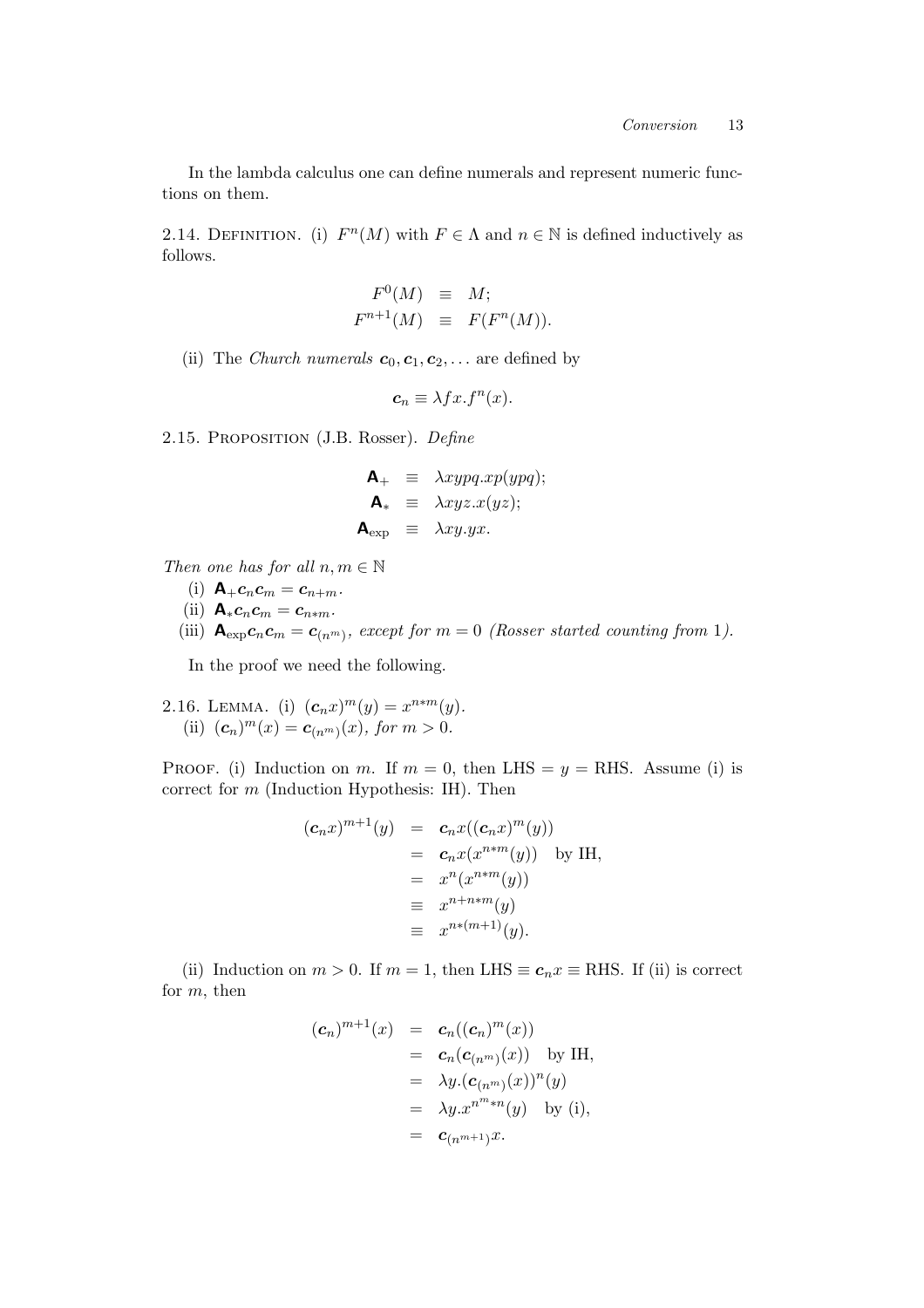In the lambda calculus one can define numerals and represent numeric functions on them.

2.14. DEFINITION. (i)  $F^{n}(M)$  with  $F \in \Lambda$  and  $n \in \mathbb{N}$  is defined inductively as follows.

$$
F^{0}(M) \equiv M;
$$
  

$$
F^{n+1}(M) \equiv F(F^{n}(M)).
$$

(ii) The Church numerals  $c_0, c_1, c_2, \ldots$  are defined by

$$
c_n \equiv \lambda fx.f^n(x).
$$

2.15. Proposition (J.B. Rosser). Define

$$
\begin{array}{rcl}\n\mathsf{A}_{+} & \equiv & \lambda xypq \, .xp(ypq); \\
\mathsf{A}_{*} & \equiv & \lambda xyz \, .x(yz); \\
\mathsf{A}_{\exp} & \equiv & \lambda xy \, .yx.\n\end{array}
$$

Then one has for all  $n, m \in \mathbb{N}$ 

- (i)  $A_+c_nc_m = c_{n+m}$ .
- (ii)  $\mathbf{A}_{*}c_{n}c_{m}=c_{n*m}.$
- (iii)  $\mathbf{A}_{exp} \mathbf{c}_n \mathbf{c}_m = \mathbf{c}_{(n^m)}$ , except for  $m = 0$  (Rosser started counting from 1).

In the proof we need the following.

2.16. LEMMA. (i)  $(c_n x)^m(y) = x^{n*m}(y)$ . (ii)  $(c_n)^m(x) = c_{(n^m)}(x)$ , for  $m > 0$ .

PROOF. (i) Induction on m. If  $m = 0$ , then LHS =  $y =$ RHS. Assume (i) is correct for  $m$  (Induction Hypothesis: IH). Then

$$
(\mathbf{c}_n x)^{m+1}(y) = \mathbf{c}_n x((\mathbf{c}_n x)^m(y))
$$
  
\n
$$
= \mathbf{c}_n x(x^{n+m}(y)) \text{ by IH,}
$$
  
\n
$$
= x^n (x^{n+m}(y))
$$
  
\n
$$
= x^{n+n+m}(y)
$$
  
\n
$$
= x^{n*(m+1)}(y).
$$

(ii) Induction on  $m > 0$ . If  $m = 1$ , then LHS  $\equiv c_n x \equiv$  RHS. If (ii) is correct for  $m$ , then

$$
(\mathbf{c}_n)^{m+1}(x) = \mathbf{c}_n((\mathbf{c}_n)^m(x))
$$
  
=  $\mathbf{c}_n(\mathbf{c}_{(n^m)}(x))$  by IH,  
=  $\lambda y.(\mathbf{c}_{(n^m)}(x))^n(y)$   
=  $\lambda y.x^{n^m*n}(y)$  by (i),  
=  $\mathbf{c}_{(n^{m+1})}x$ .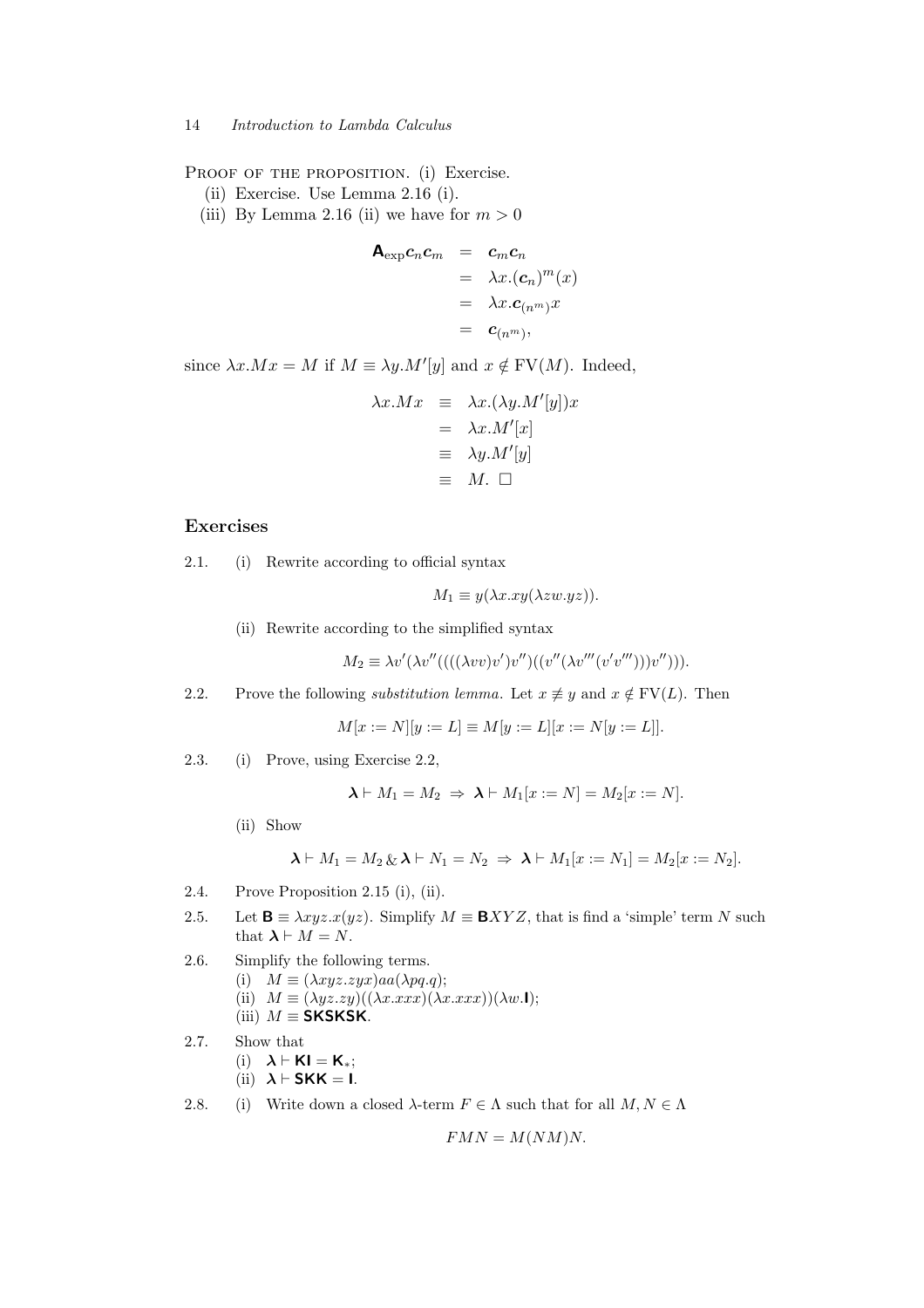PROOF OF THE PROPOSITION. (i) Exercise.

- (ii) Exercise. Use Lemma 2.16 (i).
- (iii) By Lemma 2.16 (ii) we have for  $m > 0$

$$
\begin{array}{rcl} \mathbf{A}_{\exp} \mathbf{c}_n \mathbf{c}_m &=& \mathbf{c}_m \mathbf{c}_n \\ &=& \lambda x . (\mathbf{c}_n)^m (x) \\ &=& \lambda x . \mathbf{c}_{(n^m)} x \\ &=& \mathbf{c}_{(n^m)}, \end{array}
$$

since  $\lambda x.Mx = M$  if  $M \equiv \lambda y.M'[y]$  and  $x \notin FV(M)$ . Indeed,

$$
\lambda x.Mx = \lambda x.(\lambda y.M'[y])x
$$
  
=  $\lambda x.M'[x]$   
=  $\lambda y.M'[y]$   
=  $M.\square$ 

### Exercises

2.1. (i) Rewrite according to official syntax

$$
M_1 \equiv y(\lambda x. xy(\lambda zw. yz)).
$$

(ii) Rewrite according to the simplified syntax

$$
M_2 \equiv \lambda v'(\lambda v''(((\lambda vv)v')v'')((v''(\lambda v'''(v'v''')))v''))).
$$

2.2. Prove the following substitution lemma. Let  $x \neq y$  and  $x \notin FV(L)$ . Then

$$
M[x := N][y := L] \equiv M[y := L][x := N[y := L]].
$$

2.3. (i) Prove, using Exercise 2.2,

$$
\lambda \vdash M_1 = M_2 \ \Rightarrow \ \lambda \vdash M_1[x := N] = M_2[x := N].
$$

(ii) Show

$$
\lambda \vdash M_1 = M_2 \& \lambda \vdash N_1 = N_2 \ \Rightarrow \ \lambda \vdash M_1[x := N_1] = M_2[x := N_2].
$$

- 2.4. Prove Proposition 2.15 (i), (ii).
- 2.5. Let  $\mathbf{B} \equiv \lambda xyz.x(yz)$ . Simplify  $M \equiv \mathbf{B}XYZ$ , that is find a 'simple' term N such that  $\lambda \vdash M = N$ .
- 2.6. Simplify the following terms.
	- (i)  $M \equiv (\lambda xyz.zyx)aa(\lambda pq.q);$
	- (ii)  $M \equiv (\lambda yz.zy)((\lambda x.xxx)(\lambda x.xxx))(\lambda w.1);$
	- (iii)  $M \equiv$  SKSKSK.
- 2.7. Show that

(i) 
$$
\lambda \vdash \mathsf{KI} = \mathsf{K}_*
$$
;

- (ii)  $\lambda \vdash$  SKK = 1.
- 2.8. (i) Write down a closed  $\lambda$ -term  $F \in \Lambda$  such that for all  $M, N \in \Lambda$

$$
FMN = M(NM)N.
$$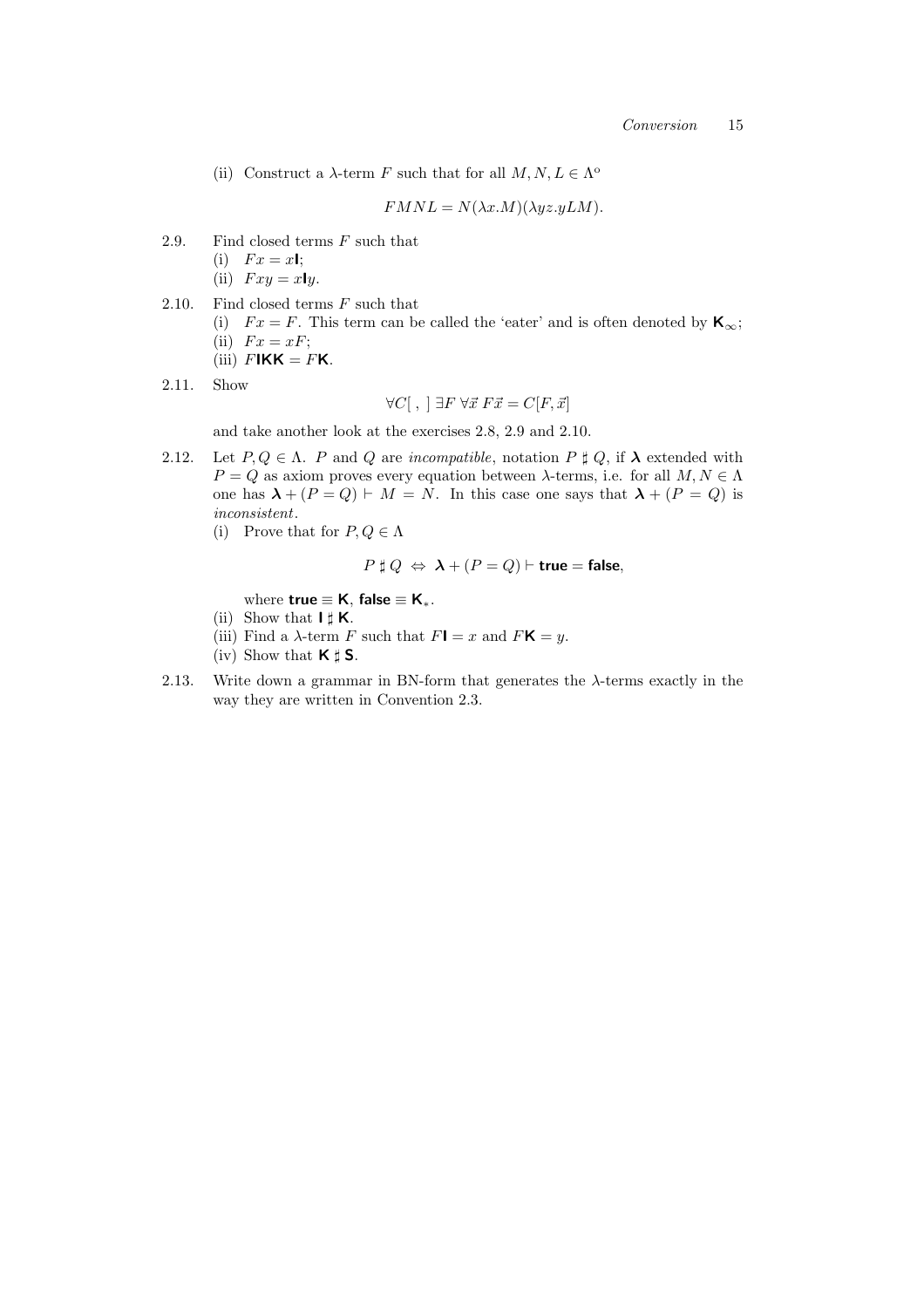(ii) Construct a  $\lambda$ -term F such that for all  $M, N, L \in \Lambda^{\circ}$ 

$$
FMML = N(\lambda x.M)(\lambda yz.yLM).
$$

- 2.9. Find closed terms  $F$  such that (i)  $Fx = x!;$ (ii)  $Fxy = x\mathbf{I}y$ .
- 2.10. Find closed terms  $F$  such that
	- (i)  $Fx = F$ . This term can be called the 'eater' and is often denoted by  $\mathbf{K}_{\infty}$ ; (ii)  $Fx = xF$ ;
	- (iii)  $F$ **IKK** =  $F$ **K**.
- 2.11. Show

$$
\forall C[ , ] \exists F \,\forall \vec{x} \, F \vec{x} = C[F, \vec{x}]
$$

and take another look at the exercises 2.8, 2.9 and 2.10.

- 2.12. Let  $P, Q \in \Lambda$ . P and Q are incompatible, notation  $P \sharp Q$ , if  $\lambda$  extended with  $P = Q$  as axiom proves every equation between  $\lambda$ -terms, i.e. for all  $M, N \in \Lambda$ one has  $\lambda + (P = Q) \vdash M = N$ . In this case one says that  $\lambda + (P = Q)$  is inconsistent.
	- (i) Prove that for  $P, Q \in \Lambda$

$$
P \nparallel Q \Leftrightarrow \lambda + (P = Q) \vdash
$$
true = false,

where  $true \equiv K$ , false  $\equiv K_*$ .

- (ii) Show that  $\mathsf{I} \sharp \mathsf{K}$ .
- (iii) Find a  $\lambda$ -term F such that  $F\mathbf{I} = x$  and  $F\mathbf{K} = y$ .
- (iv) Show that  $K \sharp S$ .
- 2.13. Write down a grammar in BN-form that generates the  $\lambda$ -terms exactly in the way they are written in Convention 2.3.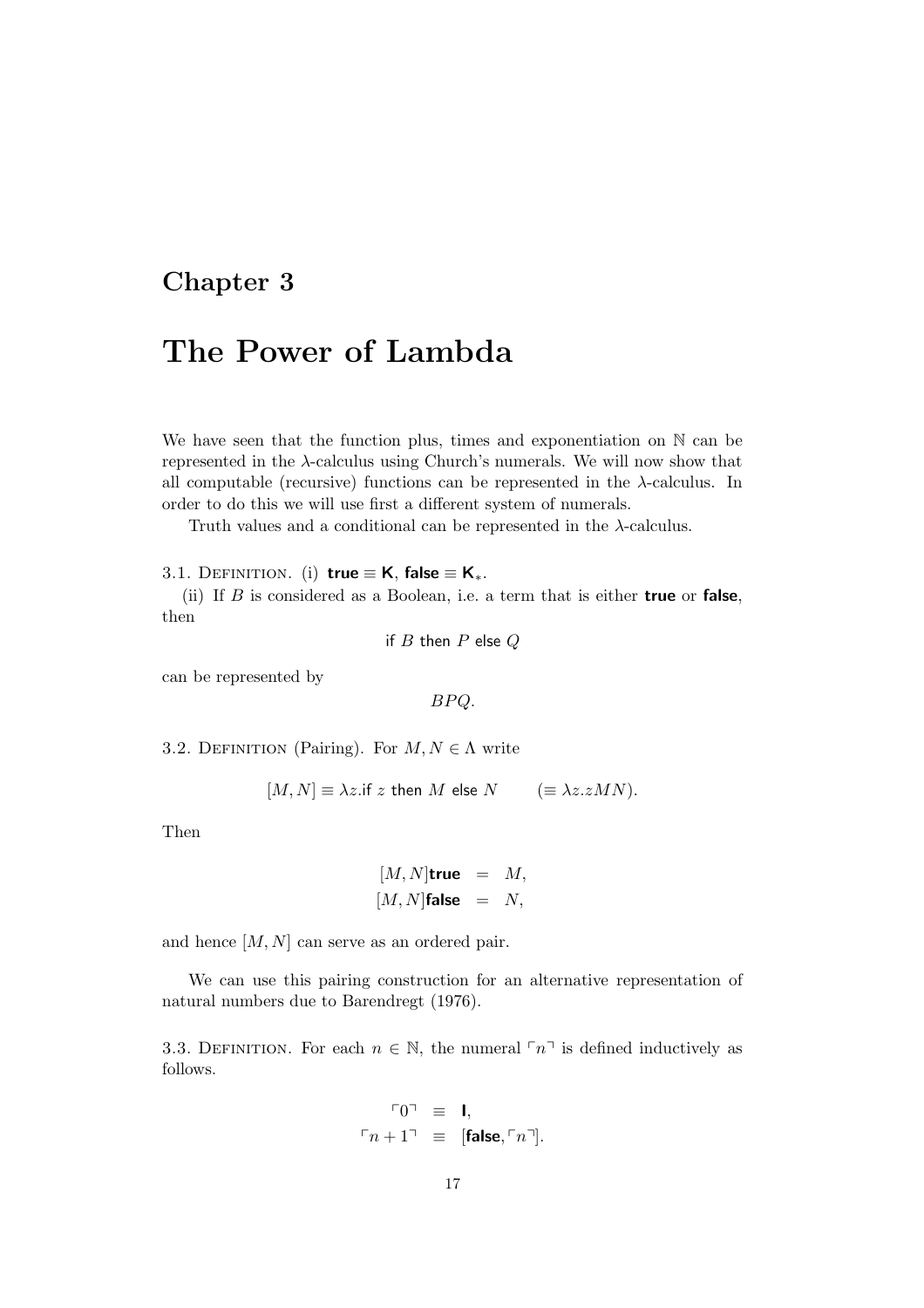## Chapter 3

# The Power of Lambda

We have seen that the function plus, times and exponentiation on N can be represented in the  $\lambda$ -calculus using Church's numerals. We will now show that all computable (recursive) functions can be represented in the  $\lambda$ -calculus. In order to do this we will use first a different system of numerals.

Truth values and a conditional can be represented in the  $\lambda$ -calculus.

3.1. DEFINITION. (i) true  $\equiv$  K, false  $\equiv$  K<sub>\*</sub>.

(ii) If  $B$  is considered as a Boolean, i.e. a term that is either **true** or **false**, then

if  $B$  then  $P$  else  $Q$ 

can be represented by

BPQ.

3.2. DEFINITION (Pairing). For  $M, N \in \Lambda$  write

$$
[M,N] \equiv \lambda z \text{.if } z \text{ then } M \text{ else } N \qquad (\equiv \lambda z. z M N).
$$

Then

 $[M, N]$ true =  $M$ ,  $[M, N]$ false = N,

and hence  $[M, N]$  can serve as an ordered pair.

We can use this pairing construction for an alternative representation of natural numbers due to Barendregt (1976).

3.3. DEFINITION. For each  $n \in \mathbb{N}$ , the numeral  $\lceil n \rceil$  is defined inductively as follows.

$$
\begin{array}{rcl} \n\ulcorner 0 \urcorner & \equiv & \mathbf{I}, \\ \n\ulcorner n+1 \urcorner & \equiv & \mathbf{[false, \ulcorner n \urcorner]}. \n\end{array}
$$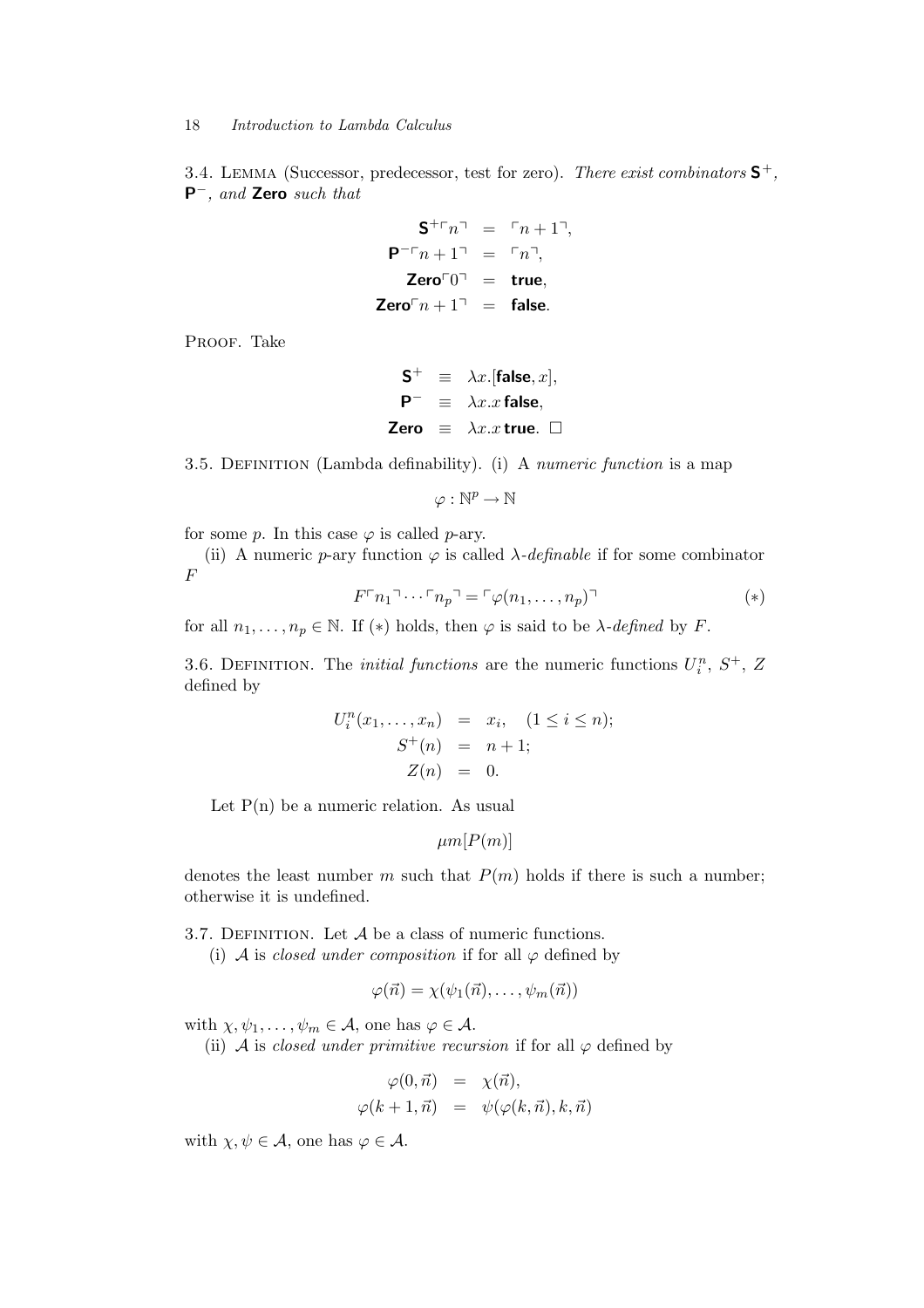3.4. LEMMA (Successor, predecessor, test for zero). There exist combinators  $S^+$ , P<sup>-</sup>, and **Zero** such that

$$
S^{+_{\sqcap}} n_{\sqcap} = \sqcap_{n+1} n_{\sqcap},
$$

$$
P^{-_{\sqcap}} n_{\sqcap} n_{\sqcap} = \text{true},
$$

$$
Zero^{\sqcap} n_{\sqcap} n_{\sqcap} = \text{false}.
$$

PROOF. Take

$$
S^{+} \equiv \lambda x. [\text{false}, x],
$$
  

$$
P^{-} \equiv \lambda x. x \text{ false},
$$
  

$$
\text{Zero} \equiv \lambda x. x \text{ true.} \square
$$

3.5. DEFINITION (Lambda definability). (i) A numeric function is a map

 $\varphi:\mathbb{N}^p\to\mathbb{N}$ 

for some p. In this case  $\varphi$  is called p-ary.

(ii) A numeric p-ary function  $\varphi$  is called  $\lambda$ -definable if for some combinator F

$$
F \ulcorner n_1 \urcorner \cdots \ulcorner n_p \urcorner = \ulcorner \varphi(n_1, \ldots, n_p) \urcorner \tag{*}
$$

for all  $n_1, \ldots, n_p \in \mathbb{N}$ . If  $(*)$  holds, then  $\varphi$  is said to be  $\lambda$ -defined by F.

3.6. DEFINITION. The *initial functions* are the numeric functions  $U_i^n$ ,  $S^+$ ,  $Z$ defined by

$$
U_i^n(x_1,...,x_n) = x_i, \quad (1 \le i \le n);
$$
  
\n
$$
S^+(n) = n+1;
$$
  
\n
$$
Z(n) = 0.
$$

Let  $P(n)$  be a numeric relation. As usual

 $\mu m[P(m)]$ 

denotes the least number m such that  $P(m)$  holds if there is such a number; otherwise it is undefined.

3.7. DEFINITION. Let  $A$  be a class of numeric functions.

(i) A is closed under composition if for all  $\varphi$  defined by

$$
\varphi(\vec{n})=\chi(\psi_1(\vec{n}),\ldots,\psi_m(\vec{n}))
$$

with  $\chi, \psi_1, \ldots, \psi_m \in \mathcal{A}$ , one has  $\varphi \in \mathcal{A}$ .

(ii) A is closed under primitive recursion if for all  $\varphi$  defined by

$$
\varphi(0, \vec{n}) = \chi(\vec{n}), \n\varphi(k+1, \vec{n}) = \psi(\varphi(k, \vec{n}), k, \vec{n})
$$

with  $\chi, \psi \in \mathcal{A}$ , one has  $\varphi \in \mathcal{A}$ .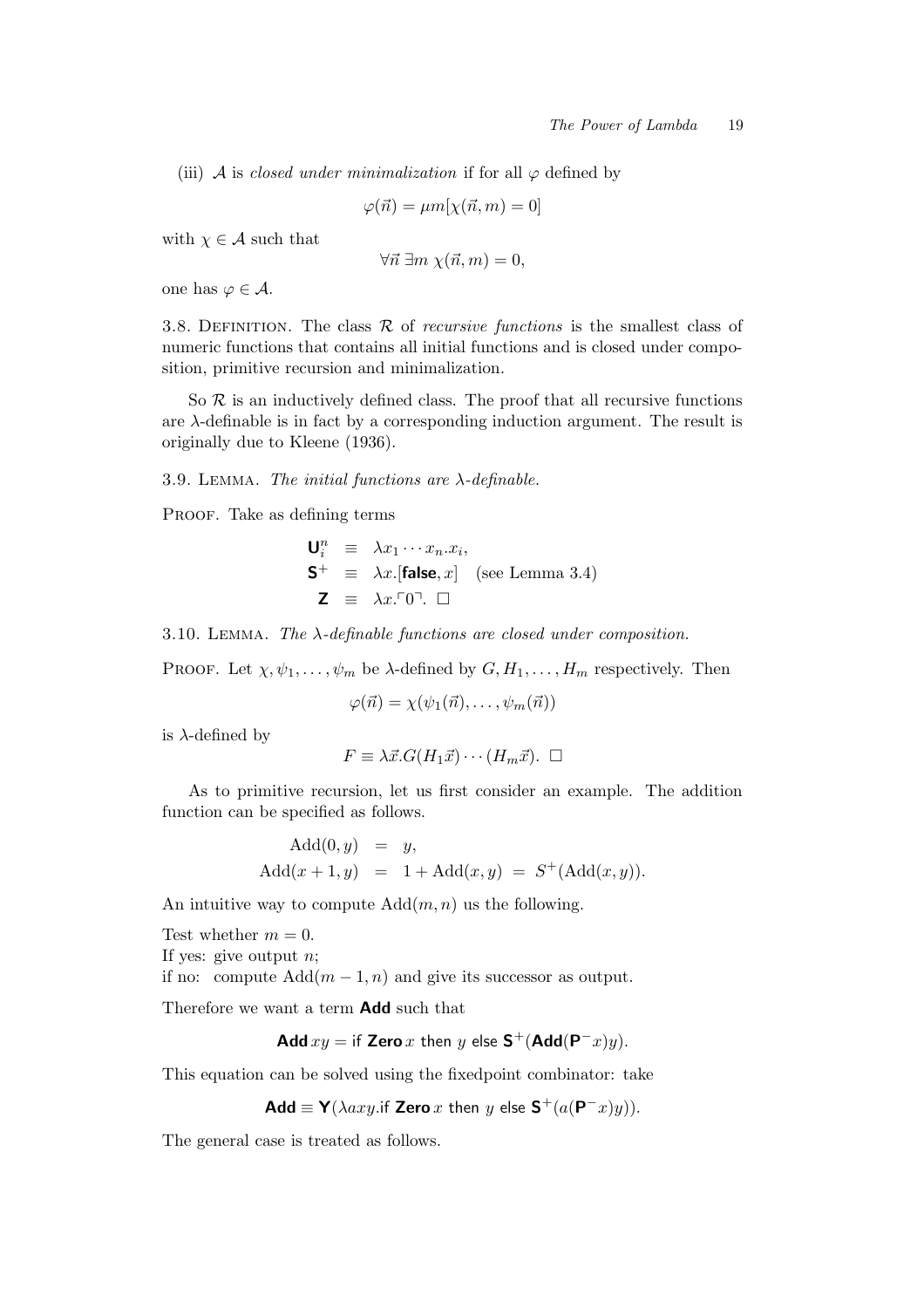(iii) A is closed under minimalization if for all  $\varphi$  defined by

$$
\varphi(\vec{n}) = \mu m[\chi(\vec{n}, m) = 0]
$$

with  $\chi \in \mathcal{A}$  such that

$$
\forall \vec{n} \ \exists m \ \chi(\vec{n}, m) = 0,
$$

one has  $\varphi \in \mathcal{A}$ .

3.8. DEFINITION. The class  $R$  of *recursive functions* is the smallest class of numeric functions that contains all initial functions and is closed under composition, primitive recursion and minimalization.

So  $\mathcal R$  is an inductively defined class. The proof that all recursive functions are  $\lambda$ -definable is in fact by a corresponding induction argument. The result is originally due to Kleene (1936).

3.9. LEMMA. The initial functions are  $\lambda$ -definable.

PROOF. Take as defining terms

$$
\begin{array}{rcl}\n\mathbf{U}_i^n & \equiv & \lambda x_1 \cdots x_n . x_i, \\
\mathbf{S}^+ & \equiv & \lambda x. [\text{false}, x] \quad (\text{see Lemma 3.4}) \\
\mathbf{Z} & \equiv & \lambda x. \ulcorner 0 \urcorner. \square\n\end{array}
$$

3.10. LEMMA. The  $\lambda$ -definable functions are closed under composition.

PROOF. Let  $\chi, \psi_1, \ldots, \psi_m$  be  $\lambda$ -defined by  $G, H_1, \ldots, H_m$  respectively. Then

 $\varphi(\vec{n}) = \chi(\psi_1(\vec{n}), \ldots, \psi_m(\vec{n}))$ 

is  $\lambda$ -defined by

$$
F \equiv \lambda \vec{x}. G(H_1 \vec{x}) \cdots (H_m \vec{x}). \ \ \Box
$$

As to primitive recursion, let us first consider an example. The addition function can be specified as follows.

Add(0, y) = y,  
\n
$$
Add(x + 1, y) = 1 + Add(x, y) = S^{+}(Add(x, y)).
$$

An intuitive way to compute  $Add(m, n)$  us the following.

Test whether  $m = 0$ . If yes: give output  $n$ ; if no: compute  $Add(m-1, n)$  and give its successor as output.

Therefore we want a term Add such that

Add  $xy =$  if Zero  $x$  then  $y$  else  $\mathsf{S}^{+}(\mathsf{Add}(\mathsf{P}^{-}x)y)$ .

This equation can be solved using the fixedpoint combinator: take

Add 
$$
\equiv
$$
 Y( $\lambda axy$ .if **Zero** x then y else  $S^+(a(P^-x)y)$ ).

The general case is treated as follows.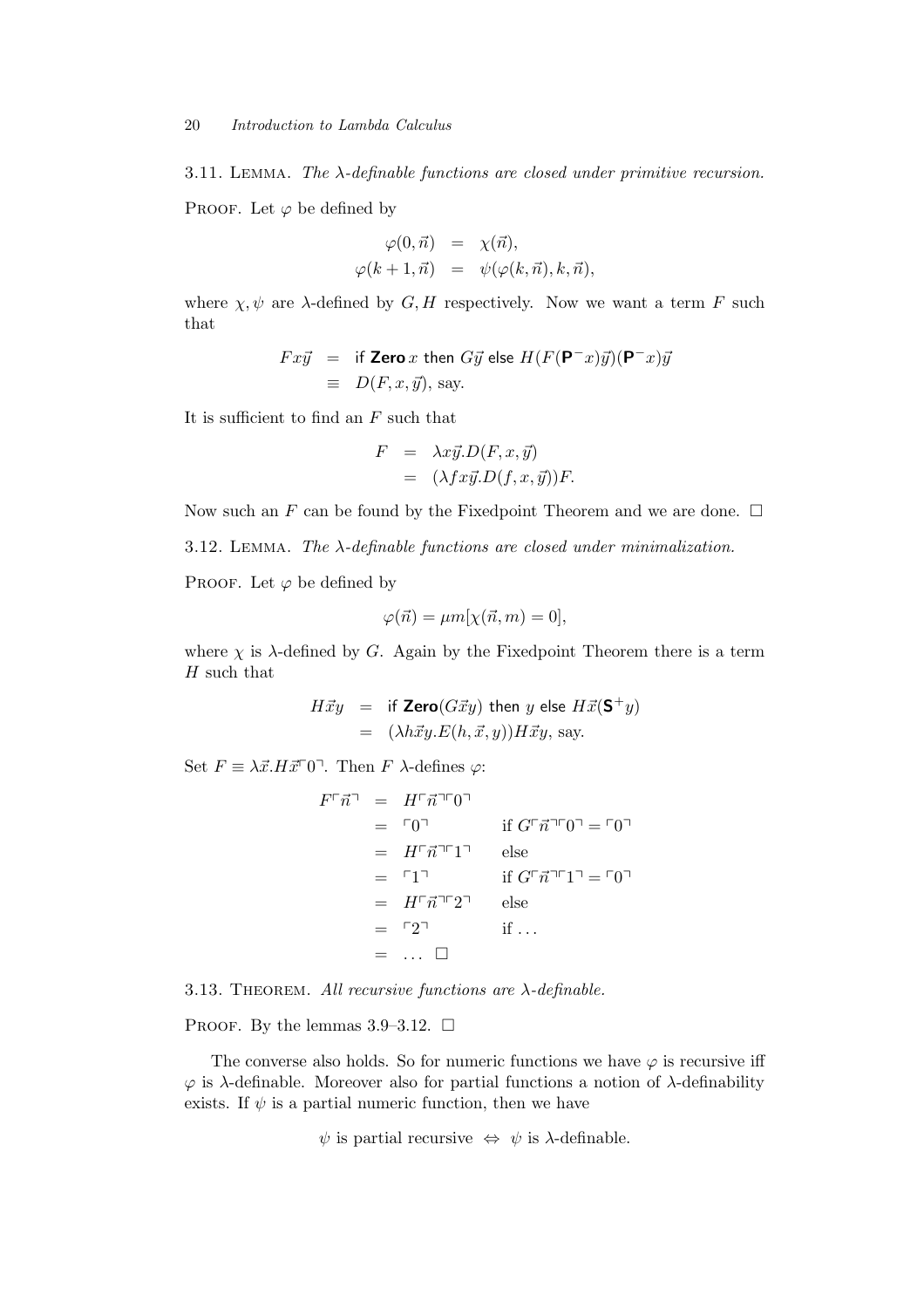3.11. LEMMA. The  $\lambda$ -definable functions are closed under primitive recursion.

PROOF. Let  $\varphi$  be defined by

$$
\varphi(0, \vec{n}) = \chi(\vec{n}),
$$
  

$$
\varphi(k+1, \vec{n}) = \psi(\varphi(k, \vec{n}), k, \vec{n}),
$$

where  $\chi, \psi$  are  $\lambda$ -defined by  $G, H$  respectively. Now we want a term F such that

$$
Fx\vec{y} = \text{if } \textbf{Zero}\,x \text{ then } G\vec{y} \text{ else } H(F(\mathbf{P}^{-}x)\vec{y})(\mathbf{P}^{-}x)\vec{y}
$$

$$
\equiv D(F, x, \vec{y}), \text{ say.}
$$

It is sufficient to find an  $F$  such that

$$
F = \lambda x \vec{y}. D(F, x, \vec{y})
$$
  
=  $(\lambda f x \vec{y}. D(f, x, \vec{y})) F.$ 

Now such an F can be found by the Fixedpoint Theorem and we are done.  $\Box$ 

3.12. LEMMA. The  $\lambda$ -definable functions are closed under minimalization.

PROOF. Let  $\varphi$  be defined by

$$
\varphi(\vec{n}) = \mu m[\chi(\vec{n}, m) = 0],
$$

where  $\chi$  is  $\lambda$ -defined by G. Again by the Fixedpoint Theorem there is a term  $H$  such that

$$
H\vec{xy} = \text{if } \mathsf{Zero}(G\vec{x}y) \text{ then } y \text{ else } H\vec{x}(\mathsf{S}^+y)
$$
  
=  $(\lambda h\vec{x}y.E(h,\vec{x},y))H\vec{x}y$ , say.

Set  $F \equiv \lambda \vec{x}.H\vec{x}$ <sup>r</sup><sup>0</sup>. Then  $F$   $\lambda$ -defines  $\varphi$ :

$$
F^{\top}\vec{n} = H^{\top}\vec{n}^{\top}\mathbf{0}
$$
  
\n
$$
= \begin{bmatrix} 0 \\ H^{\top}\vec{n} \end{bmatrix} \quad \text{if } G^{\top}\vec{n}^{\top}\mathbf{0} = \begin{bmatrix} 0 \\ 0 \end{bmatrix}
$$
  
\n
$$
= H^{\top}\vec{n}^{\top}\mathbf{1}
$$
  
\n
$$
= \begin{bmatrix} 1 \\ H^{\top}\vec{n} \end{bmatrix} \quad \text{else}
$$
  
\n
$$
= H^{\top}\vec{n}^{\top}\mathbf{2}
$$
  
\n
$$
= \begin{bmatrix} 2 \\ 1 \\ 1 \end{bmatrix} \quad \text{if } ...
$$
  
\n
$$
= ... \quad \Box
$$

3.13. Theorem. All recursive functions are λ-definable.

PROOF. By the lemmas 3.9–3.12.  $\Box$ 

The converse also holds. So for numeric functions we have  $\varphi$  is recursive iff  $\varphi$  is  $\lambda$ -definable. Moreover also for partial functions a notion of  $\lambda$ -definability exists. If  $\psi$  is a partial numeric function, then we have

 $\psi$  is partial recursive  $\Leftrightarrow \psi$  is  $\lambda$ -definable.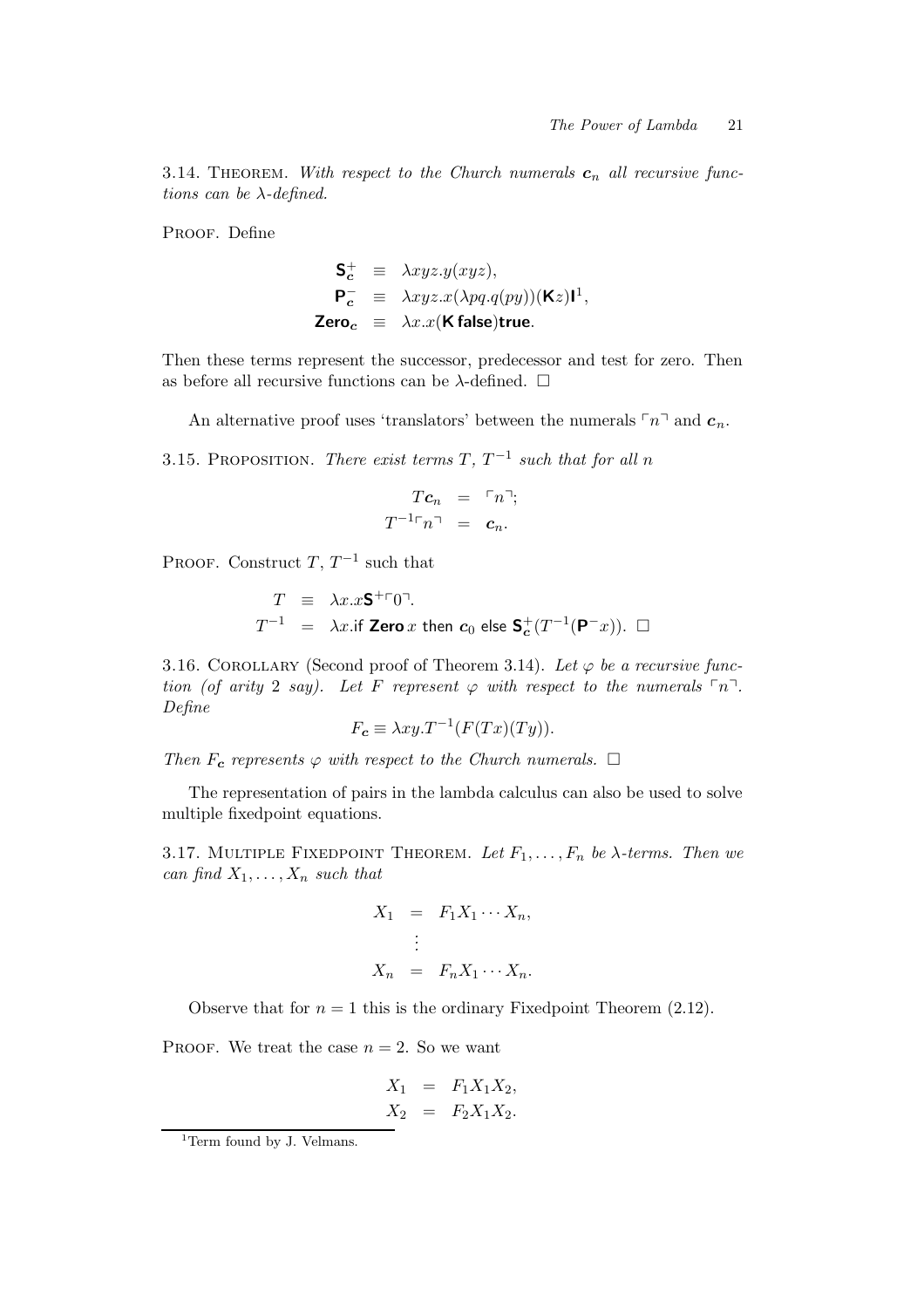3.14. THEOREM. With respect to the Church numerals  $c_n$  all recursive functions can be  $\lambda$ -defined.

PROOF. Define

$$
\begin{array}{rcl}\n\mathbf{S}_{\mathbf{c}}^{+} & \equiv & \lambda xyz.y(xyz), \\
\mathbf{P}_{\mathbf{c}}^{-} & \equiv & \lambda xyz.x(\lambda pq.q(py))(\mathbf{K}z)\mathbf{l}^{1}, \\
\mathbf{Zero}_{\mathbf{c}} & \equiv & \lambda x.x(\mathbf{K}\,\mathbf{false})\mathbf{true}.\n\end{array}
$$

Then these terms represent the successor, predecessor and test for zero. Then as before all recursive functions can be λ-defined.  $\Box$ 

An alternative proof uses 'translators' between the numerals  $\lceil n \rceil$  and  $c_n$ .

3.15. PROPOSITION. There exist terms  $T, T^{-1}$  such that for all n

$$
T\mathbf{c}_n = \lceil n \rceil;
$$
  

$$
T^{-1} \lceil n \rceil = \mathbf{c}_n.
$$

PROOF. Construct  $T, T^{-1}$  such that

$$
T \equiv \lambda x . x \mathbf{S}^{+\vdash} 0^{\vdash}.
$$
  

$$
T^{-1} = \lambda x . \text{if } \textbf{Zero } x \text{ then } c_0 \text{ else } \mathbf{S}^{+}_{\mathbf{c}}(T^{-1}(\mathbf{P}^{-}x)). \square
$$

3.16. COROLLARY (Second proof of Theorem 3.14). Let  $\varphi$  be a recursive function (of arity 2 say). Let F represent  $\varphi$  with respect to the numerals  $\lceil n \rceil$ . Define

$$
F_{\mathbf{c}} \equiv \lambda xy. T^{-1} (F(Tx)(Ty)).
$$

Then  $F_c$  represents  $\varphi$  with respect to the Church numerals.  $\Box$ 

The representation of pairs in the lambda calculus can also be used to solve multiple fixedpoint equations.

3.17. MULTIPLE FIXEDPOINT THEOREM. Let  $F_1, \ldots, F_n$  be  $\lambda$ -terms. Then we can find  $X_1, \ldots, X_n$  such that

$$
X_1 = F_1 X_1 \cdots X_n,
$$
  
\n
$$
\vdots
$$
  
\n
$$
X_n = F_n X_1 \cdots X_n.
$$

Observe that for  $n = 1$  this is the ordinary Fixedpoint Theorem (2.12).

PROOF. We treat the case  $n = 2$ . So we want

$$
X_1 = F_1 X_1 X_2,
$$
  

$$
X_2 = F_2 X_1 X_2.
$$

<sup>&</sup>lt;sup>1</sup>Term found by J. Velmans.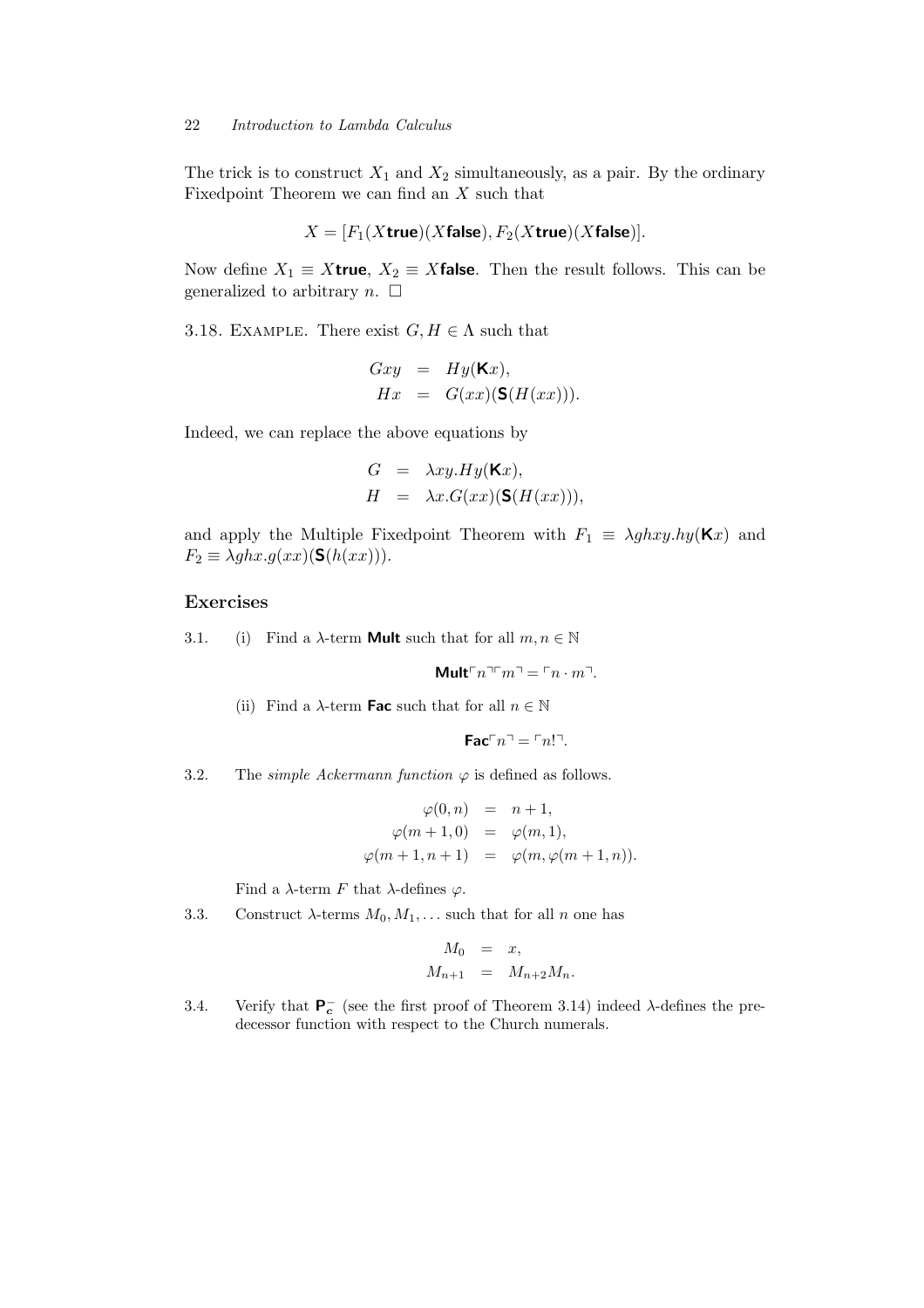The trick is to construct  $X_1$  and  $X_2$  simultaneously, as a pair. By the ordinary Fixedpoint Theorem we can find an  $X$  such that

$$
X = [F_1(Xtrue)(Xfalse), F_2(Xtrue)(Xfalse)].
$$

Now define  $X_1 \equiv X$ true,  $X_2 \equiv X$ false. Then the result follows. This can be generalized to arbitrary  $n. \Box$ 

#### 3.18. EXAMPLE. There exist  $G, H \in \Lambda$  such that

$$
\begin{array}{rcl} Gxy & = & Hy(\mathbf{K}x), \\ Hx & = & G(xx)(\mathbf{S}(H(xx))). \end{array}
$$

Indeed, we can replace the above equations by

$$
G = \lambda xy.Hy(\mathbf{K}x),
$$
  

$$
H = \lambda x.G(xx)(\mathbf{S}(H(xx))),
$$

and apply the Multiple Fixedpoint Theorem with  $F_1 \equiv \lambda ghxy \cdot hy(\mathbf{K}x)$  and  $F_2 \equiv \lambda ghx.g(xx)(\mathbf{S}(h(xx))).$ 

### Exercises

3.1. (i) Find a  $\lambda$ -term **Mult** such that for all  $m, n \in \mathbb{N}$ 

$$
\text{Mult}^{\mathbf{\Gamma}} n^{\mathbf{\Gamma}} m^{\mathbf{\Gamma}} = \mathbf{\Gamma} n \cdot m^{\mathbf{\Gamma}}.
$$

(ii) Find a  $\lambda$ -term **Fac** such that for all  $n \in \mathbb{N}$ 

$$
\mathbf{Fac}^\sqcap n^\sqcap = \ulcorner n! \urcorner.
$$

3.2. The *simple Ackermann function*  $\varphi$  is defined as follows.

$$
\varphi(0,n) = n+1,
$$
  
\n
$$
\varphi(m+1,0) = \varphi(m,1),
$$
  
\n
$$
\varphi(m+1,n+1) = \varphi(m,\varphi(m+1,n)).
$$

Find a  $\lambda$ -term F that  $\lambda$ -defines  $\varphi$ .

3.3. Construct  $\lambda$ -terms  $M_0, M_1, \ldots$  such that for all n one has

$$
M_0 = x,
$$
  

$$
M_{n+1} = M_{n+2}M_n.
$$

3.4. Verify that  $P_c^-$  (see the first proof of Theorem 3.14) indeed  $\lambda$ -defines the predecessor function with respect to the Church numerals.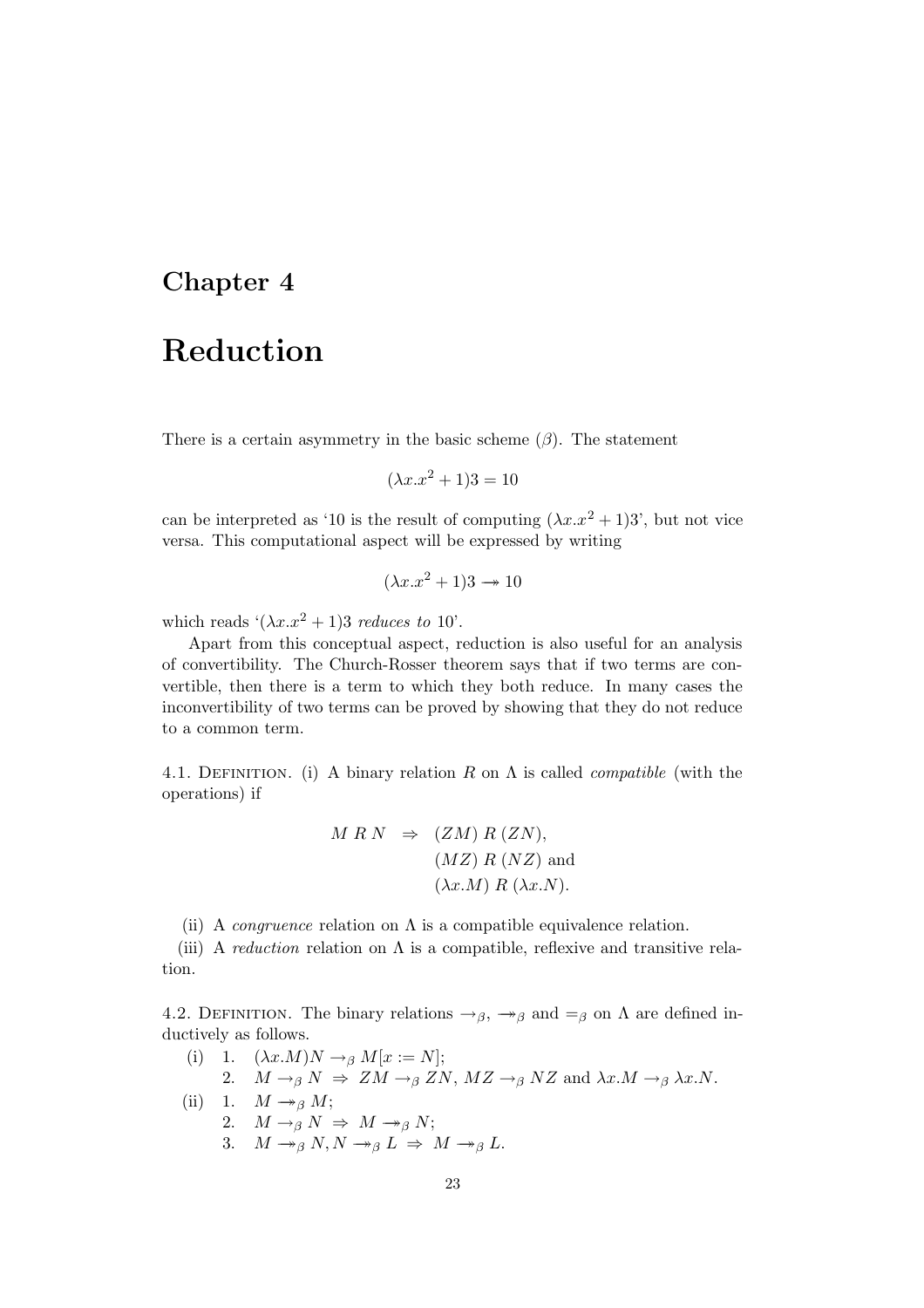## Chapter 4

# Reduction

There is a certain asymmetry in the basic scheme  $(\beta)$ . The statement

$$
(\lambda x.x^2 + 1)3 = 10
$$

can be interpreted as '10 is the result of computing  $(\lambda x.x^2 + 1)3'$ , but not vice versa. This computational aspect will be expressed by writing

$$
(\lambda x.x^2 + 1)3 \rightarrow 10
$$

which reads  $(\lambda x.x^2 + 1)3$  reduces to 10'.

Apart from this conceptual aspect, reduction is also useful for an analysis of convertibility. The Church-Rosser theorem says that if two terms are convertible, then there is a term to which they both reduce. In many cases the inconvertibility of two terms can be proved by showing that they do not reduce to a common term.

4.1. DEFINITION. (i) A binary relation R on  $\Lambda$  is called *compatible* (with the operations) if

$$
M R N \Rightarrow (ZM) R (ZN),
$$
  
\n
$$
(MZ) R (NZ) and
$$
  
\n
$$
(\lambda x.M) R (\lambda x.N).
$$

(ii) A *congruence* relation on  $\Lambda$  is a compatible equivalence relation.

(iii) A reduction relation on  $\Lambda$  is a compatible, reflexive and transitive relation.

4.2. DEFINITION. The binary relations  $\rightarrow_{\beta}$ ,  $\rightarrow_{\beta}$  and  $=\beta$  on  $\Lambda$  are defined inductively as follows.

(i) 1. 
$$
(\lambda x.M)N \rightarrow_{\beta} M[x := N];
$$
  
\n2.  $M \rightarrow_{\beta} N \Rightarrow ZM \rightarrow_{\beta} ZN, MZ \rightarrow_{\beta} NZ$  and  $\lambda x.M \rightarrow_{\beta} \lambda x.N.$   
\n(ii) 1.  $M \rightarrow_{\beta} M;$   
\n2.  $M \rightarrow_{\beta} N \Rightarrow M \rightarrow_{\beta} N;$   
\n3.  $M \rightarrow_{\beta} N, N \rightarrow_{\beta} L \Rightarrow M \rightarrow_{\beta} L.$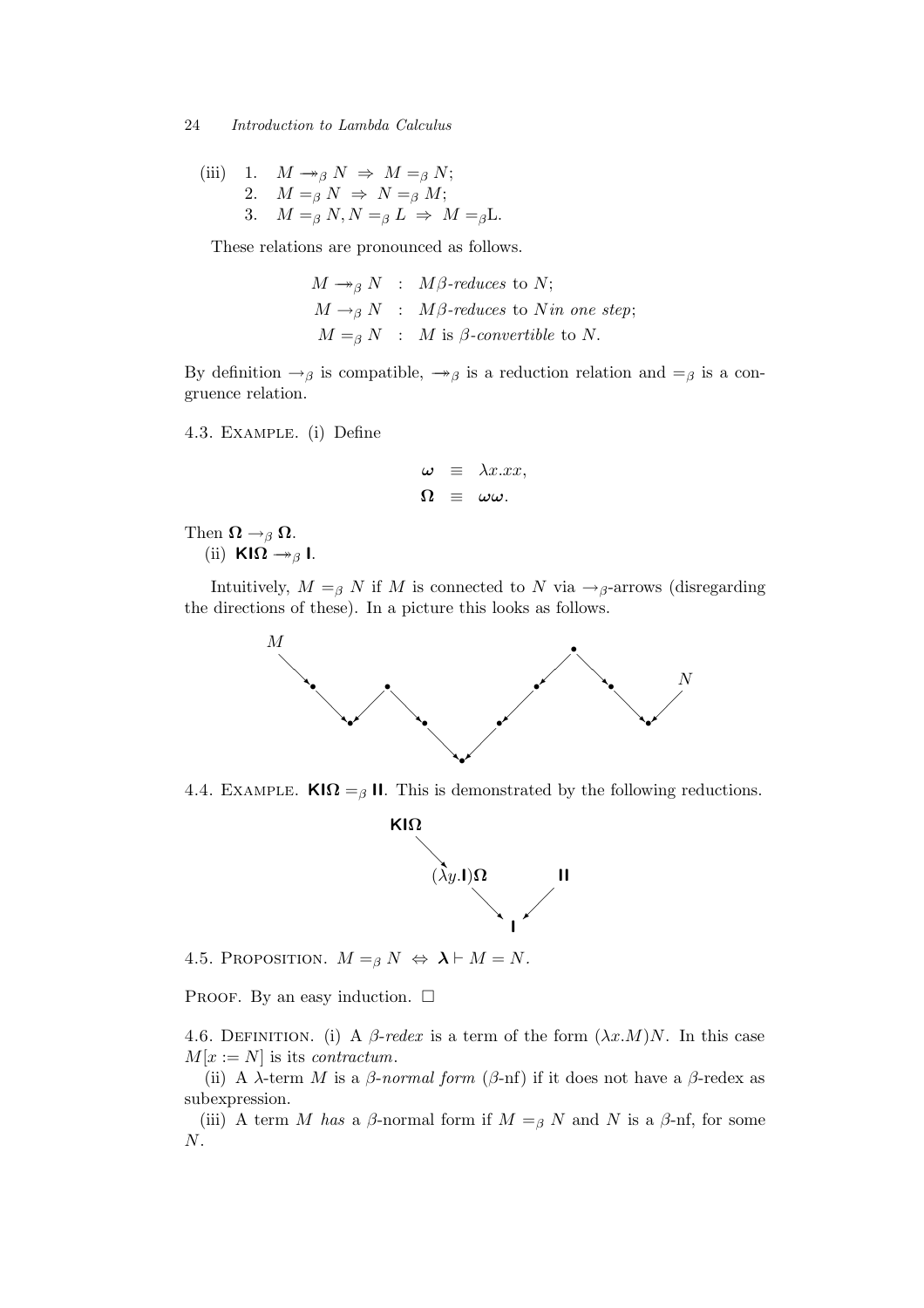(iii) 1. 
$$
M \rightarrow_{\beta} N \Rightarrow M =_{\beta} N
$$
;  
\n2.  $M =_{\beta} N \Rightarrow N =_{\beta} M$ ;  
\n3.  $M =_{\beta} N, N =_{\beta} L \Rightarrow M =_{\beta} L$ .

These relations are pronounced as follows.

$$
M \rightarrow_{\beta} N : M\beta
$$
-reduces to N;  
\n
$$
M \rightarrow_{\beta} N : M\beta
$$
-reduces to N in one step;  
\n
$$
M =_{\beta} N : M \text{ is } \beta
$$
-convertible to N.

By definition  $\rightarrow_{\beta}$  is compatible,  $\rightarrow_{\beta}$  is a reduction relation and  $=_{\beta}$  is a congruence relation.

4.3. Example. (i) Define

$$
\begin{array}{rcl}\n\boldsymbol{\omega} & \equiv & \lambda x . x x, \\
\boldsymbol{\Omega} & \equiv & \boldsymbol{\omega} \boldsymbol{\omega}.\n\end{array}
$$

Then  $\Omega \rightarrow_{\beta} \Omega$ .

(ii) KI $\Omega \rightarrow \beta$  I.

Intuitively,  $M = g N$  if M is connected to N via  $\rightarrow g$ -arrows (disregarding the directions of these). In a picture this looks as follows.



4.4. EXAMPLE. KI $\Omega = \beta$  II. This is demonstrated by the following reductions.



4.5. PROPOSITION.  $M =_{\beta} N \Leftrightarrow \lambda \vdash M = N$ .

PROOF. By an easy induction.  $\square$ 

4.6. DEFINITION. (i) A  $\beta$ -redex is a term of the form  $(\lambda x.M)N$ . In this case  $M[x := N]$  is its *contractum*.

(ii) A  $\lambda$ -term M is a  $\beta$ -normal form ( $\beta$ -nf) if it does not have a  $\beta$ -redex as subexpression.

(iii) A term M has a  $\beta$ -normal form if  $M = \beta N$  and N is a  $\beta$ -nf, for some N.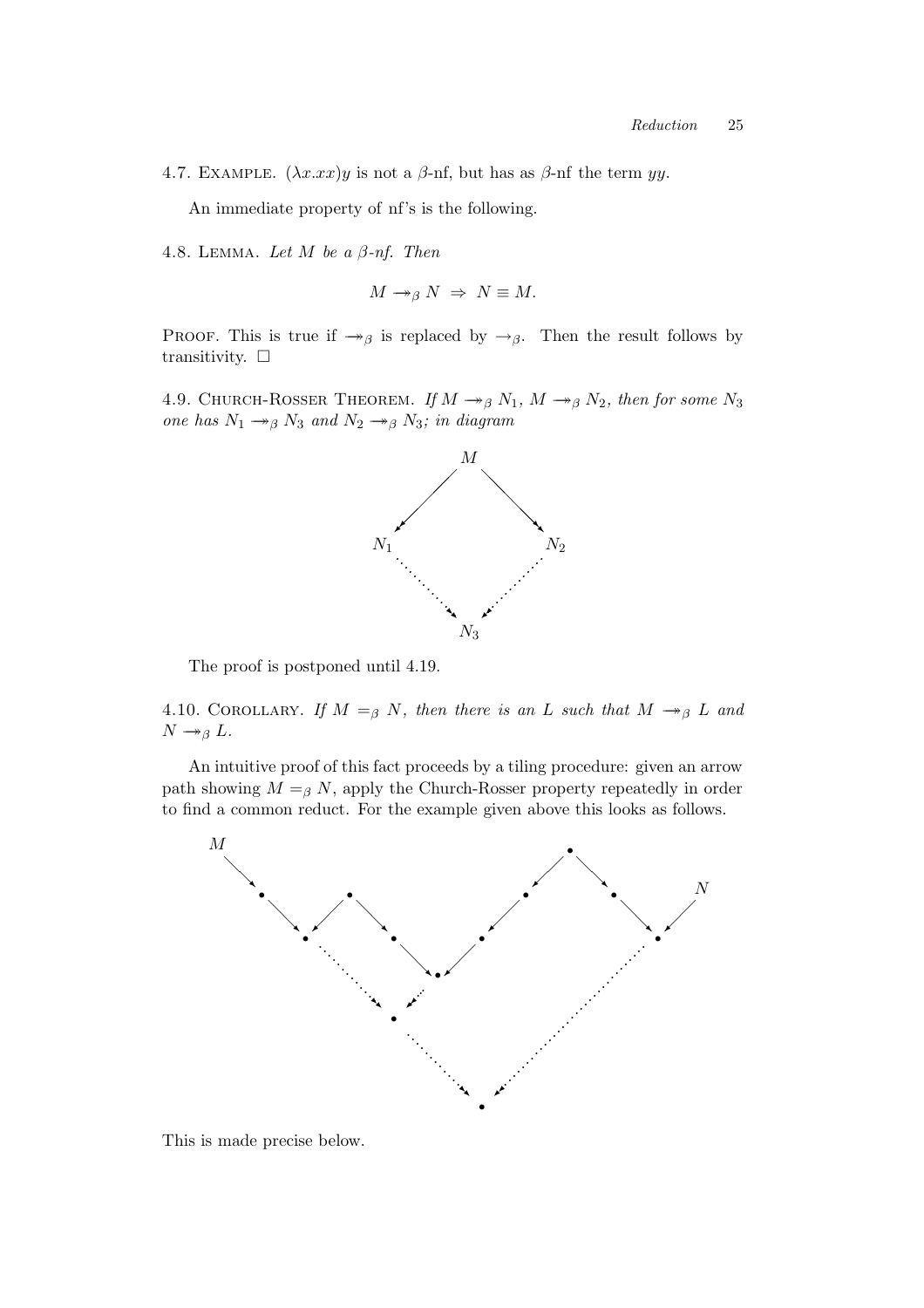4.7. EXAMPLE.  $(\lambda x . x x) y$  is not a  $\beta$ -nf, but has as  $\beta$ -nf the term yy.

An immediate property of nf's is the following.

4.8. LEMMA. Let  $M$  be a  $\beta$ -nf. Then

$$
M \twoheadrightarrow_{\beta} N \Rightarrow N \equiv M.
$$

PROOF. This is true if  $\rightarrow_{\beta}$  is replaced by  $\rightarrow_{\beta}$ . Then the result follows by transitivity.  $\Box$ 

4.9. CHURCH-ROSSER THEOREM. If  $M \rightarrow_{\beta} N_1$ ,  $M \rightarrow_{\beta} N_2$ , then for some  $N_3$ one has  $N_1 \rightarrow \beta N_3$  and  $N_2 \rightarrow \beta N_3$ ; in diagram



The proof is postponed until 4.19.

4.10. COROLLARY. If  $M = \beta N$ , then there is an L such that  $M \rightarrow \beta L$  and  $N \rightarrow \beta L$ .

An intuitive proof of this fact proceeds by a tiling procedure: given an arrow path showing  $M = \beta N$ , apply the Church-Rosser property repeatedly in order to find a common reduct. For the example given above this looks as follows.



This is made precise below.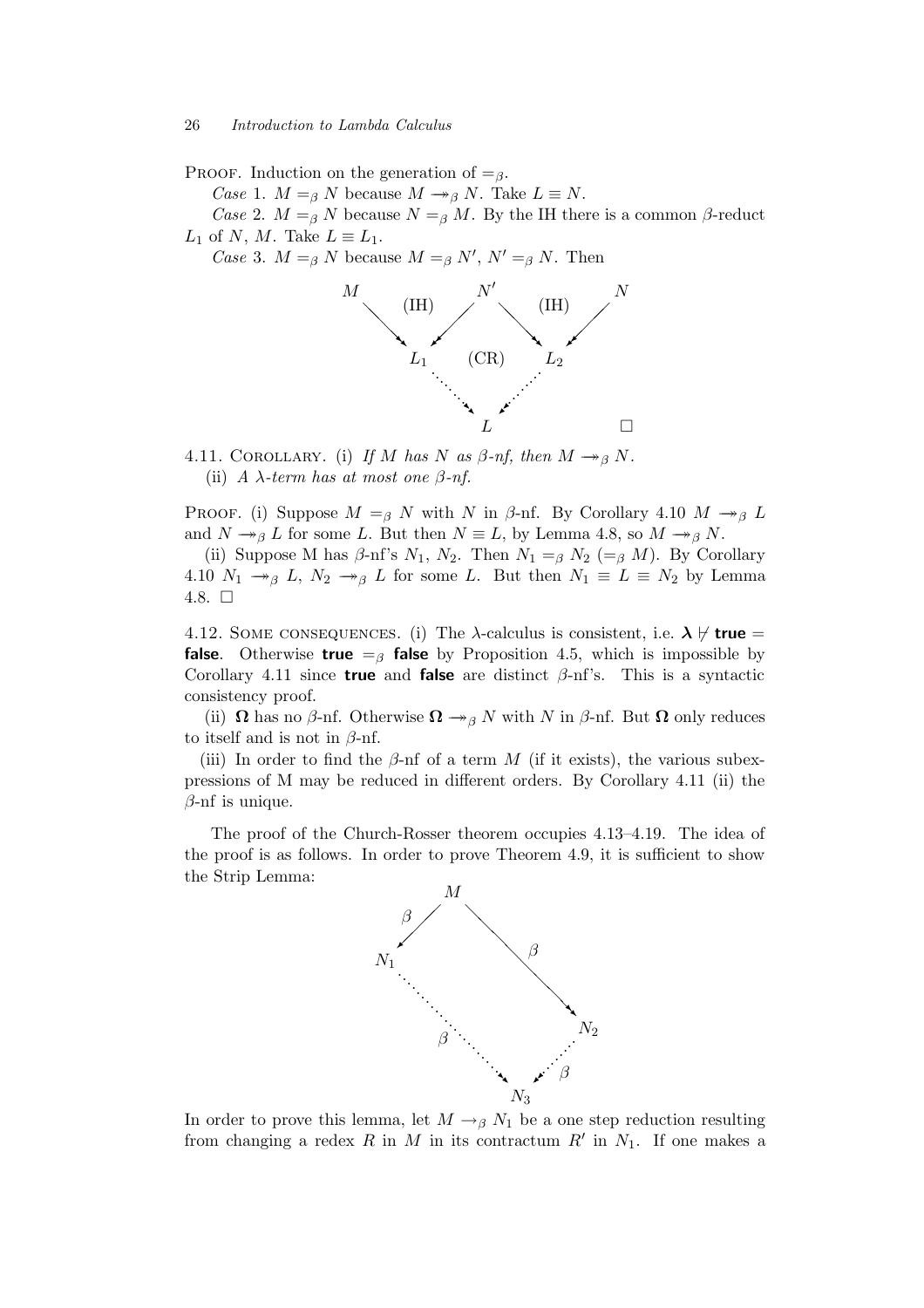PROOF. Induction on the generation of  $=$ <sub>β</sub>.

Case 1.  $M = \beta N$  because  $M \rightarrow \beta N$ . Take  $L \equiv N$ .

Case 2.  $M = \beta N$  because  $N = \beta M$ . By the IH there is a common  $\beta$ -reduct  $L_1$  of N, M. Take  $L \equiv L_1$ .

*Case* 3.  $M = \beta N$  because  $M = \beta N'$ ,  $N' = \beta N$ . Then



4.11. COROLLARY. (i) If M has N as  $\beta$ -nf, then  $M \rightarrow_{\beta} N$ . (ii) A  $\lambda$ -term has at most one  $\beta$ -nf.

PROOF. (i) Suppose  $M = g N$  with N in  $\beta$ -nf. By Corollary 4.10  $M \rightarrow g L$ and  $N \rightarrow_{\beta} L$  for some L. But then  $N \equiv L$ , by Lemma 4.8, so  $M \rightarrow_{\beta} N$ .

(ii) Suppose M has  $\beta$ -nf's  $N_1$ ,  $N_2$ . Then  $N_1 =_\beta N_2 (=_\beta M)$ . By Corollary 4.10  $N_1 \rightarrow \beta L$ ,  $N_2 \rightarrow \beta L$  for some L. But then  $N_1 \equiv L \equiv N_2$  by Lemma 4.8.  $\Box$ 

4.12. SOME CONSEQUENCES. (i) The  $\lambda$ -calculus is consistent, i.e.  $\lambda \neq true =$ **false.** Otherwise **true**  $=$ <sup> $\beta$ </sup> **false** by Proposition 4.5, which is impossible by Corollary 4.11 since true and false are distinct  $\beta$ -nf's. This is a syntactic consistency proof.

(ii)  $\Omega$  has no  $\beta$ -nf. Otherwise  $\Omega \rightarrow \beta N$  with N in  $\beta$ -nf. But  $\Omega$  only reduces to itself and is not in  $\beta$ -nf.

(iii) In order to find the  $\beta$ -nf of a term M (if it exists), the various subexpressions of M may be reduced in different orders. By Corollary 4.11 (ii) the  $\beta$ -nf is unique.

The proof of the Church-Rosser theorem occupies 4.13–4.19. The idea of the proof is as follows. In order to prove Theorem 4.9, it is sufficient to show the Strip Lemma:



In order to prove this lemma, let  $M \to_{\beta} N_1$  be a one step reduction resulting from changing a redex R in M in its contractum  $R'$  in  $N_1$ . If one makes a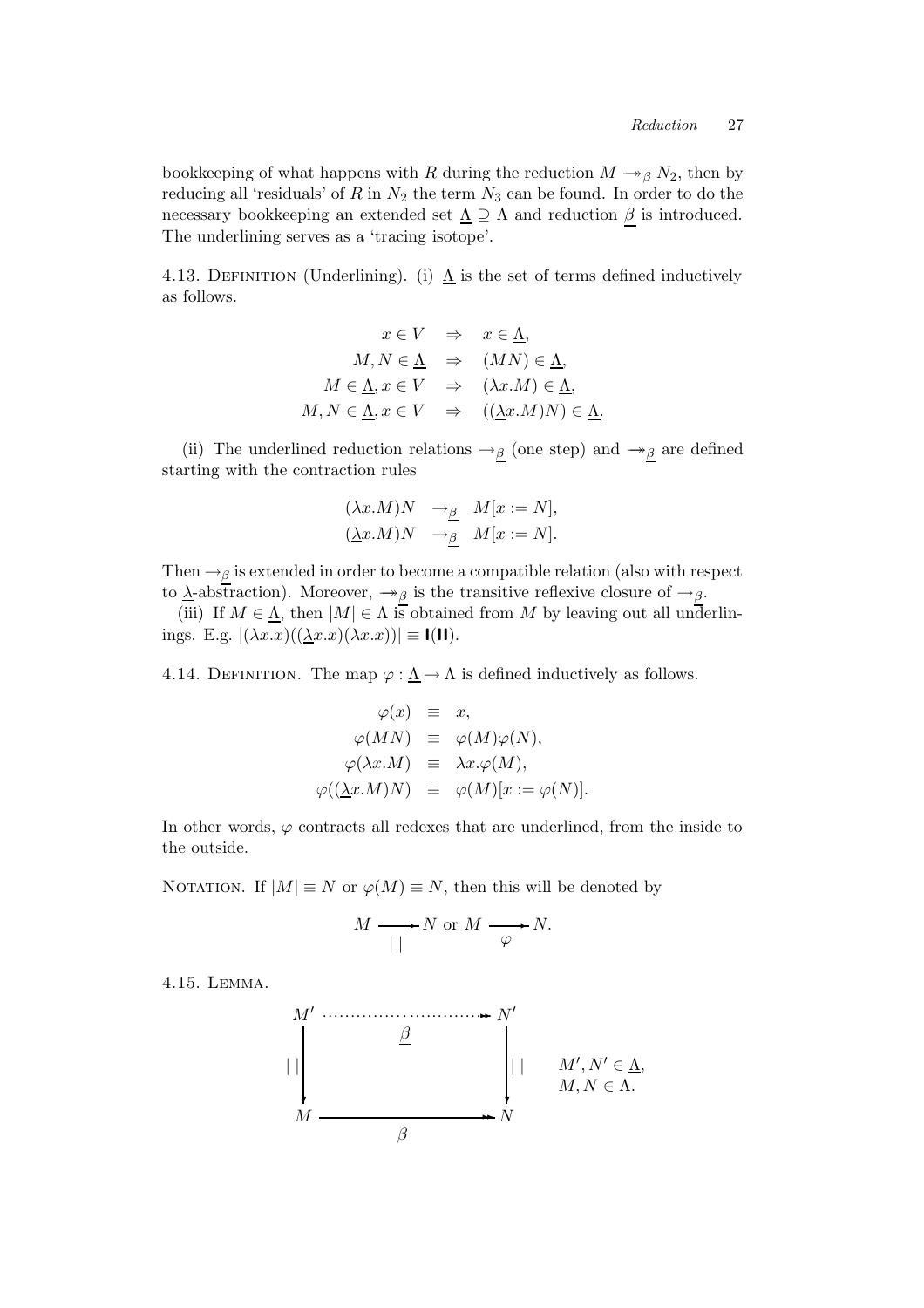bookkeeping of what happens with R during the reduction  $M \rightarrow_{\beta} N_2$ , then by reducing all 'residuals' of R in  $N_2$  the term  $N_3$  can be found. In order to do the necessary bookkeeping an extended set  $\Lambda \supseteq \Lambda$  and reduction  $\beta$  is introduced. The underlining serves as a 'tracing isotope'.

4.13. DEFINITION (Underlining). (i)  $\Lambda$  is the set of terms defined inductively as follows.

$$
x \in V \quad \Rightarrow \quad x \in \underline{\Lambda},
$$

$$
M, N \in \underline{\Lambda} \quad \Rightarrow \quad (MN) \in \underline{\Lambda},
$$

$$
M \in \underline{\Lambda}, x \in V \quad \Rightarrow \quad (\lambda x.M) \in \underline{\Lambda},
$$

$$
M, N \in \underline{\Lambda}, x \in V \quad \Rightarrow \quad ((\underline{\lambda}x.M)N) \in \underline{\Lambda}.
$$

(ii) The underlined reduction relations  $\rightarrow$ <sub>β</sub> (one step) and  $\rightarrow$ <sub>β</sub> are defined starting with the contraction rules

$$
(\lambda x.M)N \rightarrow_{\underline{\beta}} M[x := N],
$$
  

$$
(\underline{\lambda}x.M)N \rightarrow_{\beta} M[x := N].
$$

Then  $\rightarrow$ <sub>β</sub> is extended in order to become a compatible relation (also with respect to  $\lambda$ -abstraction). Moreover,  $\rightarrow_{\beta}$  is the transitive reflexive closure of  $\rightarrow_{\beta}$ .

(iii) If  $M \in \underline{\Lambda}$ , then  $|M| \in \Lambda$  is obtained from M by leaving out all underlinings. E.g.  $|(\lambda x.x)((\lambda x.x)(\lambda x.x))| \equiv I(II).$ 

4.14. DEFINITION. The map  $\varphi : \underline{\Lambda} \to \Lambda$  is defined inductively as follows.

$$
\varphi(x) \equiv x,
$$
  
\n
$$
\varphi(MN) \equiv \varphi(M)\varphi(N),
$$
  
\n
$$
\varphi(\lambda x.M) \equiv \lambda x.\varphi(M),
$$
  
\n
$$
\varphi((\underline{\lambda}x.M)N) \equiv \varphi(M)[x := \varphi(N)].
$$

In other words,  $\varphi$  contracts all redexes that are underlined, from the inside to the outside.

NOTATION. If  $|M| \equiv N$  or  $\varphi(M) \equiv N$ , then this will be denoted by

$$
M \longrightarrow N \text{ or } M \longrightarrow N.
$$

4.15. Lemma.

$$
M'
$$
 
$$
\downarrow
$$
 
$$
M'
$$
 
$$
\downarrow
$$
 
$$
M'
$$
 
$$
M'
$$
 
$$
M'
$$
 
$$
M'
$$
 
$$
M'
$$
 
$$
M'
$$
 
$$
M'
$$
 
$$
M'
$$
 
$$
M'
$$
 
$$
M'
$$
 
$$
M'
$$
 
$$
M'
$$
 
$$
M'
$$
 
$$
M'
$$
 
$$
M'
$$
 
$$
M'
$$
 
$$
M'
$$
 
$$
M'
$$
 
$$
M'
$$
 
$$
M'
$$
 
$$
M'
$$
 
$$
M'
$$
 
$$
M'
$$
 
$$
M'
$$
 
$$
M'
$$
 
$$
M'
$$
 
$$
M'
$$
 
$$
M'
$$
 
$$
M'
$$
 
$$
M'
$$
 
$$
M'
$$
 
$$
M'
$$
 
$$
M'
$$
 
$$
M'
$$
 
$$
M'
$$
 
$$
M'
$$
 
$$
M'
$$
 
$$
M'
$$
 
$$
M'
$$
 
$$
M'
$$
 
$$
M'
$$
 
$$
M'
$$
 
$$
M'
$$
 
$$
M'
$$
 
$$
M'
$$
 
$$
M'
$$
 
$$
M'
$$
 
$$
M'
$$
 
$$
M'
$$
 
$$
M'
$$
 
$$
M'
$$
 
$$
M'
$$
 
$$
M'
$$
 
$$
M'
$$
 
$$
M'
$$
 
$$
M'
$$
 
$$
M'
$$
 
$$
M'
$$
 
$$
M'
$$
 
$$
M'
$$
 
$$
M'
$$
 
$$
M'
$$
 
$$
M'
$$
 
$$
M'
$$
 
$$
M'
$$
 
$$
M'
$$
 
$$
M'
$$
 
$$
M'
$$
 
$$
M'
$$
 
$$
M'
$$
 
$$
M'
$$
 
$$
M'
$$
  $$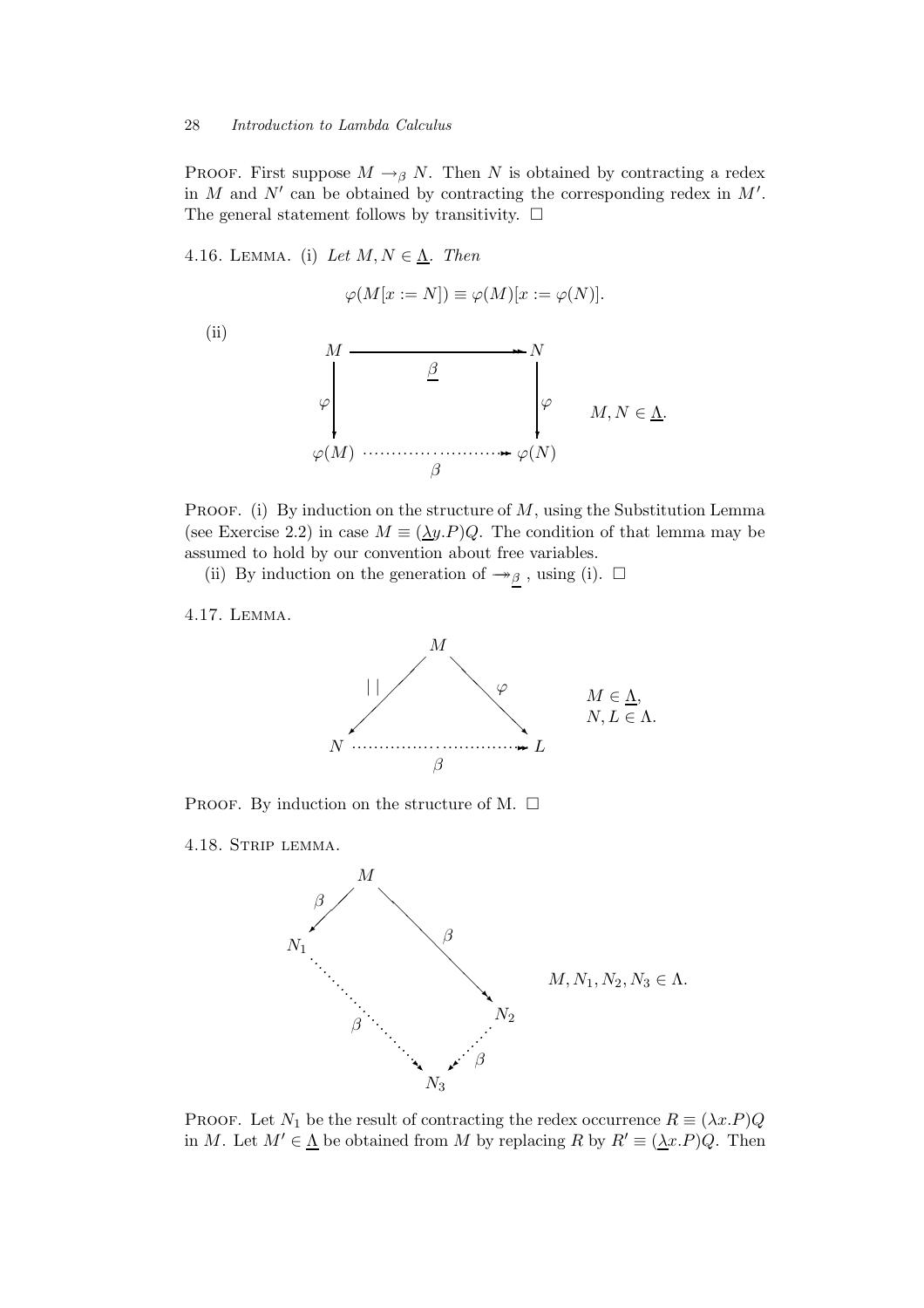PROOF. First suppose  $M \to_{\beta} N$ . Then N is obtained by contracting a redex in M and N' can be obtained by contracting the corresponding redex in  $M'$ . The general statement follows by transitivity.  $\Box$ 

4.16. LEMMA. (i) Let  $M, N \in \underline{\Lambda}$ . Then

$$
\varphi(M[x := N]) \equiv \varphi(M)[x := \varphi(N)].
$$

 $(ii)$ 



PROOF. (i) By induction on the structure of  $M$ , using the Substitution Lemma (see Exercise 2.2) in case  $M \equiv (\underline{\lambda}y.P)Q$ . The condition of that lemma may be assumed to hold by our convention about free variables.

(ii) By induction on the generation of  $\rightarrow_{\beta}$ , using (i).  $\Box$ 

4.17. Lemma.



PROOF. By induction on the structure of M.  $\Box$ 

4.18. Strip lemma.



PROOF. Let  $N_1$  be the result of contracting the redex occurrence  $R \equiv (\lambda x.P)Q$ in M. Let  $M' \in \underline{\Lambda}$  be obtained from M by replacing R by  $R' \equiv (\underline{\lambda}x.P)Q$ . Then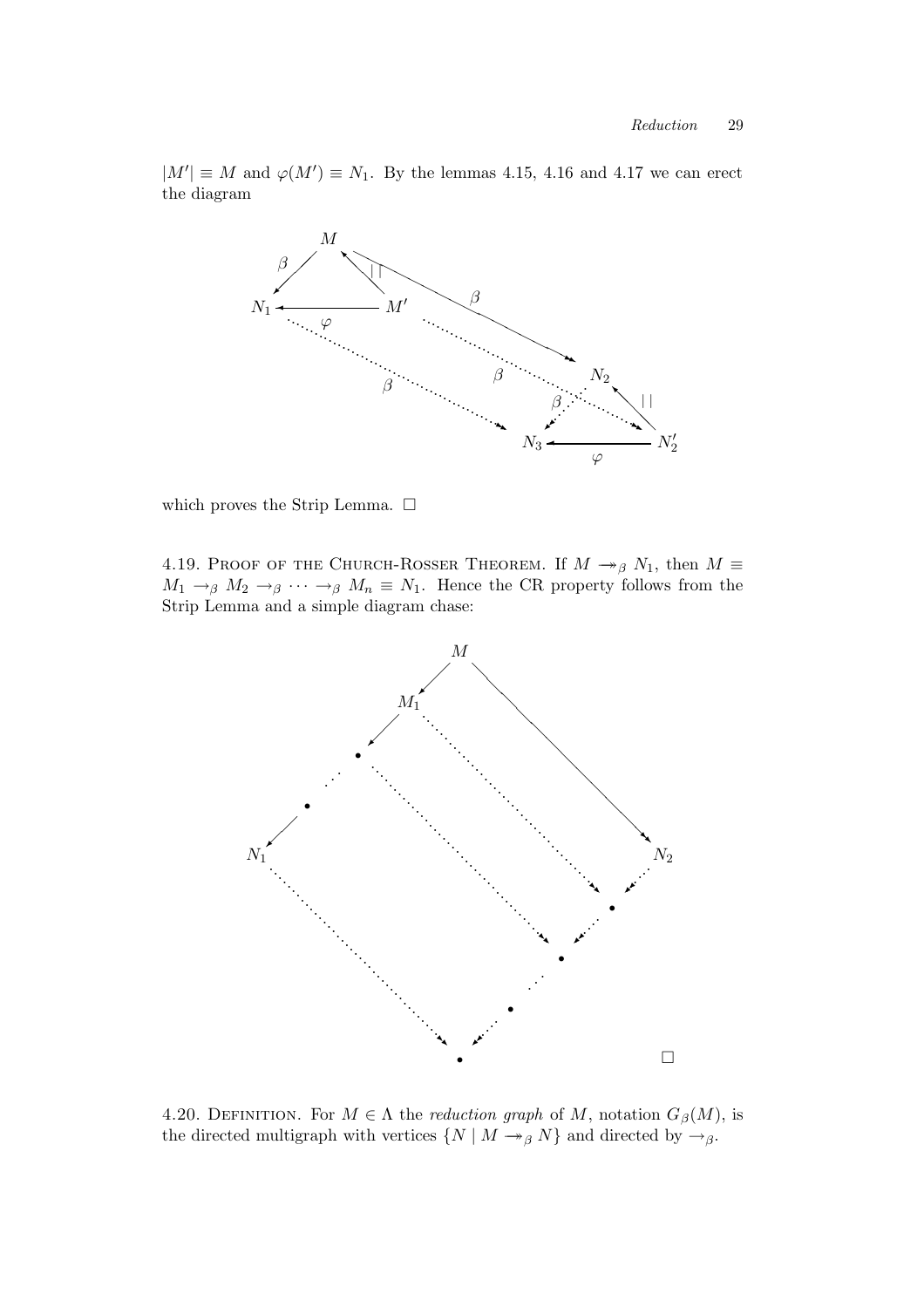$|M'| \equiv M$  and  $\varphi(M') \equiv N_1$ . By the lemmas 4.15, 4.16 and 4.17 we can erect the diagram



which proves the Strip Lemma.  $\Box$ 

4.19. PROOF OF THE CHURCH-ROSSER THEOREM. If  $M \rightarrow_{\beta} N_1$ , then  $M \equiv$  $M_1 \rightarrow \beta M_2 \rightarrow \beta \cdots \rightarrow \beta M_n \equiv N_1$ . Hence the CR property follows from the Strip Lemma and a simple diagram chase:



4.20. DEFINITION. For  $M \in \Lambda$  the reduction graph of M, notation  $G_{\beta}(M)$ , is the directed multigraph with vertices  $\{N \mid M \to_{\beta} N\}$  and directed by  $\to_{\beta}$ .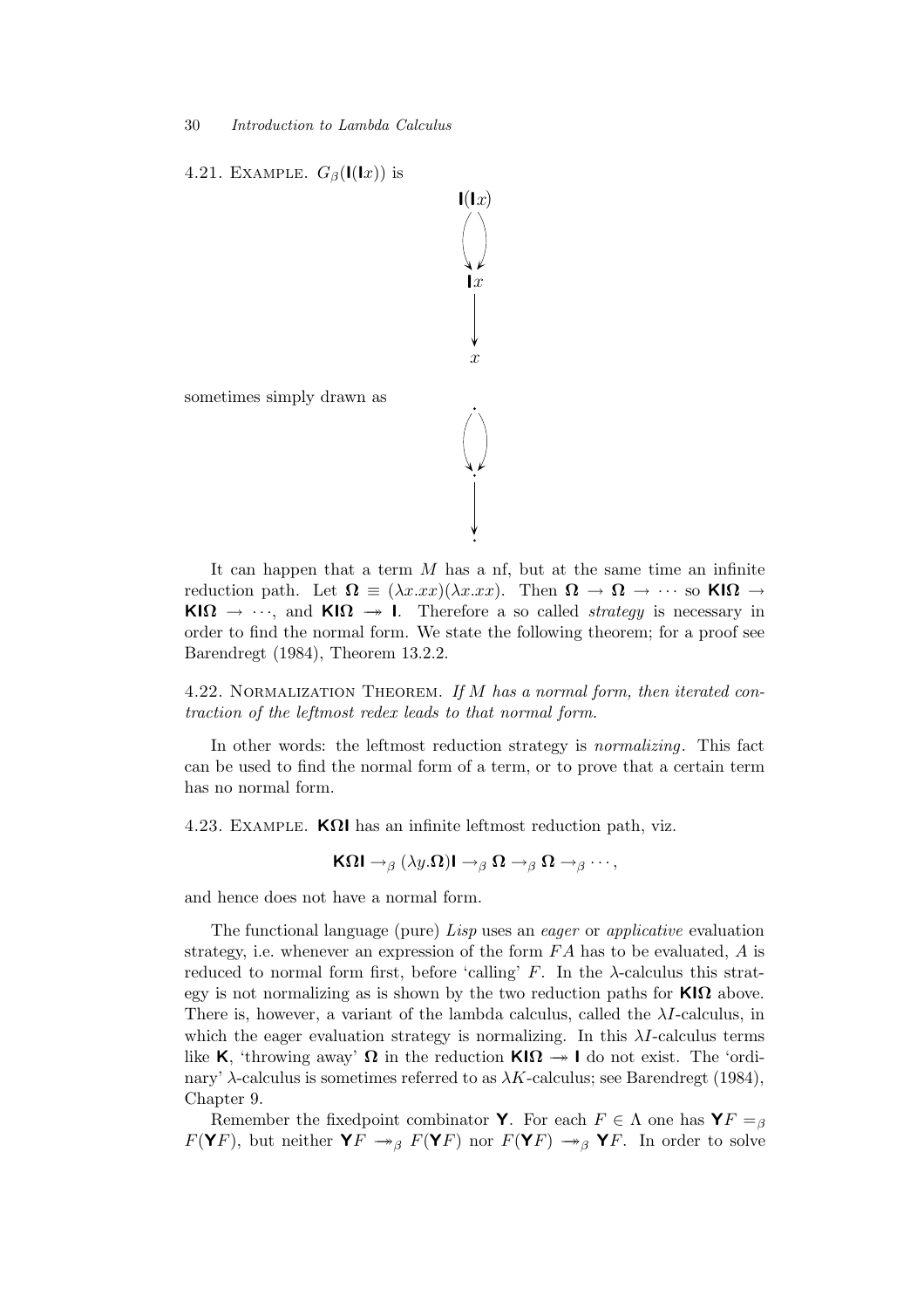4.21. EXAMPLE.  $G_{\beta}(\mathbf{l}(\mathbf{l}x))$  is



sometimes simply drawn as

It can happen that a term  $M$  has a nf, but at the same time an infinite reduction path. Let  $\Omega \equiv (\lambda x . x x)(\lambda x . x x)$ . Then  $\Omega \to \Omega \to \cdots$  so  $\mathsf{K} \Omega \to$ KI $\Omega \rightarrow \cdots$ , and KI $\Omega \rightarrow I$ . Therefore a so called *strategy* is necessary in order to find the normal form. We state the following theorem; for a proof see Barendregt (1984), Theorem 13.2.2.

4.22. NORMALIZATION THEOREM. If M has a normal form, then iterated contraction of the leftmost redex leads to that normal form.

In other words: the leftmost reduction strategy is *normalizing*. This fact can be used to find the normal form of a term, or to prove that a certain term has no normal form.

4.23. EXAMPLE. KΩI has an infinite leftmost reduction path, viz.

$$
K\Omega I \to_{\beta} (\lambda y.\Omega) I \to_{\beta} \Omega \to_{\beta} \Omega \to_{\beta} \cdots,
$$

and hence does not have a normal form.

The functional language (pure) Lisp uses an eager or applicative evaluation strategy, i.e. whenever an expression of the form  $FA$  has to be evaluated,  $A$  is reduced to normal form first, before 'calling'  $F$ . In the  $\lambda$ -calculus this strategy is not normalizing as is shown by the two reduction paths for  $K$ I $\Omega$  above. There is, however, a variant of the lambda calculus, called the  $\lambda I$ -calculus, in which the eager evaluation strategy is normalizing. In this  $\lambda I$ -calculus terms like K, 'throwing away'  $\Omega$  in the reduction  $\mathsf{K}|\Omega \to \mathsf{I}$  do not exist. The 'ordinary'  $\lambda$ -calculus is sometimes referred to as  $\lambda K$ -calculus; see Barendregt (1984), Chapter 9.

Remember the fixedpoint combinator **Y**. For each  $F \in \Lambda$  one has  $\mathbf{Y}F = \beta$  $F(\mathbf{Y}F)$ , but neither  $\mathbf{Y}F \twoheadrightarrow_{\beta} F(\mathbf{Y}F)$  nor  $F(\mathbf{Y}F) \twoheadrightarrow_{\beta} \mathbf{Y}F$ . In order to solve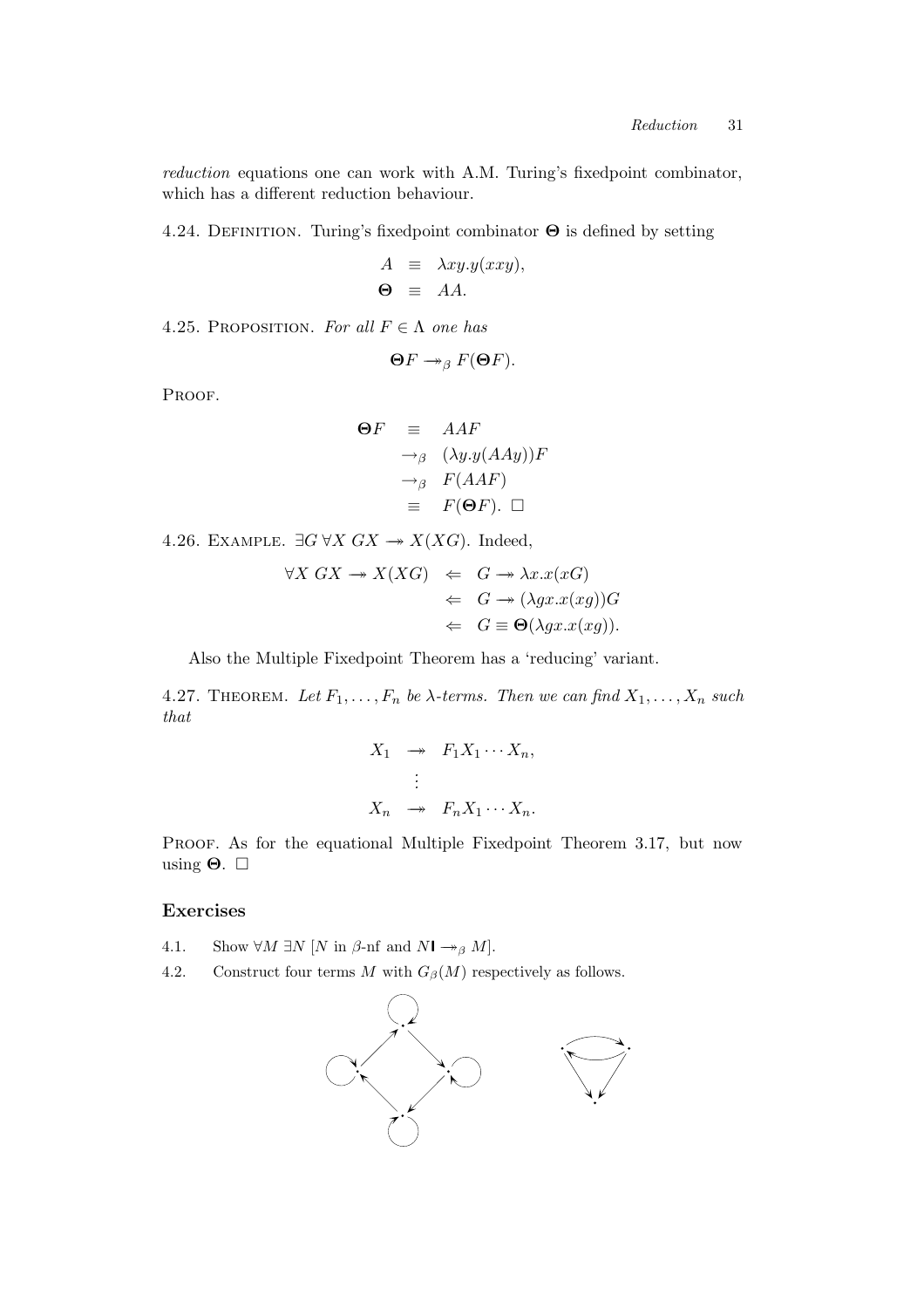reduction equations one can work with A.M. Turing's fixedpoint combinator, which has a different reduction behaviour.

4.24. DEFINITION. Turing's fixedpoint combinator  $\Theta$  is defined by setting

$$
A \equiv \lambda xy.y(xxy),
$$
  

$$
\Theta \equiv AA.
$$

4.25. PROPOSITION. For all  $F \in \Lambda$  one has

$$
\Theta F \twoheadrightarrow_{\beta} F(\Theta F).
$$

PROOF.

$$
\begin{aligned}\n\Theta F & \equiv \quad AAF \\
\rightarrow_{\beta} \quad (\lambda y.y(AAy))F \\
\rightarrow_{\beta} \quad F(AAF) \\
& \equiv \quad F(\Theta F). \quad \Box\n\end{aligned}
$$

4.26. EXAMPLE.  $\exists G \forall X G X \rightarrow X(XG)$ . Indeed,

$$
\forall X \, GX \to X(XG) \iff G \to \lambda x. x(xG)
$$
  

$$
\iff G \to (\lambda gx. x(xg))G
$$
  

$$
\iff G \equiv \Theta(\lambda gx. x(xg)).
$$

Also the Multiple Fixedpoint Theorem has a 'reducing' variant.

4.27. THEOREM. Let  $F_1, \ldots, F_n$  be  $\lambda$ -terms. Then we can find  $X_1, \ldots, X_n$  such that

$$
X_1 \rightarrow F_1 X_1 \cdots X_n,
$$
  
\n
$$
\vdots
$$
  
\n
$$
X_n \rightarrow F_n X_1 \cdots X_n.
$$

PROOF. As for the equational Multiple Fixedpoint Theorem 3.17, but now using  $\Theta$ .  $\square$ 

### Exercises

- 4.1. Show  $\forall M \exists N \ [N \text{ in } \beta\text{-nf} \text{ and } N \mathbf{I} \rightarrow_{\beta} M].$
- 4.2. Construct four terms  $M$  with  $G_{\beta}(M)$  respectively as follows.

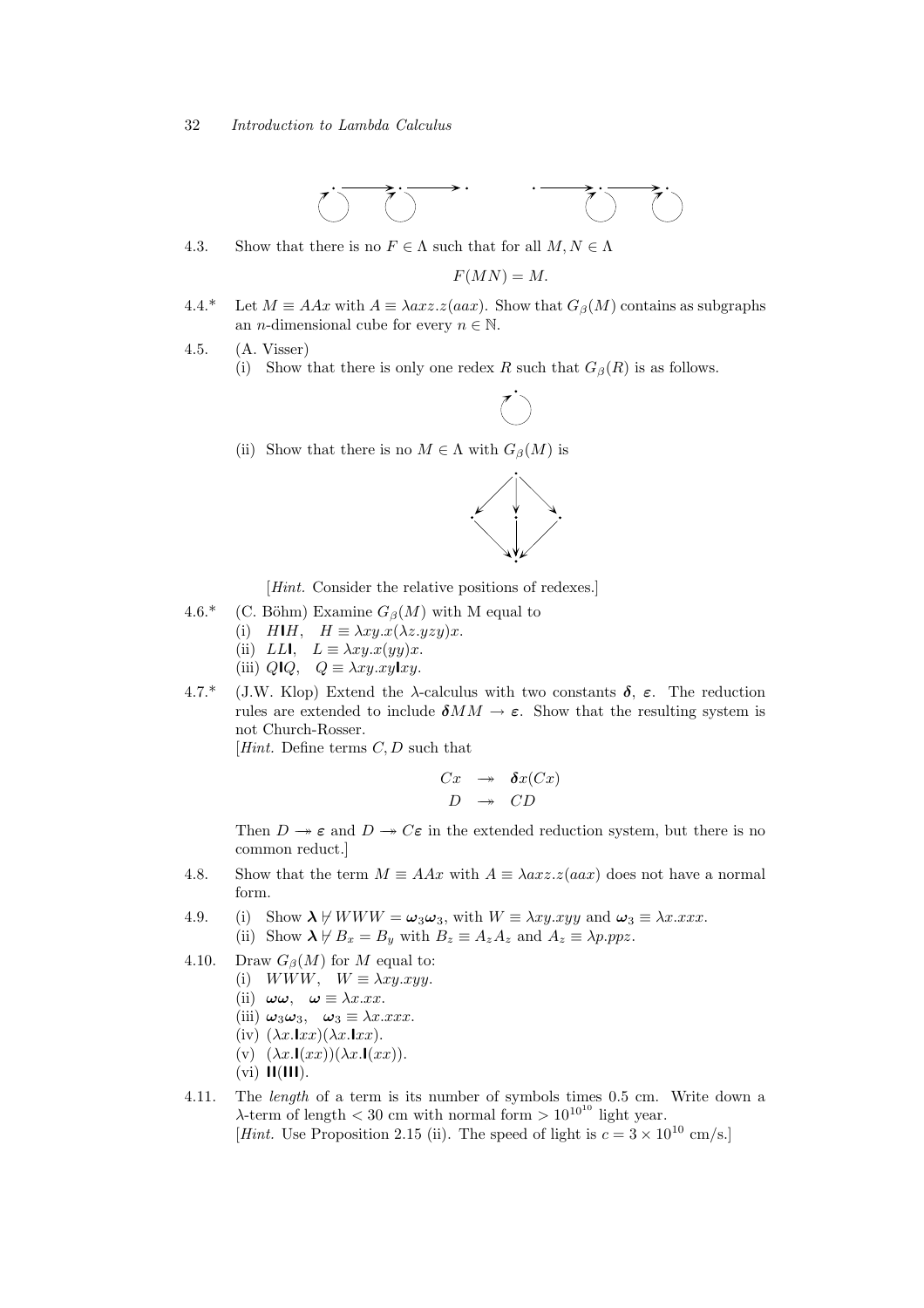

4.3. Show that there is no  $F \in \Lambda$  such that for all  $M, N \in \Lambda$ 

 $F(MN) = M$ .

- 4.4.\* Let  $M \equiv A A x$  with  $A \equiv \lambda a x z . z (a a x)$ . Show that  $G_{\beta}(M)$  contains as subgraphs an *n*-dimensional cube for every  $n \in \mathbb{N}$ .
- 4.5. (A. Visser)
	- (i) Show that there is only one redex R such that  $G_{\beta}(R)$  is as follows.



(ii) Show that there is no  $M \in \Lambda$  with  $G_{\beta}(M)$  is



[Hint. Consider the relative positions of redexes.]

- 4.6.\* (C. Böhm) Examine  $G_\beta(M)$  with M equal to
	- (i)  $H\Pi H$ ,  $H \equiv \lambda xy.x(\lambda z.yzy)x$ .
	- (ii) LLI,  $L \equiv \lambda xy \cdot x(yy)x$ .
	- (iii)  $Q \mathbf{I} Q$ ,  $Q \equiv \lambda xy. xy \mathbf{I} xy$ .
- 4.7.\* (J.W. Klop) Extend the  $\lambda$ -calculus with two constants  $\delta$ ,  $\varepsilon$ . The reduction rules are extended to include  $\delta MM \to \varepsilon$ . Show that the resulting system is not Church-Rosser.

[*Hint*. Define terms  $C, D$  such that

$$
\begin{array}{rcl}\nCx & \to & \delta x(Cx) \\
D & \to & CD\n\end{array}
$$

Then  $D \to \varepsilon$  and  $D \to C\varepsilon$  in the extended reduction system, but there is no common reduct.]

- 4.8. Show that the term  $M \equiv A Ax$  with  $A \equiv \lambda axz.z(aax)$  does not have a normal form.
- 4.9. (i) Show  $\lambda \neq WWW = \omega_3 \omega_3$ , with  $W \equiv \lambda xy.xyy$  and  $\omega_3 \equiv \lambda x.xxx$ . (ii) Show  $\lambda \not\vdash B_x = B_y$  with  $B_z \equiv A_z A_z$  and  $A_z \equiv \lambda p.ppz$ .
- 4.10. Draw  $G_\beta(M)$  for M equal to:
	- (i) WWW,  $W \equiv \lambda xy.xyy$ .
	- (ii)  $\omega \omega$ ,  $\omega \equiv \lambda x . x x$ .
	- (iii)  $\omega_3\omega_3$ ,  $\omega_3 \equiv \lambda x. x x x$ .
	- (iv)  $(\lambda x.1xx)(\lambda x.1xx)$ .
	- (v)  $(\lambda x. \mathbf{I}(xx))(\lambda x. \mathbf{I}(xx)).$
	- $(vi)$  II(III).
- 4.11. The length of a term is its number of symbols times 0.5 cm. Write down a  $\lambda$ -term of length < 30 cm with normal form >  $10^{10^{10}}$  light year. [Hint. Use Proposition 2.15 (ii). The speed of light is  $c = 3 \times 10^{10}$  cm/s.]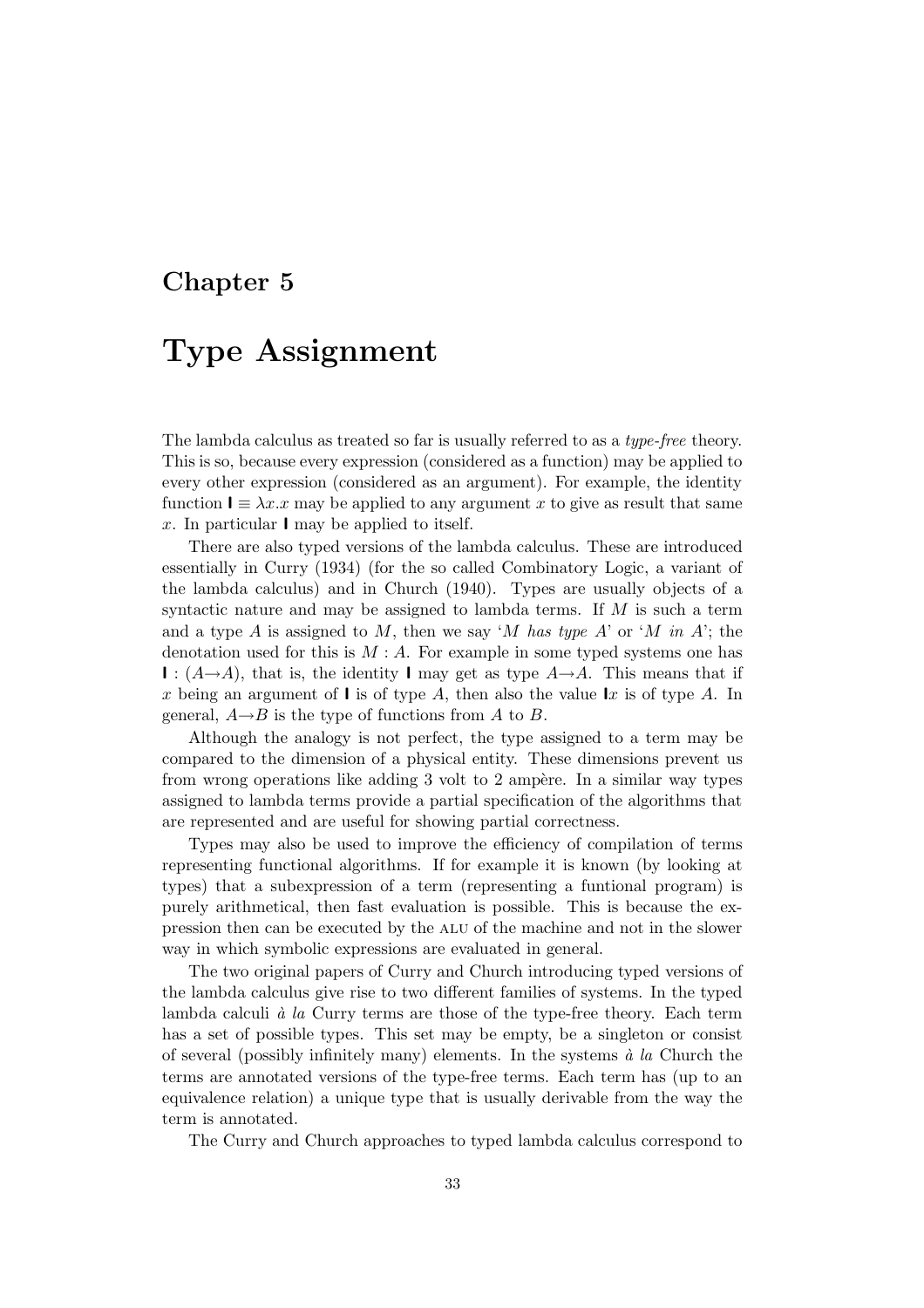## Chapter 5

# Type Assignment

The lambda calculus as treated so far is usually referred to as a *type-free* theory. This is so, because every expression (considered as a function) may be applied to every other expression (considered as an argument). For example, the identity function  $I = \lambda x \cdot x$  may be applied to any argument x to give as result that same x. In particular I may be applied to itself.

There are also typed versions of the lambda calculus. These are introduced essentially in Curry (1934) (for the so called Combinatory Logic, a variant of the lambda calculus) and in Church (1940). Types are usually objects of a syntactic nature and may be assigned to lambda terms. If  $M$  is such a term and a type A is assigned to M, then we say 'M has type A' or 'M in A'; the denotation used for this is  $M : A$ . For example in some typed systems one has  $I : (A \rightarrow A)$ , that is, the identity I may get as type  $A \rightarrow A$ . This means that if x being an argument of  $\mathsf{l}$  is of type A, then also the value  $\mathsf{l}x$  is of type A. In general,  $A \rightarrow B$  is the type of functions from A to B.

Although the analogy is not perfect, the type assigned to a term may be compared to the dimension of a physical entity. These dimensions prevent us from wrong operations like adding 3 volt to 2 ampère. In a similar way types assigned to lambda terms provide a partial specification of the algorithms that are represented and are useful for showing partial correctness.

Types may also be used to improve the efficiency of compilation of terms representing functional algorithms. If for example it is known (by looking at types) that a subexpression of a term (representing a funtional program) is purely arithmetical, then fast evaluation is possible. This is because the expression then can be executed by the alu of the machine and not in the slower way in which symbolic expressions are evaluated in general.

The two original papers of Curry and Church introducing typed versions of the lambda calculus give rise to two different families of systems. In the typed lambda calculi  $\dot{a}$  la Curry terms are those of the type-free theory. Each term has a set of possible types. This set may be empty, be a singleton or consist of several (possibly infinitely many) elements. In the systems  $\dot{a}$  la Church the terms are annotated versions of the type-free terms. Each term has (up to an equivalence relation) a unique type that is usually derivable from the way the term is annotated.

The Curry and Church approaches to typed lambda calculus correspond to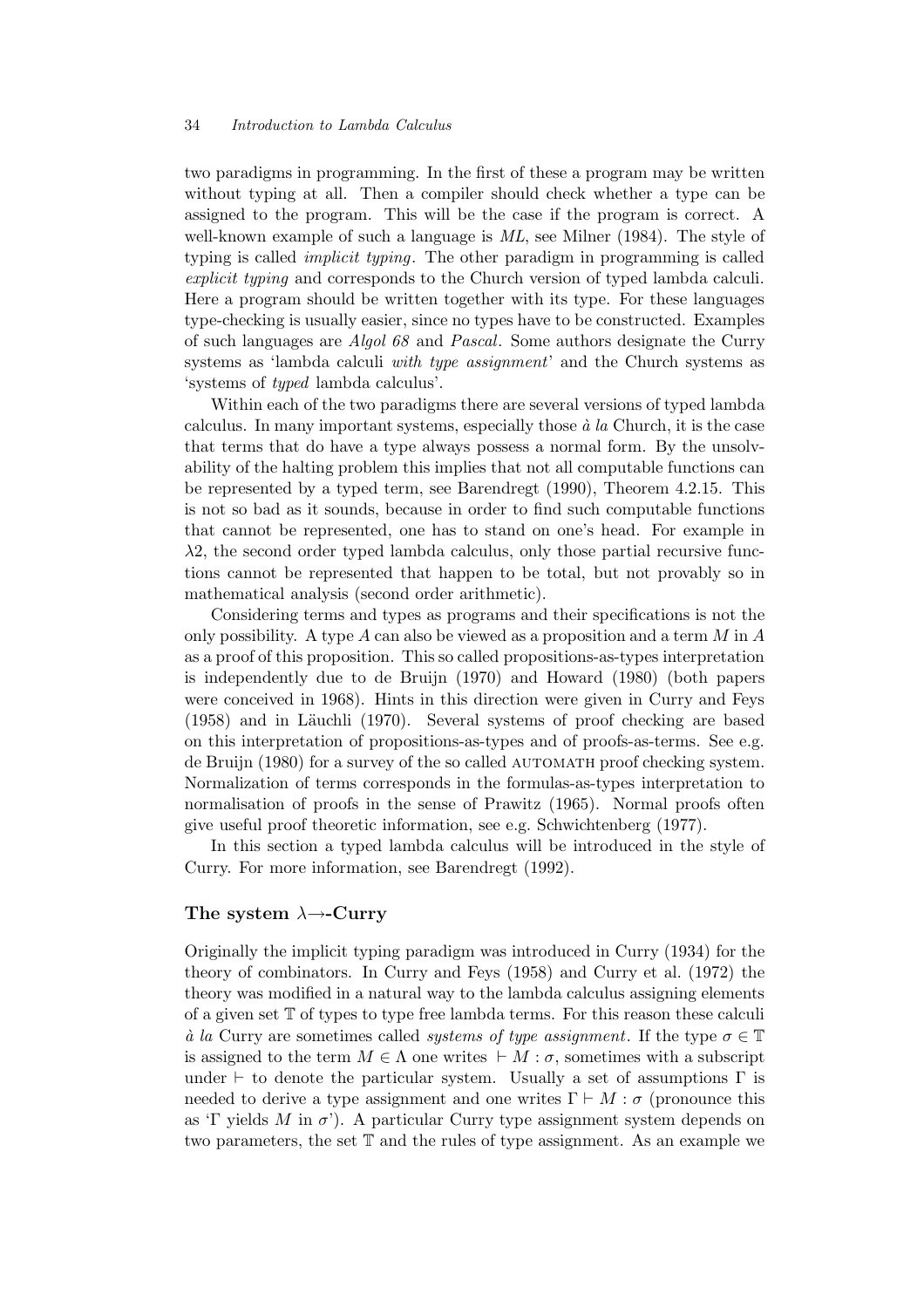two paradigms in programming. In the first of these a program may be written without typing at all. Then a compiler should check whether a type can be assigned to the program. This will be the case if the program is correct. A well-known example of such a language is  $ML$ , see Milner (1984). The style of typing is called *implicit typing*. The other paradigm in programming is called explicit typing and corresponds to the Church version of typed lambda calculi. Here a program should be written together with its type. For these languages type-checking is usually easier, since no types have to be constructed. Examples of such languages are Algol 68 and Pascal. Some authors designate the Curry systems as 'lambda calculi *with type assignment*' and the Church systems as 'systems of typed lambda calculus'.

Within each of the two paradigms there are several versions of typed lambda calculus. In many important systems, especially those  $\dot{a}$  la Church, it is the case that terms that do have a type always possess a normal form. By the unsolvability of the halting problem this implies that not all computable functions can be represented by a typed term, see Barendregt (1990), Theorem 4.2.15. This is not so bad as it sounds, because in order to find such computable functions that cannot be represented, one has to stand on one's head. For example in  $\lambda$ 2, the second order typed lambda calculus, only those partial recursive functions cannot be represented that happen to be total, but not provably so in mathematical analysis (second order arithmetic).

Considering terms and types as programs and their specifications is not the only possibility. A type  $A$  can also be viewed as a proposition and a term  $M$  in  $A$ as a proof of this proposition. This so called propositions-as-types interpretation is independently due to de Bruijn (1970) and Howard (1980) (both papers were conceived in 1968). Hints in this direction were given in Curry and Feys  $(1958)$  and in Läuchli  $(1970)$ . Several systems of proof checking are based on this interpretation of propositions-as-types and of proofs-as-terms. See e.g. de Bruijn (1980) for a survey of the so called automath proof checking system. Normalization of terms corresponds in the formulas-as-types interpretation to normalisation of proofs in the sense of Prawitz (1965). Normal proofs often give useful proof theoretic information, see e.g. Schwichtenberg (1977).

In this section a typed lambda calculus will be introduced in the style of Curry. For more information, see Barendregt (1992).

### The system  $\lambda \rightarrow$ -Curry

Originally the implicit typing paradigm was introduced in Curry (1934) for the theory of combinators. In Curry and Feys (1958) and Curry et al. (1972) the theory was modified in a natural way to the lambda calculus assigning elements of a given set T of types to type free lambda terms. For this reason these calculi a` la Curry are sometimes called *systems of type assignment*. If the type  $\sigma \in \mathbb{T}$ is assigned to the term  $M \in \Lambda$  one writes  $\vdash M : \sigma$ , sometimes with a subscript under  $\vdash$  to denote the particular system. Usually a set of assumptions  $\Gamma$  is needed to derive a type assignment and one writes  $\Gamma \vdash M : \sigma$  (pronounce this as 'Γ yields M in  $\sigma$ '). A particular Curry type assignment system depends on two parameters, the set T and the rules of type assignment. As an example we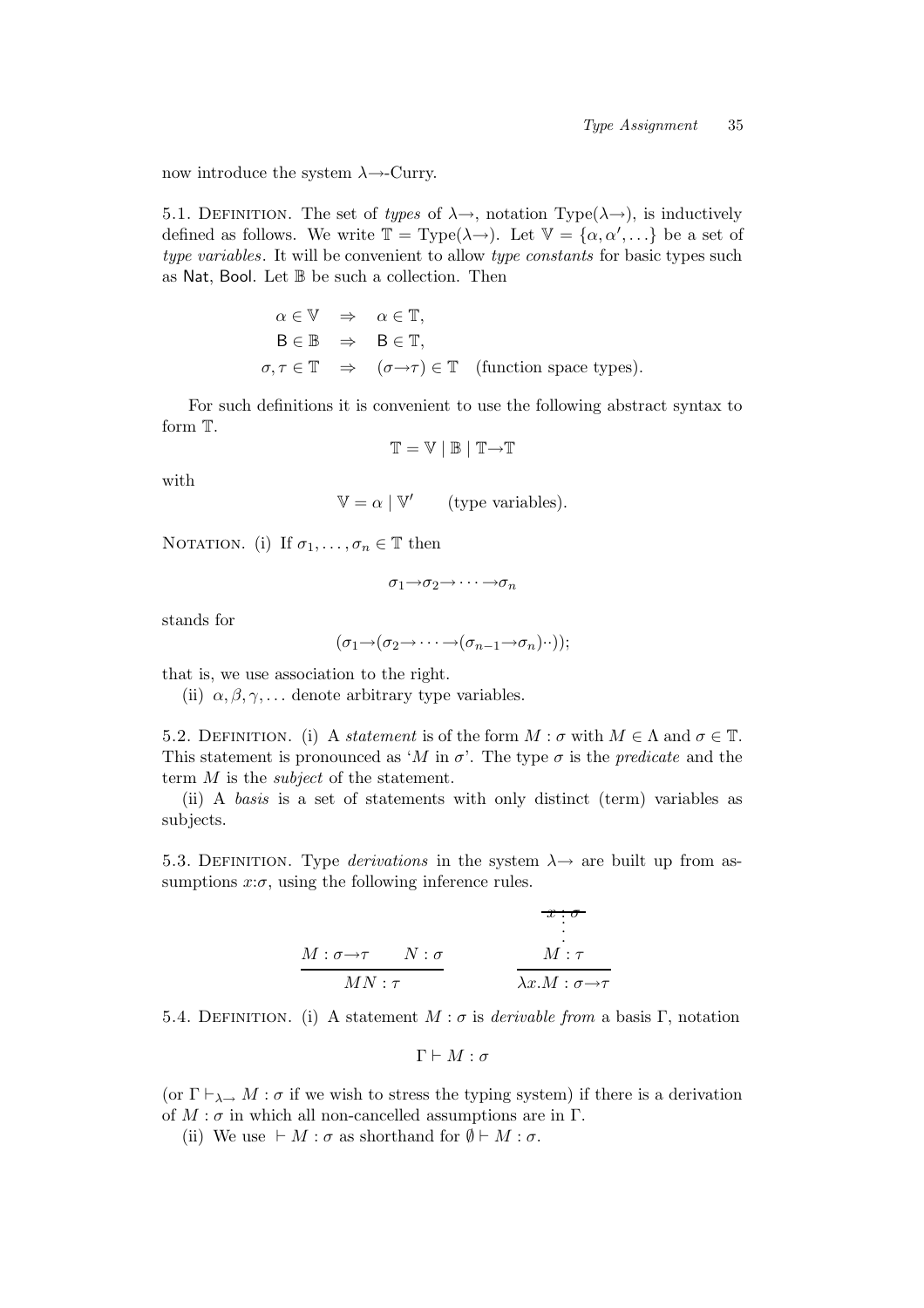now introduce the system  $\lambda \rightarrow$ -Curry.

5.1. DEFINITION. The set of types of  $\lambda \rightarrow$ , notation Type( $\lambda \rightarrow$ ), is inductively defined as follows. We write  $\mathbb{T} = \text{Type}(\lambda \rightarrow)$ . Let  $\mathbb{V} = {\alpha, \alpha', \dots}$  be a set of type variables. It will be convenient to allow type constants for basic types such as Nat, Bool. Let B be such a collection. Then

$$
\alpha \in \mathbb{V} \Rightarrow \alpha \in \mathbb{T},
$$
  
\n
$$
B \in \mathbb{B} \Rightarrow B \in \mathbb{T},
$$
  
\n
$$
\sigma, \tau \in \mathbb{T} \Rightarrow (\sigma \rightarrow \tau) \in \mathbb{T} \text{ (function space types)}.
$$

For such definitions it is convenient to use the following abstract syntax to form T.

$$
\mathbb{T}=\mathbb{V}\mid\mathbb{B}\mid\mathbb{T}\rightarrow\mathbb{T}
$$

with

$$
\mathbb{V} = \alpha \mid \mathbb{V}' \qquad \text{(type variables)}.
$$

NOTATION. (i) If  $\sigma_1, \ldots, \sigma_n \in \mathbb{T}$  then

$$
\sigma_1 \rightarrow \sigma_2 \rightarrow \cdots \rightarrow \sigma_n
$$

stands for

$$
(\sigma_1 \rightarrow (\sigma_2 \rightarrow \cdots \rightarrow (\sigma_{n-1} \rightarrow \sigma_n) \cdots));
$$

that is, we use association to the right.

(ii)  $\alpha, \beta, \gamma, \ldots$  denote arbitrary type variables.

5.2. DEFINITION. (i) A statement is of the form  $M : \sigma$  with  $M \in \Lambda$  and  $\sigma \in \mathbb{T}$ . This statement is pronounced as 'M in  $\sigma$ '. The type  $\sigma$  is the *predicate* and the term M is the subject of the statement.

(ii) A basis is a set of statements with only distinct (term) variables as subjects.

5.3. DEFINITION. Type *derivations* in the system  $\lambda \rightarrow$  are built up from assumptions  $x:\sigma$ , using the following inference rules.

$$
\begin{array}{ccc}\n & \overbrace{\text{min}} \\
M:\sigma\to\tau & N:\sigma & \overbrace{\text{min}} \\
 & MN:\tau & \overbrace{\text{max}}.\overbrace{\text{max}}.\overbrace{\text{max}} \\
 & \overbrace{\text{max}}.\overbrace{\text{max}}.\overbrace{\text{max}} \\
 & \overbrace{\text{max}}.\overbrace{\text{max}} \\
 & \overbrace{\text{max}}.\overbrace{\text{max}} \\
 & \overbrace{\text{max}}.\overbrace{\text{max}} \\
 & \overbrace{\text{max}}.\overbrace{\text{max}} \\
 & \overbrace{\text{max}}.\overbrace{\text{max}} \\
 & \overbrace{\text{max}}.\overbrace{\text{max}} \\
 & \overbrace{\text{max}}.\overbrace{\text{max}} \\
 & \overbrace{\text{max}}.\overbrace{\text{max}} \\
 & \overbrace{\text{max}}.\overbrace{\text{max}} \\
 & \overbrace{\text{max}}.\overbrace{\text{max}} \\
 & \overbrace{\text{max}}.\overbrace{\text{max}} \\
 & \overbrace{\text{max}}.\overbrace{\text{max}} \\
 & \overbrace{\text{max}}.\overbrace{\text{max}} \\
 & \overbrace{\text{max}}.\overbrace{\text{max}} \\
 & \overbrace{\text{max}}.\overbrace{\text{max}} \\
 & \overbrace{\text{max}}.\overbrace{\text{max}} \\
 & \overbrace{\text{max}}.\overbrace{\text{max}} \\
 & \overbrace{\text{max}}.\overbrace{\text{max}} \\
 & \overbrace{\text{max}}.\overbrace{\text{max}} \\
 & \overbrace{\text{max}}.\overbrace{\text{max}} \\
 & \overbrace{\text{max}}.\overbrace{\text{max}} \\
 & \overbrace{\text{max}}.\overbrace{\text{max}} \\
 & \overbrace{\text{max}}.\overbrace{\text{max}} \\
 & \overbrace{\text{max}}.\overbrace{\text{max}} \\
 & \overbrace{\text{max}}.\overbrace{\text{max}} \\
 & \overbrace{\text{max}}.\overbrace{\text{max}} \\
 & \overbrace{\text{max}}.\overbrace{\text{max}} \\
 & \overbrace{\text{max}}.\overbrace{\text{max}} \\
 & \overbrace{\text{max}}.\overbrace{\text{max}} \\
 & \overbrace{\text{max}}.\overbrace{\text{max}} \\
 & \overbrace{\text{max}}.\overbrace{\text{max}} \\
 & \overbrace{\text{max}}.\overbrace{\text{max}} \\
 & \overbrace{\text{max}}.\overbrace{\text{max}} \\
 & \overbrace{\text{max}}.\overbrace{\text{max}} \\
 & \overbrace{\text{max}}.\overbrace{\text{max}} \\
 & \overbrace{\text{max}}.\overbrace{\text{max}} \\
 & \overbrace{\text{max}}.\overbrace{\text{max
$$

5.4. DEFINITION. (i) A statement  $M : \sigma$  is *derivable from* a basis Γ, notation

$$
\Gamma \vdash M : \sigma
$$

(or  $\Gamma \vdash_{\lambda \to} M : \sigma$  if we wish to stress the typing system) if there is a derivation of  $M : \sigma$  in which all non-cancelled assumptions are in Γ.

(ii) We use  $\vdash M : \sigma$  as shorthand for  $\emptyset \vdash M : \sigma$ .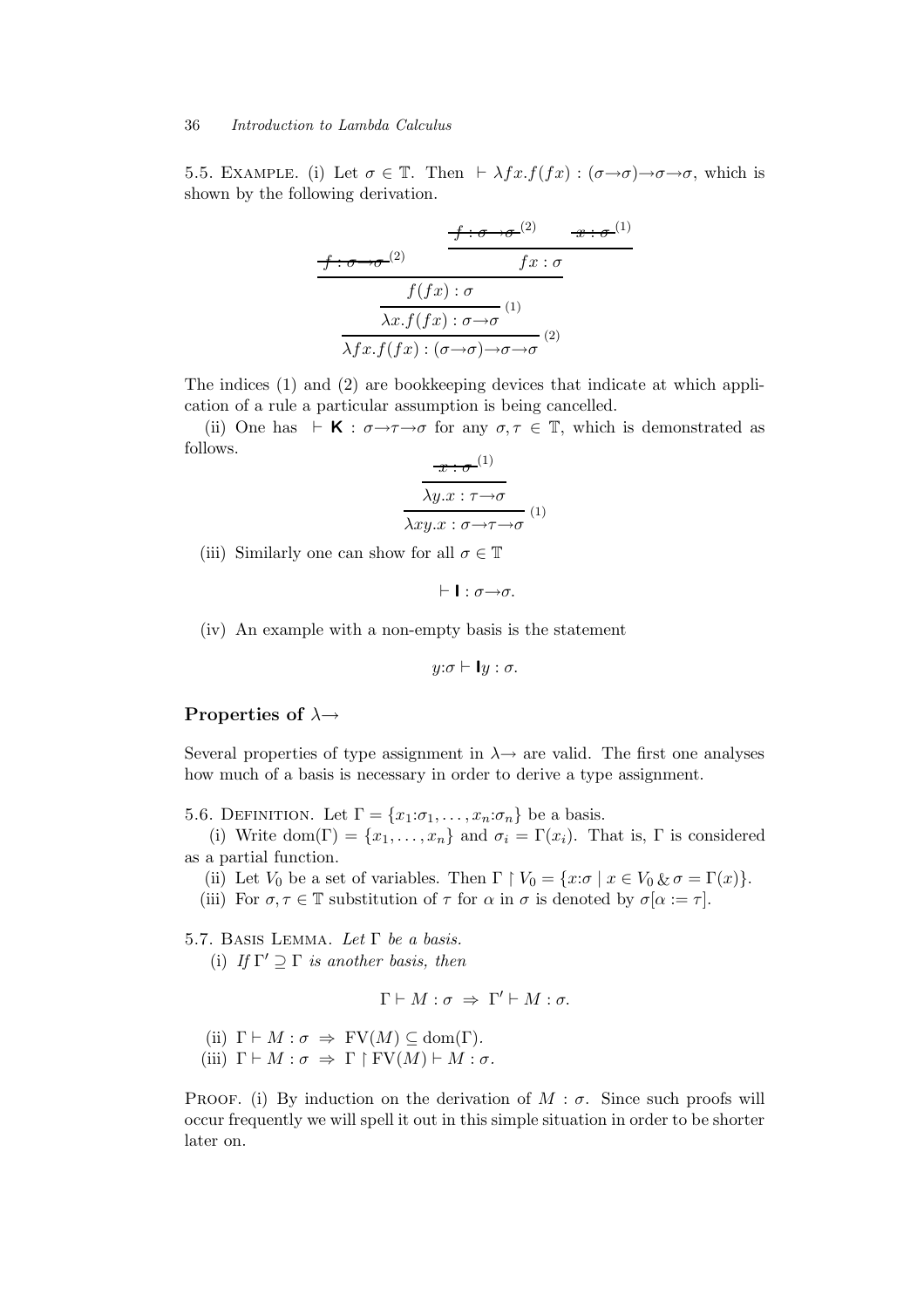#### 36 Introduction to Lambda Calculus

5.5. EXAMPLE. (i) Let  $\sigma \in \mathbb{T}$ . Then  $\vdash \lambda fx.f(fx) : (\sigma \rightarrow \sigma) \rightarrow \sigma \rightarrow \sigma$ , which is shown by the following derivation.

$$
\frac{f: \sigma \to \sigma^{(2)}}{f: \sigma \to \sigma^{(2)}} \qquad \frac{f: \sigma \to \sigma^{(1)}}{f: \sigma}
$$
\n
$$
\frac{f(fx): \sigma}{\lambda x.f(fx): \sigma \to \sigma^{(1)}}
$$
\n
$$
\frac{\lambda x.f(fx): \sigma \to \sigma^{(2)}}{\lambda fx.f(fx): (\sigma \to \sigma) \to \sigma \to \sigma^{(2)}}
$$

The indices (1) and (2) are bookkeeping devices that indicate at which application of a rule a particular assumption is being cancelled.

(ii) One has  $\vdash \mathsf{K} : \sigma \rightarrow \tau \rightarrow \sigma$  for any  $\sigma, \tau \in \mathbb{T}$ , which is demonstrated as follows.  $(1)$ 

$$
\frac{x \cdot \sigma^{(1)}}{\lambda y.x : \tau \to \sigma}
$$

$$
\lambda xy.x : \sigma \to \tau \to \sigma
$$
 (1)

(iii) Similarly one can show for all  $\sigma \in \mathbb{T}$ 

$$
\vdash\mathbf{I}:\sigma\mathbf{\rightarrow}\sigma.
$$

(iv) An example with a non-empty basis is the statement

$$
y:\sigma \vdash \mathbf{I}y:\sigma.
$$

#### Properties of  $\lambda \rightarrow$

Several properties of type assignment in  $\lambda \rightarrow$  are valid. The first one analyses how much of a basis is necessary in order to derive a type assignment.

5.6. DEFINITION. Let  $\Gamma = \{x_1:\sigma_1,\ldots,x_n:\sigma_n\}$  be a basis.

(i) Write dom( $\Gamma$ ) = { $x_1, \ldots, x_n$ } and  $\sigma_i = \Gamma(x_i)$ . That is,  $\Gamma$  is considered as a partial function.

(ii) Let  $V_0$  be a set of variables. Then  $\Gamma \restriction V_0 = \{x : \sigma \mid x \in V_0 \& \sigma = \Gamma(x)\}.$ 

(iii) For  $\sigma, \tau \in \mathbb{T}$  substitution of  $\tau$  for  $\alpha$  in  $\sigma$  is denoted by  $\sigma[\alpha := \tau]$ .

5.7. BASIS LEMMA. Let  $\Gamma$  be a basis.

(i) If  $\Gamma' \supseteq \Gamma$  is another basis, then

$$
\Gamma \vdash M : \sigma \;\Rightarrow\; \Gamma' \vdash M : \sigma.
$$

- (ii)  $\Gamma \vdash M : \sigma \Rightarrow \text{FV}(M) \subseteq \text{dom}(\Gamma)$ .
- (iii)  $\Gamma \vdash M : \sigma \Rightarrow \Gamma \upharpoonright \text{FV}(M) \vdash M : \sigma$ .

PROOF. (i) By induction on the derivation of  $M : \sigma$ . Since such proofs will occur frequently we will spell it out in this simple situation in order to be shorter later on.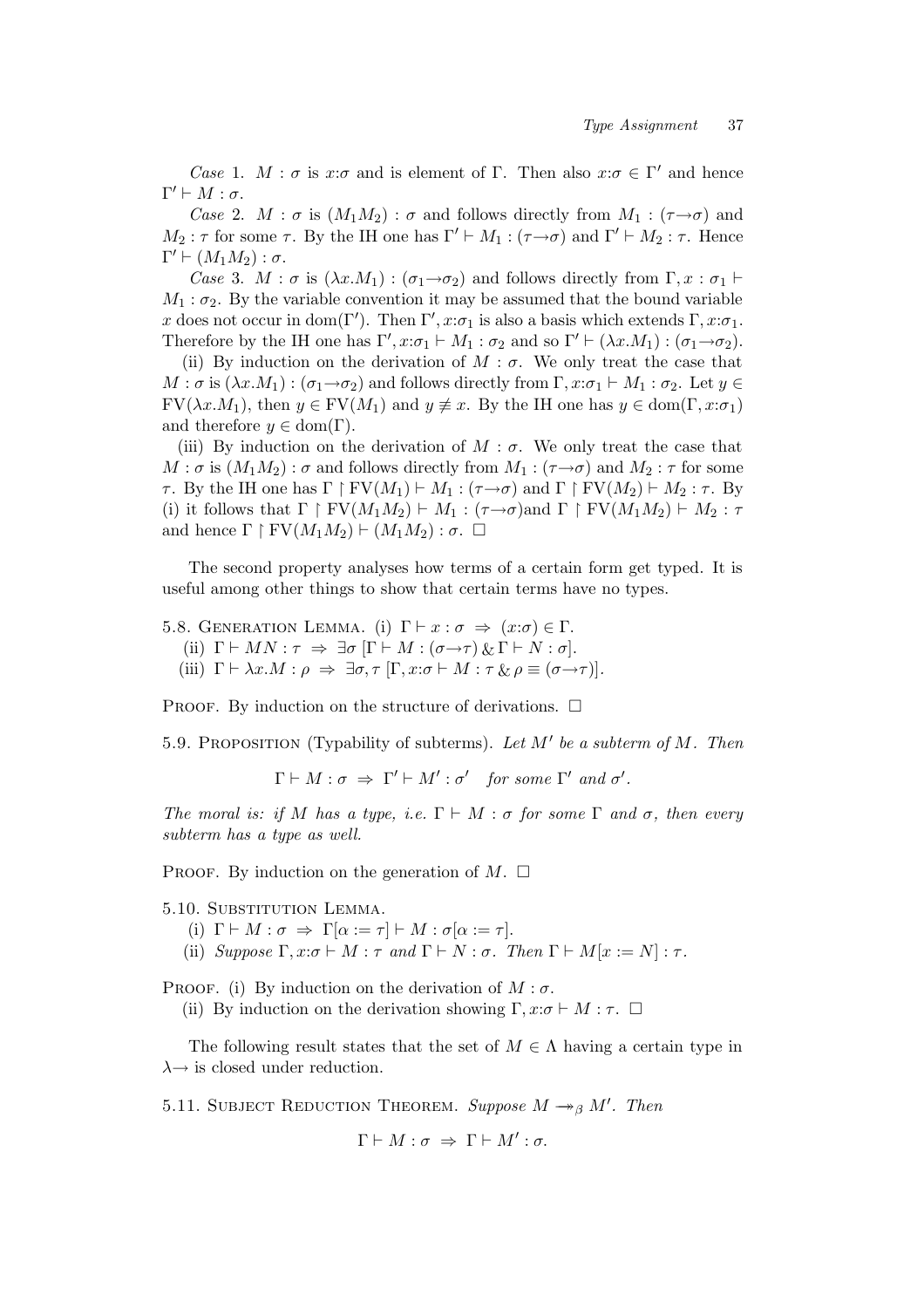Case 1. M :  $\sigma$  is  $x:\sigma$  and is element of  $\Gamma$ . Then also  $x:\sigma \in \Gamma'$  and hence  $\Gamma' \vdash M : \sigma.$ 

Case 2. M :  $\sigma$  is  $(M_1M_2)$ :  $\sigma$  and follows directly from  $M_1$ :  $(\tau \rightarrow \sigma)$  and  $M_2 : \tau$  for some  $\tau$ . By the IH one has  $\Gamma' \vdash M_1 : (\tau \rightarrow \sigma)$  and  $\Gamma' \vdash M_2 : \tau$ . Hence  $\Gamma' \vdash (M_1 M_2) : \sigma.$ 

Case 3.  $M : \sigma$  is  $(\lambda x.M_1) : (\sigma_1 \rightarrow \sigma_2)$  and follows directly from  $\Gamma, x : \sigma_1 \vdash$  $M_1$ :  $\sigma_2$ . By the variable convention it may be assumed that the bound variable x does not occur in dom(Γ'). Then  $\Gamma', x:\sigma_1$  is also a basis which extends  $\Gamma, x:\sigma_1$ . Therefore by the IH one has  $\Gamma', x:\sigma_1 \vdash M_1 : \sigma_2$  and so  $\Gamma' \vdash (\lambda x.M_1) : (\sigma_1 \rightarrow \sigma_2)$ .

(ii) By induction on the derivation of  $M : \sigma$ . We only treat the case that  $M : \sigma$  is  $(\lambda x.M_1) : (\sigma_1 \rightarrow \sigma_2)$  and follows directly from  $\Gamma, x : \sigma_1 \vdash M_1 : \sigma_2$ . Let  $y \in$  $FV(\lambda x.M_1)$ , then  $y \in FV(M_1)$  and  $y \neq x$ . By the IH one has  $y \in \text{dom}(\Gamma, x:\sigma_1)$ and therefore  $y \in \text{dom}(\Gamma)$ .

(iii) By induction on the derivation of  $M : \sigma$ . We only treat the case that  $M : \sigma$  is  $(M_1M_2) : \sigma$  and follows directly from  $M_1 : (\tau \to \sigma)$  and  $M_2 : \tau$  for some τ. By the IH one has  $\Gamma \restriction FV(M_1) \vdash M_1 : (\tau \to \sigma)$  and  $\Gamma \restriction FV(M_2) \vdash M_2 : \tau$ . By (i) it follows that  $\Gamma \restriction FV(M_1M_2) \vdash M_1 : (\tau \to \sigma)$  and  $\Gamma \restriction FV(M_1M_2) \vdash M_2 : \tau$ and hence  $\Gamma \restriction \text{FV}(M_1M_2) \vdash (M_1M_2) : \sigma. \square$ 

The second property analyses how terms of a certain form get typed. It is useful among other things to show that certain terms have no types.

5.8. GENERATION LEMMA. (i)  $\Gamma \vdash x : \sigma \Rightarrow (x : \sigma) \in \Gamma$ .

(ii)  $\Gamma \vdash MN : \tau \Rightarrow \exists \sigma \, [\Gamma \vdash M : (\sigma \rightarrow \tau) \& \Gamma \vdash N : \sigma].$ 

(iii)  $\Gamma \vdash \lambda x.M : \rho \Rightarrow \exists \sigma, \tau \ [\Gamma, x : \sigma \vdash M : \tau \& \rho \equiv (\sigma \rightarrow \tau)].$ 

PROOF. By induction on the structure of derivations.  $\Box$ 

5.9. PROPOSITION (Typability of subterms). Let  $M'$  be a subterm of M. Then

 $\Gamma \vdash M : \sigma \Rightarrow \Gamma' \vdash M' : \sigma' \quad \textit{for some } \Gamma' \textit{ and } \sigma'.$ 

The moral is: if M has a type, i.e.  $\Gamma \vdash M : \sigma$  for some  $\Gamma$  and  $\sigma$ , then every subterm has a type as well.

PROOF. By induction on the generation of  $M$ .  $\Box$ 

5.10. SUBSTITUTION LEMMA.

(i)  $\Gamma \vdash M : \sigma \Rightarrow \Gamma[\alpha := \tau] \vdash M : \sigma[\alpha := \tau].$ 

(ii) Suppose  $\Gamma, x:\sigma \vdash M : \tau$  and  $\Gamma \vdash N : \sigma$ . Then  $\Gamma \vdash M[x := N] : \tau$ .

PROOF. (i) By induction on the derivation of  $M : \sigma$ .

(ii) By induction on the derivation showing  $\Gamma, x:\sigma \vdash M : \tau$ .  $\Box$ 

The following result states that the set of  $M \in \Lambda$  having a certain type in  $\lambda \rightarrow$  is closed under reduction.

5.11. SUBJECT REDUCTION THEOREM. Suppose  $M \rightarrow_{\beta} M'$ . Then

 $\Gamma \vdash M : \sigma \Rightarrow \Gamma \vdash M' : \sigma.$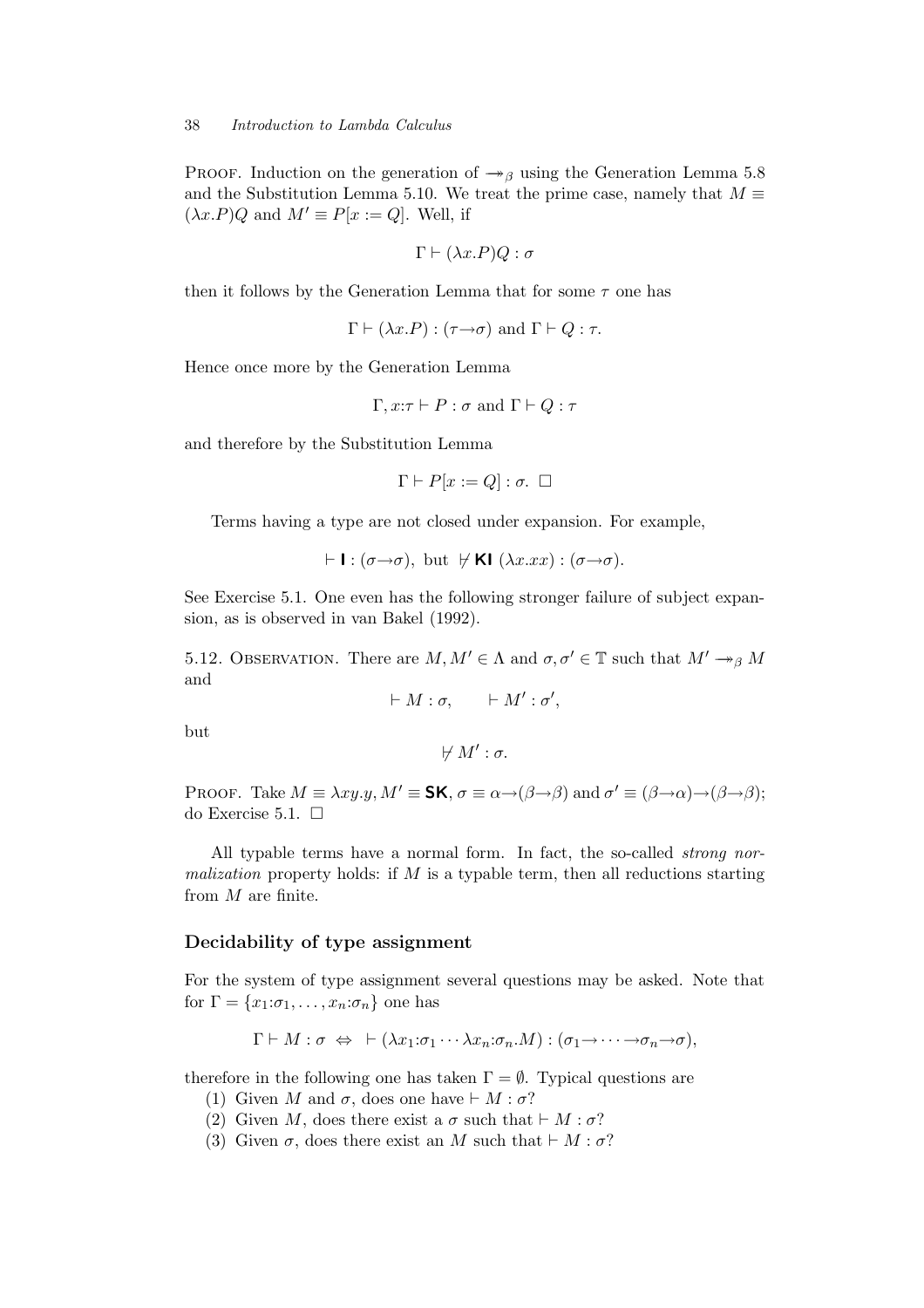PROOF. Induction on the generation of  $\rightarrow_{\beta}$  using the Generation Lemma 5.8 and the Substitution Lemma 5.10. We treat the prime case, namely that  $M \equiv$  $(\lambda x.P)Q$  and  $M' \equiv P[x := Q]$ . Well, if

$$
\Gamma \vdash (\lambda x.P)Q : \sigma
$$

then it follows by the Generation Lemma that for some  $\tau$  one has

 $\Gamma \vdash (\lambda x.P) : (\tau \rightarrow \sigma)$  and  $\Gamma \vdash Q : \tau$ .

Hence once more by the Generation Lemma

$$
\Gamma, x:\tau \vdash P : \sigma \text{ and } \Gamma \vdash Q : \tau
$$

and therefore by the Substitution Lemma

$$
\Gamma \vdash P[x := Q] : \sigma. \square
$$

Terms having a type are not closed under expansion. For example,

 $\vdash \mathbf{l} : (\sigma \rightarrow \sigma)$ , but  $\nvdash \mathbf{KI} (\lambda x.xx) : (\sigma \rightarrow \sigma)$ .

See Exercise 5.1. One even has the following stronger failure of subject expansion, as is observed in van Bakel (1992).

5.12. OBSERVATION. There are  $M, M' \in \Lambda$  and  $\sigma, \sigma' \in \mathbb{T}$  such that  $M' \to_{\beta} M$ and

$$
\vdash M : \sigma, \qquad \vdash M' : \sigma',
$$

but

 $\nvdash M': \sigma.$ 

PROOF. Take  $M \equiv \lambda xy.y, M' \equiv \mathsf{SK}, \sigma \equiv \alpha \rightarrow (\beta \rightarrow \beta)$  and  $\sigma' \equiv (\beta \rightarrow \alpha) \rightarrow (\beta \rightarrow \beta);$ do Exercise 5.1.  $\Box$ 

All typable terms have a normal form. In fact, the so-called strong normalization property holds: if  $M$  is a typable term, then all reductions starting from M are finite.

### Decidability of type assignment

For the system of type assignment several questions may be asked. Note that for  $\Gamma = \{x_1:\sigma_1,\ldots,x_n:\sigma_n\}$  one has

$$
\Gamma \vdash M : \sigma \; \Leftrightarrow \; \; \vdash (\lambda x_1 : \sigma_1 \cdots \lambda x_n : \sigma_n.M) : (\sigma_1 \rightarrow \cdots \rightarrow \sigma_n \rightarrow \sigma),
$$

therefore in the following one has taken  $\Gamma = \emptyset$ . Typical questions are

- (1) Given M and  $\sigma$ , does one have  $\vdash M : \sigma$ ?
- (2) Given M, does there exist a  $\sigma$  such that  $\vdash M : \sigma$ ?
- (3) Given  $\sigma$ , does there exist an M such that  $\vdash M : \sigma$ ?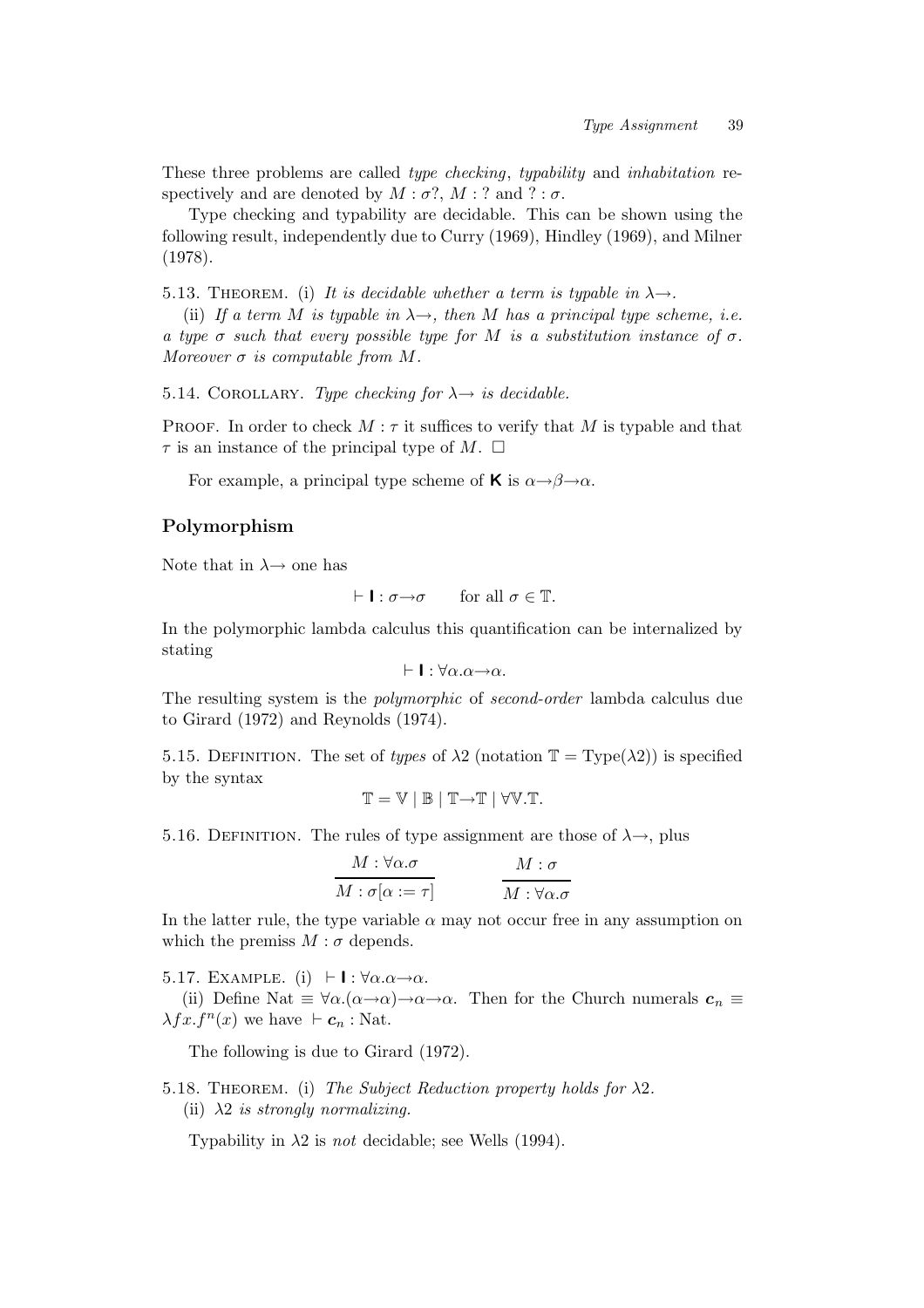These three problems are called type checking, typability and inhabitation respectively and are denoted by  $M : \sigma$ ?,  $M : ?$  and ? :  $\sigma$ .

Type checking and typability are decidable. This can be shown using the following result, independently due to Curry (1969), Hindley (1969), and Milner (1978).

5.13. THEOREM. (i) It is decidable whether a term is typable in  $\lambda \rightarrow$ .

(ii) If a term M is typable in  $\lambda \rightarrow$ , then M has a principal type scheme, i.e. a type  $\sigma$  such that every possible type for M is a substitution instance of  $\sigma$ . Moreover  $\sigma$  is computable from M.

5.14. COROLLARY. Type checking for  $\lambda \rightarrow i s$  decidable.

PROOF. In order to check  $M : \tau$  it suffices to verify that M is typable and that  $\tau$  is an instance of the principal type of M.  $\Box$ 

For example, a principal type scheme of **K** is  $\alpha \rightarrow \beta \rightarrow \alpha$ .

### Polymorphism

Note that in  $\lambda \rightarrow$  one has

$$
\vdash \mathbf{l} : \sigma \rightarrow \sigma \qquad \text{for all } \sigma \in \mathbb{T}.
$$

In the polymorphic lambda calculus this quantification can be internalized by stating

$$
\vdash\mathbf{I}:\forall\alpha.\alpha\mathbin{\rightarrow}\alpha.
$$

The resulting system is the polymorphic of second-order lambda calculus due to Girard (1972) and Reynolds (1974).

5.15. DEFINITION. The set of types of  $\lambda$ 2 (notation  $\mathbb{T} = \text{Type}(\lambda 2)$ ) is specified by the syntax

$$
\mathbb{T} = \mathbb{V} \mid \mathbb{B} \mid \mathbb{T} \rightarrow \mathbb{T} \mid \forall \mathbb{V}.\mathbb{T}.
$$

5.16. DEFINITION. The rules of type assignment are those of  $\lambda \rightarrow$ , plus

$$
\frac{M : \forall \alpha . \sigma}{M : \sigma[\alpha := \tau]} \qquad \qquad \frac{M : \sigma}{M : \forall \alpha . \sigma}
$$

In the latter rule, the type variable  $\alpha$  may not occur free in any assumption on which the premiss  $M : \sigma$  depends.

5.17. EXAMPLE. (i)  $\vdash$  I :  $\forall \alpha.\alpha \rightarrow \alpha$ .

(ii) Define Nat  $\equiv \forall \alpha . (\alpha \rightarrow \alpha) \rightarrow \alpha \rightarrow \alpha$ . Then for the Church numerals  $c_n \equiv$  $\lambda fx.f^n(x)$  we have  $\vdash c_n : Nat.$ 

The following is due to Girard (1972).

5.18. THEOREM. (i) The Subject Reduction property holds for  $\lambda$ 2. (ii)  $\lambda$ 2 is strongly normalizing.

Typability in  $\lambda 2$  is *not* decidable; see Wells (1994).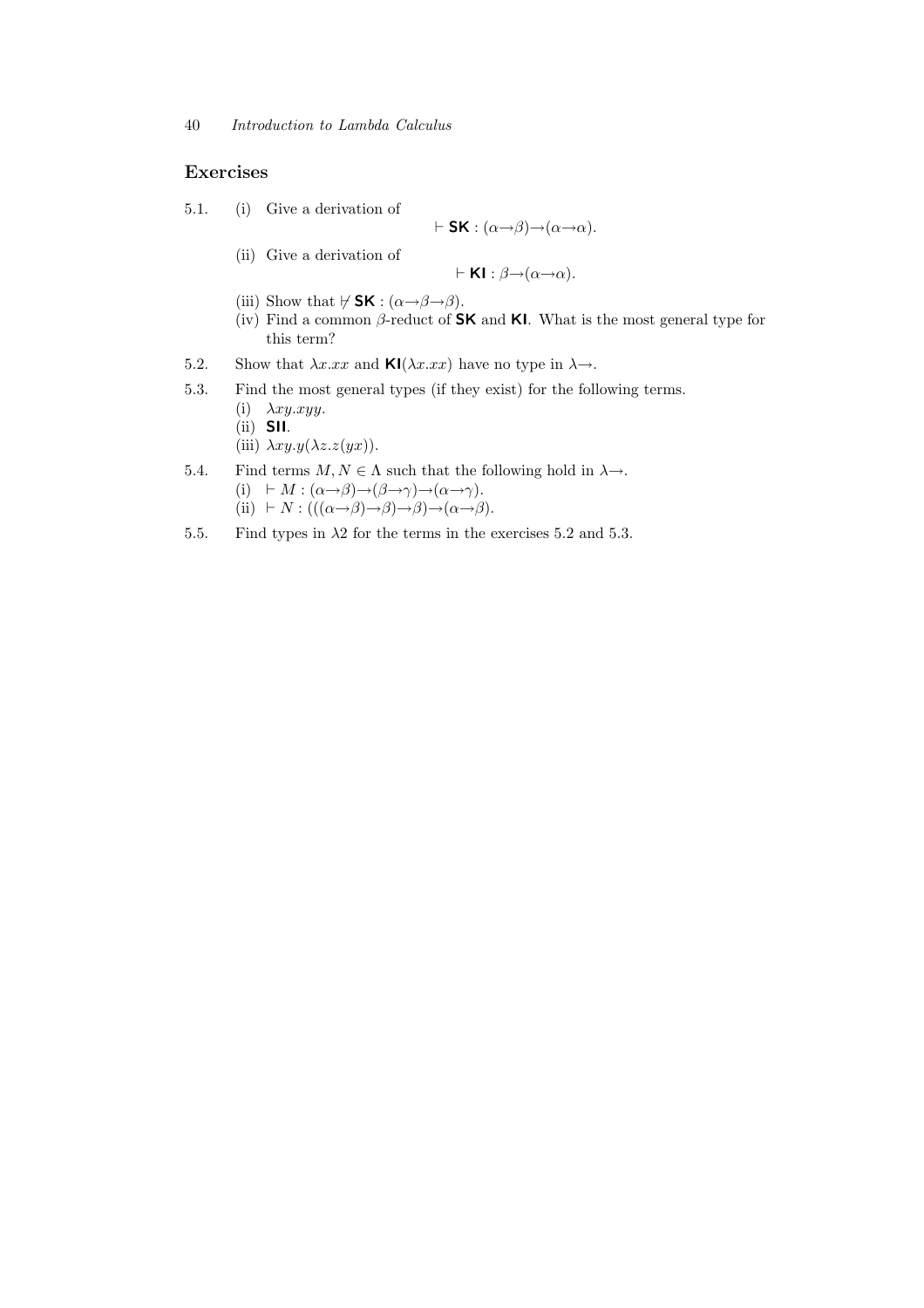### Exercises

5.1. (i) Give a derivation of

$$
\vdash \mathsf{SK} : (\alpha \rightarrow \beta) \rightarrow (\alpha \rightarrow \alpha).
$$

(ii) Give a derivation of

$$
\vdash \mathsf{KI} : \beta \rightarrow (\alpha \rightarrow \alpha).
$$

- (iii) Show that  $\nvdash$  **SK** :  $(\alpha \rightarrow \beta \rightarrow \beta)$ .
- (iv) Find a common  $\beta$ -reduct of **SK** and **KI**. What is the most general type for this term?
- 5.2. Show that  $\lambda x.xx$  and  $\mathsf{KI}(\lambda x.xx)$  have no type in  $\lambda \rightarrow$ .
- 5.3. Find the most general types (if they exist) for the following terms.
	- (i)  $\lambda xy.xyy.$
	- $(ii)$  SII.
	- (iii)  $\lambda xy.y(\lambda z.z(yx))$ .
- 5.4. Find terms  $M, N \in \Lambda$  such that the following hold in  $\lambda {\rightarrow} .$ (i)  $\vdash M : (\alpha \rightarrow \beta) \rightarrow (\beta \rightarrow \gamma) \rightarrow (\alpha \rightarrow \gamma).$ (ii)  $\vdash N : (((\alpha \rightarrow \beta) \rightarrow \beta) \rightarrow \beta) \rightarrow (\alpha \rightarrow \beta).$
- 5.5. Find types in  $\lambda$ 2 for the terms in the exercises 5.2 and 5.3.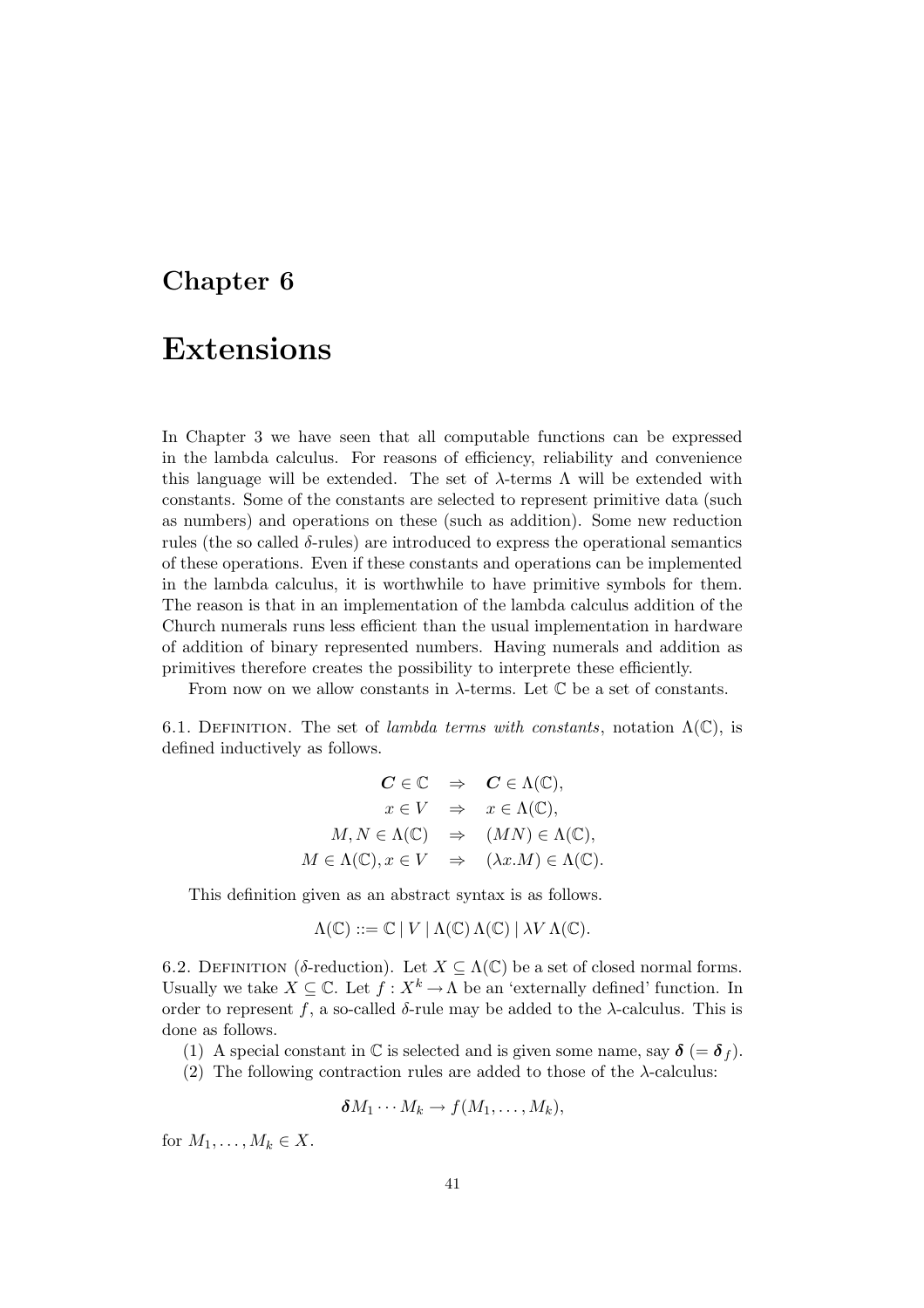## Chapter 6

# Extensions

In Chapter 3 we have seen that all computable functions can be expressed in the lambda calculus. For reasons of efficiency, reliability and convenience this language will be extended. The set of  $\lambda$ -terms  $\Lambda$  will be extended with constants. Some of the constants are selected to represent primitive data (such as numbers) and operations on these (such as addition). Some new reduction rules (the so called  $\delta$ -rules) are introduced to express the operational semantics of these operations. Even if these constants and operations can be implemented in the lambda calculus, it is worthwhile to have primitive symbols for them. The reason is that in an implementation of the lambda calculus addition of the Church numerals runs less efficient than the usual implementation in hardware of addition of binary represented numbers. Having numerals and addition as primitives therefore creates the possibility to interprete these efficiently.

From now on we allow constants in  $\lambda$ -terms. Let  $\mathbb C$  be a set of constants.

6.1. DEFINITION. The set of lambda terms with constants, notation  $\Lambda(\mathbb{C})$ , is defined inductively as follows.

$$
C \in \mathbb{C} \Rightarrow C \in \Lambda(\mathbb{C}),
$$
  
\n
$$
x \in V \Rightarrow x \in \Lambda(\mathbb{C}),
$$
  
\n
$$
M, N \in \Lambda(\mathbb{C}) \Rightarrow (MN) \in \Lambda(\mathbb{C}),
$$
  
\n
$$
M \in \Lambda(\mathbb{C}), x \in V \Rightarrow (\lambda x.M) \in \Lambda(\mathbb{C}).
$$

This definition given as an abstract syntax is as follows.

$$
\Lambda(\mathbb{C}) ::= \mathbb{C} | V | \Lambda(\mathbb{C}) \Lambda(\mathbb{C}) | \lambda V \Lambda(\mathbb{C}).
$$

6.2. DEFINITION ( $\delta$ -reduction). Let  $X \subseteq \Lambda(\mathbb{C})$  be a set of closed normal forms. Usually we take  $X \subseteq \mathbb{C}$ . Let  $f : X^k \to \Lambda$  be an 'externally defined' function. In order to represent f, a so-called  $\delta$ -rule may be added to the  $\lambda$ -calculus. This is done as follows.

- (1) A special constant in C is selected and is given some name, say  $\delta (= \delta_f)$ .
- (2) The following contraction rules are added to those of the  $\lambda$ -calculus:

$$
\delta M_1\cdots M_k\to f(M_1,\ldots,M_k),
$$

for  $M_1, \ldots, M_k \in X$ .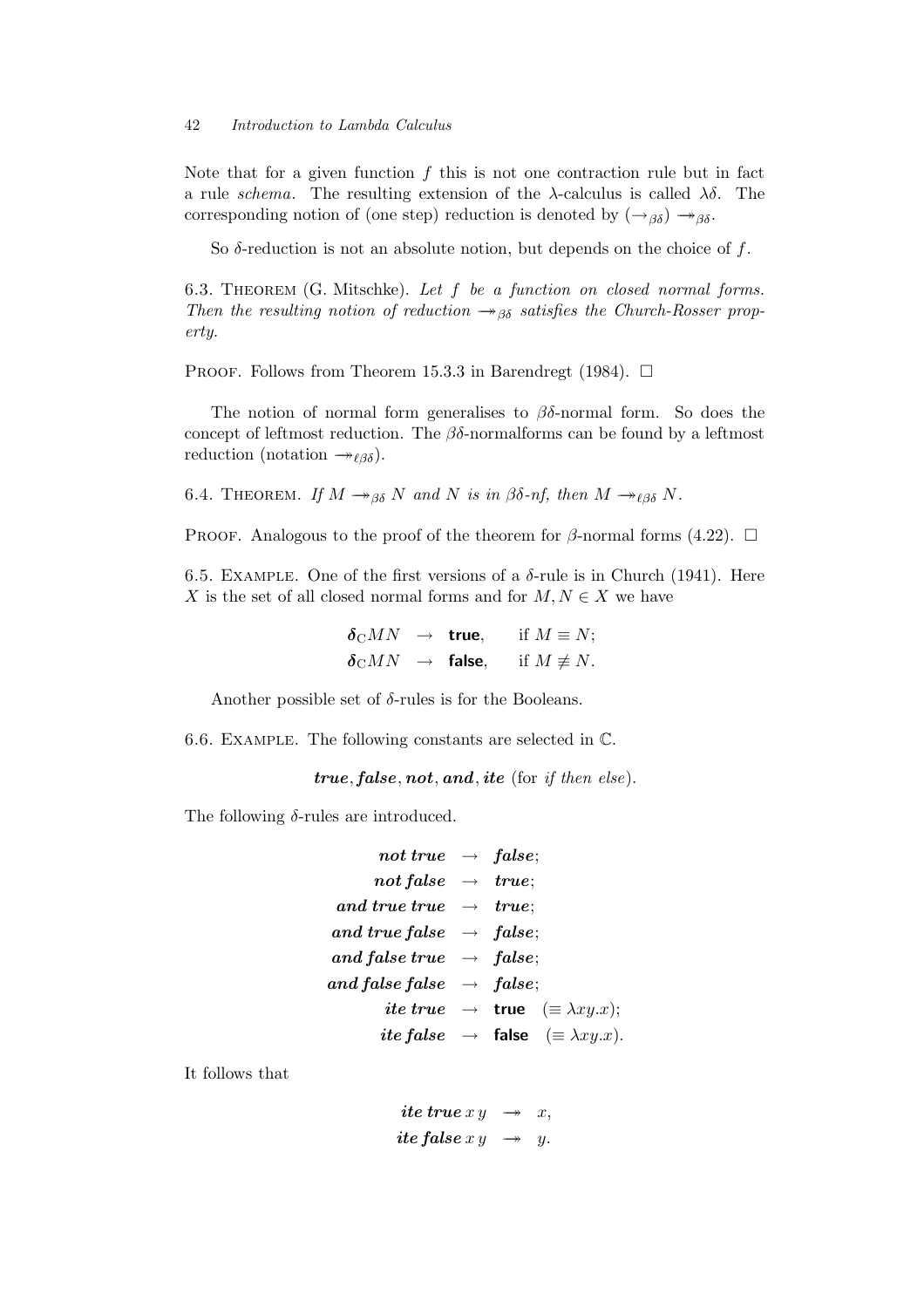Note that for a given function  $f$  this is not one contraction rule but in fact a rule schema. The resulting extension of the  $\lambda$ -calculus is called  $\lambda \delta$ . The corresponding notion of (one step) reduction is denoted by  $(\rightarrow_{\beta\delta}) \rightarrow_{\beta\delta}$ .

So  $\delta$ -reduction is not an absolute notion, but depends on the choice of f.

6.3. THEOREM (G. Mitschke). Let  $f$  be a function on closed normal forms. Then the resulting notion of reduction  $\rightarrow_{\beta\delta}$  satisfies the Church-Rosser property.

PROOF. Follows from Theorem 15.3.3 in Barendregt (1984).  $\Box$ 

The notion of normal form generalises to  $\beta\delta$ -normal form. So does the concept of leftmost reduction. The  $\beta\delta$ -normalforms can be found by a leftmost reduction (notation  $\rightarrow_{\ell\beta\delta}$ ).

6.4. THEOREM. If  $M \rightarrow_{\beta\delta} N$  and N is in  $\beta\delta$ -nf, then  $M \rightarrow_{\ell\beta\delta} N$ .

PROOF. Analogous to the proof of the theorem for  $\beta$ -normal forms (4.22).  $\Box$ 

6.5. EXAMPLE. One of the first versions of a  $\delta$ -rule is in Church (1941). Here X is the set of all closed normal forms and for  $M, N \in X$  we have

> $\delta_{\rm C}MN \rightarrow$  true, if  $M \equiv N$ ;  $\delta_{\rm C}MN \rightarrow$  false, if  $M \not\equiv N$ .

Another possible set of  $\delta$ -rules is for the Booleans.

6.6. Example. The following constants are selected in C.

 $true, false, not, and, it follows (for if then else).$ 

The following  $\delta$ -rules are introduced.

| not true $\rightarrow$ false;        |                                                                    |
|--------------------------------------|--------------------------------------------------------------------|
| not false $\rightarrow$ true;        |                                                                    |
| and true true $\rightarrow$ true;    |                                                                    |
| and true false $\rightarrow$ false;  |                                                                    |
| $and false true \rightarrow false;$  |                                                                    |
| $and false false \rightarrow false;$ |                                                                    |
|                                      | <i>ite true</i> $\rightarrow$ <b>true</b> $(\equiv \lambda xy.x);$ |
|                                      | <i>ite false</i> $\rightarrow$ false $(\equiv \lambda xy.x)$ .     |

It follows that

```
ite true xy \rightarrow x,
ite false xy \rightarrow y.
```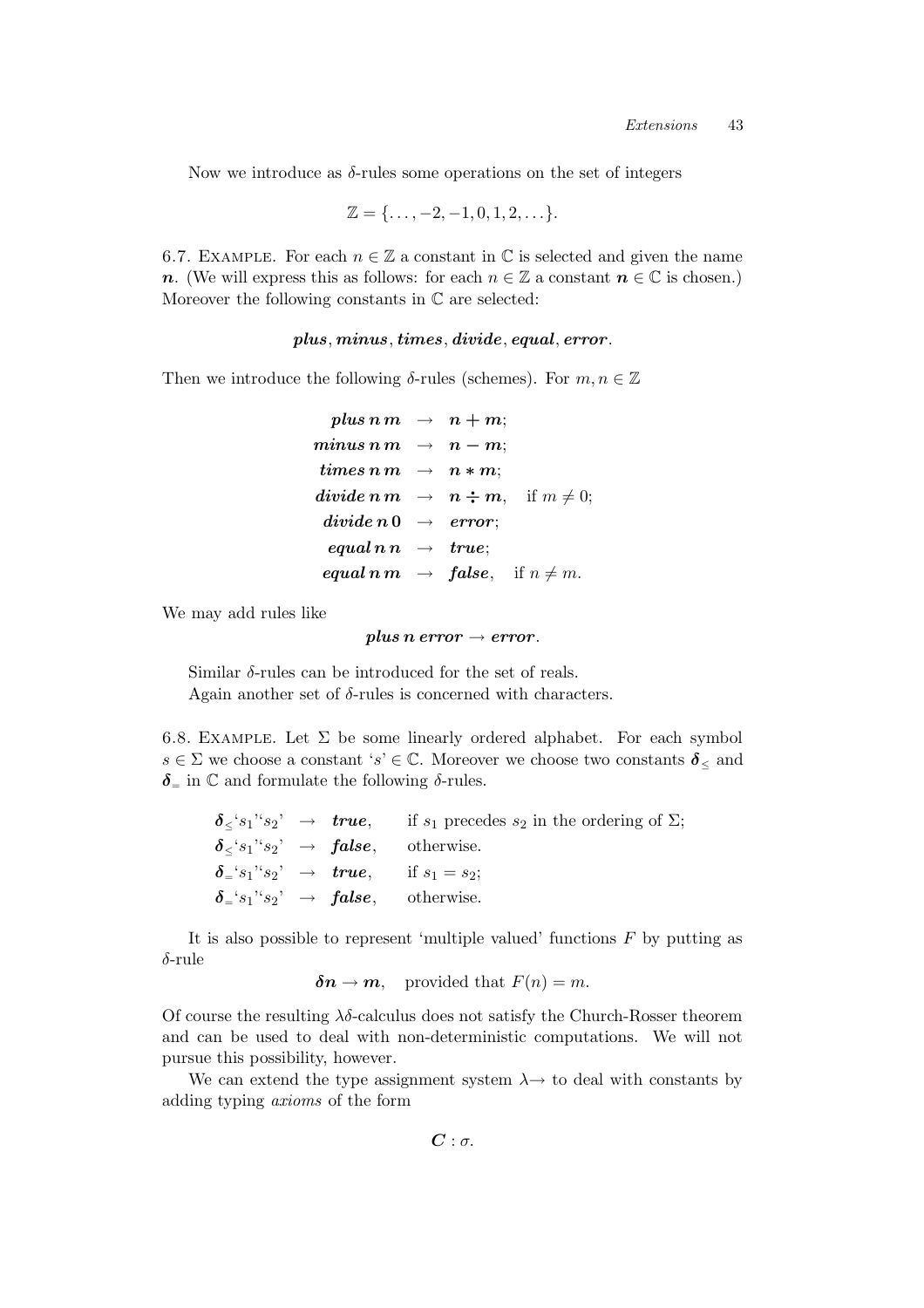Now we introduce as  $\delta$ -rules some operations on the set of integers

$$
\mathbb{Z} = \{\ldots, -2, -1, 0, 1, 2, \ldots\}.
$$

6.7. EXAMPLE. For each  $n \in \mathbb{Z}$  a constant in  $\mathbb C$  is selected and given the name n. (We will express this as follows: for each  $n \in \mathbb{Z}$  a constant  $n \in \mathbb{C}$  is chosen.) Moreover the following constants in C are selected:

#### plus, minus,times, divide, equal, error.

Then we introduce the following  $\delta$ -rules (schemes). For  $m, n \in \mathbb{Z}$ 

```
plus n m \rightarrow n + m;
minus\ n m \rightarrow n - m;times n m \rightarrow n * m;divide n m \rightarrow n \div m, if m \neq 0;
 divide~n0 \rightarrow error;
  equal \, n \rightarrow true;equal n m \rightarrow false, if n \neq m.
```
We may add rules like

#### plus n error  $\rightarrow$  error.

Similar  $\delta$ -rules can be introduced for the set of reals. Again another set of  $\delta$ -rules is concerned with characters.

6.8. EXAMPLE. Let  $\Sigma$  be some linearly ordered alphabet. For each symbol  $s \in \Sigma$  we choose a constant 's'  $\in \mathbb{C}$ . Moreover we choose two constants  $\delta_{\leq}$  and  $\delta$ <sub>=</sub> in C and formulate the following  $\delta$ -rules.

|  | $\delta_{\leq} s_1$ 's <sub>2</sub> ' $\rightarrow$ <b>true</b> , if $s_1$ precedes $s_2$ in the ordering of $\Sigma$ ; |
|--|-------------------------------------------------------------------------------------------------------------------------|
|  | $\delta_{\leq} s_1's_2' \rightarrow \text{false}, \text{ otherwise.}$                                                   |
|  | $\delta_{-} s_1's_2' \rightarrow true, \text{ if } s_1 = s_2;$                                                          |
|  |                                                                                                                         |

It is also possible to represent 'multiple valued' functions  $F$  by putting as  $\delta$ -rule

 $\delta n \to m$ , provided that  $F(n) = m$ .

Of course the resulting  $\lambda \delta$ -calculus does not satisfy the Church-Rosser theorem and can be used to deal with non-deterministic computations. We will not pursue this possibility, however.

We can extend the type assignment system  $\lambda \rightarrow$  to deal with constants by adding typing axioms of the form

 $C$  :  $\sigma$ .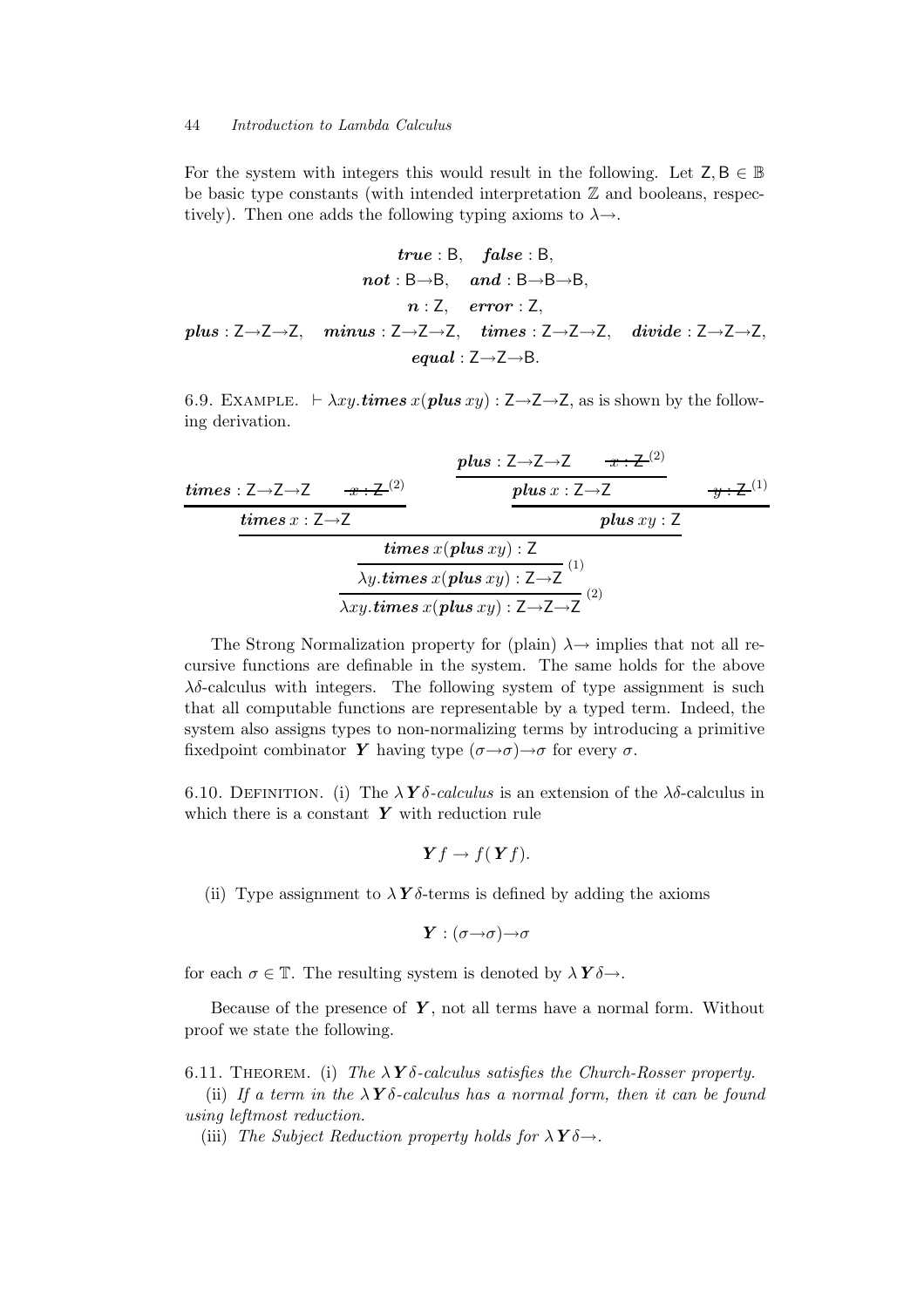For the system with integers this would result in the following. Let  $Z, B \in \mathbb{B}$ be basic type constants (with intended interpretation  $Z$  and booleans, respectively). Then one adds the following typing axioms to  $\lambda \rightarrow$ .

$$
\textit{true}: B, \quad \textit{false}: B, \\ \textit{not}: B \rightarrow B, \quad \textit{and}: B \rightarrow B \rightarrow B, \\ \textit{n}: Z, \quad \textit{error}: Z, \\ \textit{plus}: Z \rightarrow Z \rightarrow Z, \quad \textit{times}: Z \rightarrow Z \rightarrow Z, \\ \textit{equal}: Z \rightarrow Z \rightarrow B.
$$

6.9. EXAMPLE.  $\vdash \lambda xy \cdot \textbf{times } x(\textbf{plus } xy) : Z \rightarrow Z \rightarrow Z$ , as is shown by the following derivation.

 $times: \text{Z} {\rightarrow} \text{Z} {\rightarrow} \text{Z}$ (2) times  $x : Z \rightarrow Z$  $plus: \textsf{Z} {\rightarrow} \textsf{Z} {\rightarrow} \textsf{Z} \qquad \textcolor{red}{\textbf{\texttt{++Z}}^{(2)}}$  $plus x: Z \rightarrow Z$   $\qquad \qquad \rightarrow Z^{(1)}$  $plus xy : Z$  $times x(plus xy) : Z$  $\overline{\lambda y.\textit{times}~x(\textit{plus}~xy)}:\overline{\textsf{Z}\!\rightarrow\!\textsf{Z}}^{(1)}$  $\lambda xy.$ times  $x(\boldsymbol{plus}\; xy)$  : Z $\rightarrow$ Z $\rightarrow$ Z $^{(2)}$ 

The Strong Normalization property for (plain)  $\lambda \rightarrow$  implies that not all recursive functions are definable in the system. The same holds for the above  $\lambda \delta$ -calculus with integers. The following system of type assignment is such that all computable functions are representable by a typed term. Indeed, the system also assigns types to non-normalizing terms by introducing a primitive fixedpoint combinator Y having type  $(\sigma \rightarrow \sigma) \rightarrow \sigma$  for every  $\sigma$ .

6.10. DEFINITION. (i) The  $\lambda Y \delta$ -calculus is an extension of the  $\lambda \delta$ -calculus in which there is a constant  $Y$  with reduction rule

$$
\boldsymbol{Y} f \to f(\boldsymbol{Y} f).
$$

(ii) Type assignment to  $\lambda Y \delta$ -terms is defined by adding the axioms

 $Y : (\sigma \rightarrow \sigma) \rightarrow \sigma$ 

for each  $\sigma \in \mathbb{T}$ . The resulting system is denoted by  $\lambda Y \delta \rightarrow$ .

Because of the presence of  $Y$ , not all terms have a normal form. Without proof we state the following.

6.11. THEOREM. (i) The  $\lambda Y \delta$ -calculus satisfies the Church-Rosser property.

(ii) If a term in the  $\lambda Y \delta$ -calculus has a normal form, then it can be found using leftmost reduction.

(iii) The Subject Reduction property holds for  $\lambda Y \delta \rightarrow$ .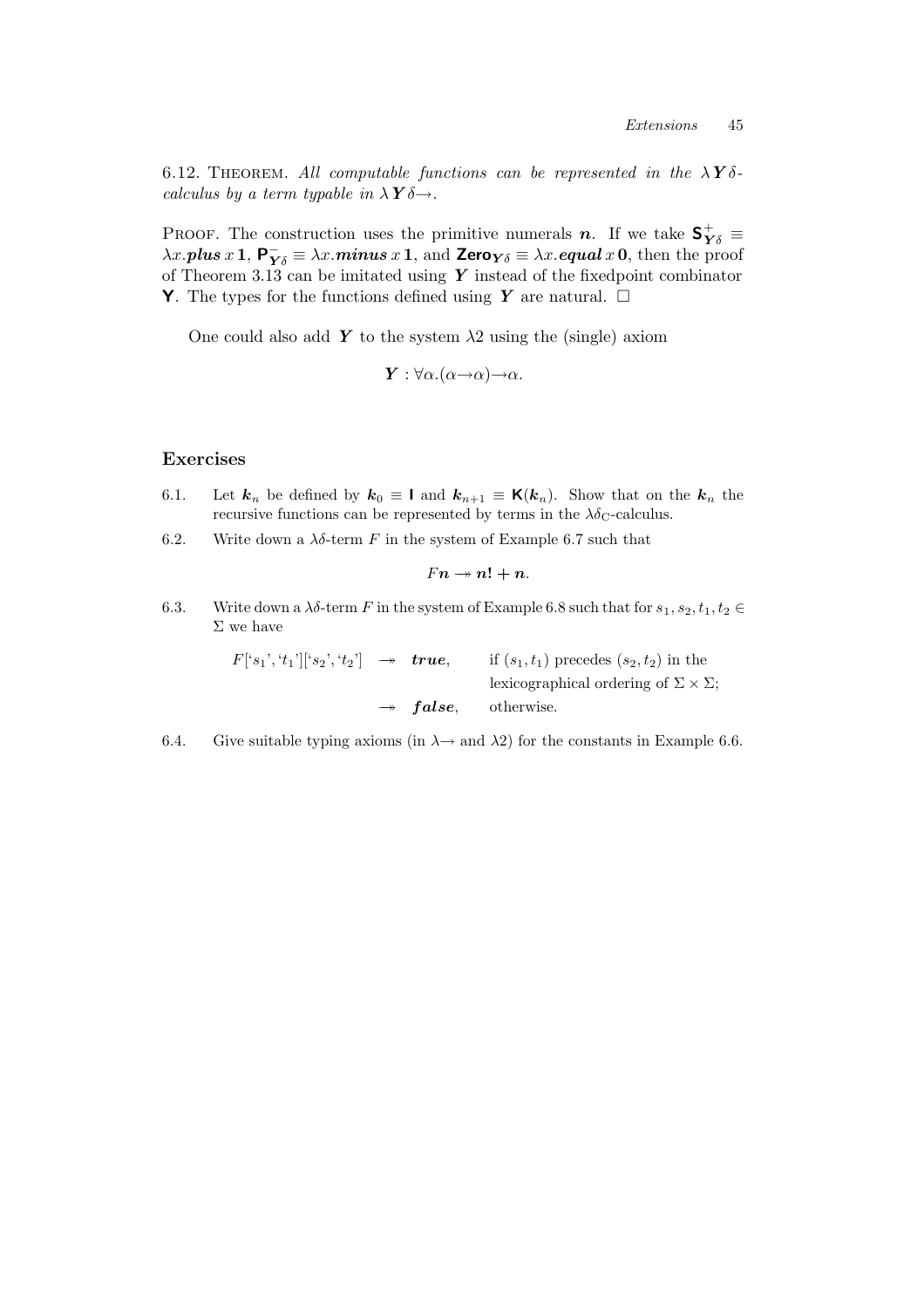6.12. THEOREM. All computable functions can be represented in the  $\lambda Y \delta$ calculus by a term typable in  $\lambda Y \delta \rightarrow$ .

PROOF. The construction uses the primitive numerals  $n$ . If we take  $S_{Y\delta}^+ \equiv$  $\lambda x.$ *plus*  $x \, 1$ ,  $P_{Y\delta}^- \equiv \lambda x.$ *minus*  $x \, 1$ , and **Zero** $_{Y\delta} \equiv \lambda x.$ *equal*  $x \, 0$ , then the proof of Theorem 3.13 can be imitated using  $Y$  instead of the fixedpoint combinator **Y**. The types for the functions defined using **Y** are natural.  $\Box$ 

One could also add  $Y$  to the system  $\lambda 2$  using the (single) axiom

$$
\boldsymbol{Y} : \forall \alpha.(\alpha \rightarrow \alpha) \rightarrow \alpha.
$$

### Exercises

- 6.1. Let  $k_n$  be defined by  $k_0 \equiv 1$  and  $k_{n+1} \equiv K(k_n)$ . Show that on the  $k_n$  the recursive functions can be represented by terms in the  $\lambda \delta_C$ -calculus.
- 6.2. Write down a  $\lambda \delta$ -term F in the system of Example 6.7 such that

$$
Fn \twoheadrightarrow n! + n.
$$

6.3. Write down a  $\lambda \delta$ -term F in the system of Example 6.8 such that for  $s_1, s_2, t_1, t_2 \in$ Σ we have

| $F[`s_1", `t_1"][`s_2", `t_2"] \;\;\twoheadrightarrow\;\; \textit{true},$ |  | if $(s_1, t_1)$ precedes $(s_2, t_2)$ in the         |
|---------------------------------------------------------------------------|--|------------------------------------------------------|
|                                                                           |  | lexicographical ordering of $\Sigma \times \Sigma$ ; |
|                                                                           |  | $\rightarrow$ <b>false</b> , otherwise.              |

6.4. Give suitable typing axioms (in  $\lambda \rightarrow$  and  $\lambda$ 2) for the constants in Example 6.6.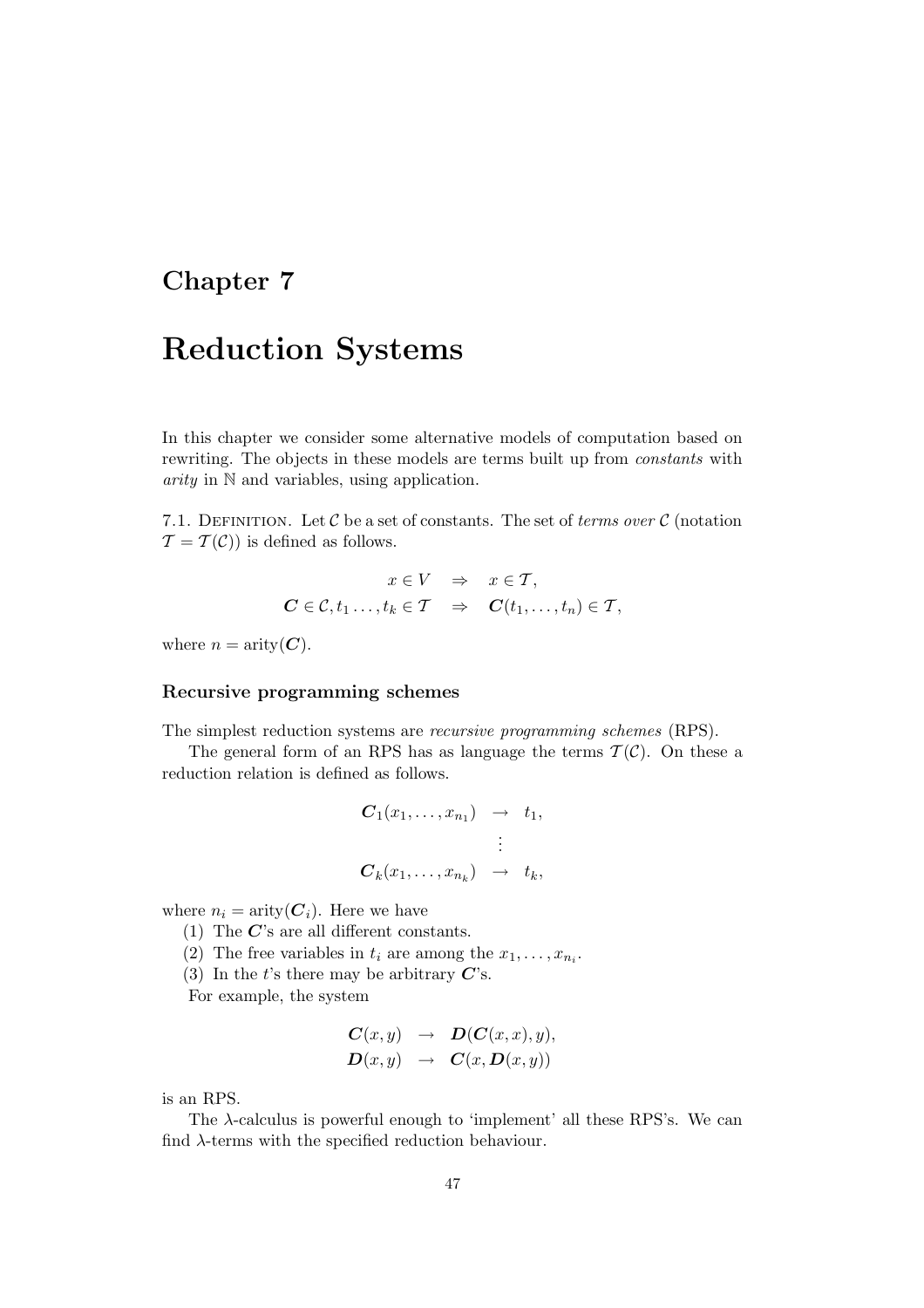## Chapter 7

# Reduction Systems

In this chapter we consider some alternative models of computation based on rewriting. The objects in these models are terms built up from constants with arity in N and variables, using application.

7.1. DEFINITION. Let  $C$  be a set of constants. The set of *terms over*  $C$  (notation  $\mathcal{T} = \mathcal{T}(\mathcal{C})$  is defined as follows.

$$
x \in V \quad \Rightarrow \quad x \in \mathcal{T},
$$
  

$$
C \in \mathcal{C}, t_1 \dots, t_k \in \mathcal{T} \quad \Rightarrow \quad C(t_1, \dots, t_n) \in \mathcal{T},
$$

where  $n = \text{arity}(C)$ .

#### Recursive programming schemes

The simplest reduction systems are recursive programming schemes (RPS).

The general form of an RPS has as language the terms  $\mathcal{T}(\mathcal{C})$ . On these a reduction relation is defined as follows.

$$
C_1(x_1,\ldots,x_{n_1}) \rightarrow t_1,
$$
  

$$
\vdots
$$
  

$$
C_k(x_1,\ldots,x_{n_k}) \rightarrow t_k,
$$

where  $n_i = \text{arity}(\boldsymbol{C}_i)$ . Here we have

- (1) The  $\mathbf{C}'$ 's are all different constants.
- (2) The free variables in  $t_i$  are among the  $x_1, \ldots, x_{n_i}$ .
- (3) In the t's there may be arbitrary  $C$ 's.

For example, the system

$$
\begin{array}{rcl}\n\boldsymbol{C}(x,y) & \rightarrow & \boldsymbol{D}(\boldsymbol{C}(x,x),y), \\
\boldsymbol{D}(x,y) & \rightarrow & \boldsymbol{C}(x,\boldsymbol{D}(x,y))\n\end{array}
$$

is an RPS.

The  $\lambda$ -calculus is powerful enough to 'implement' all these RPS's. We can find  $\lambda$ -terms with the specified reduction behaviour.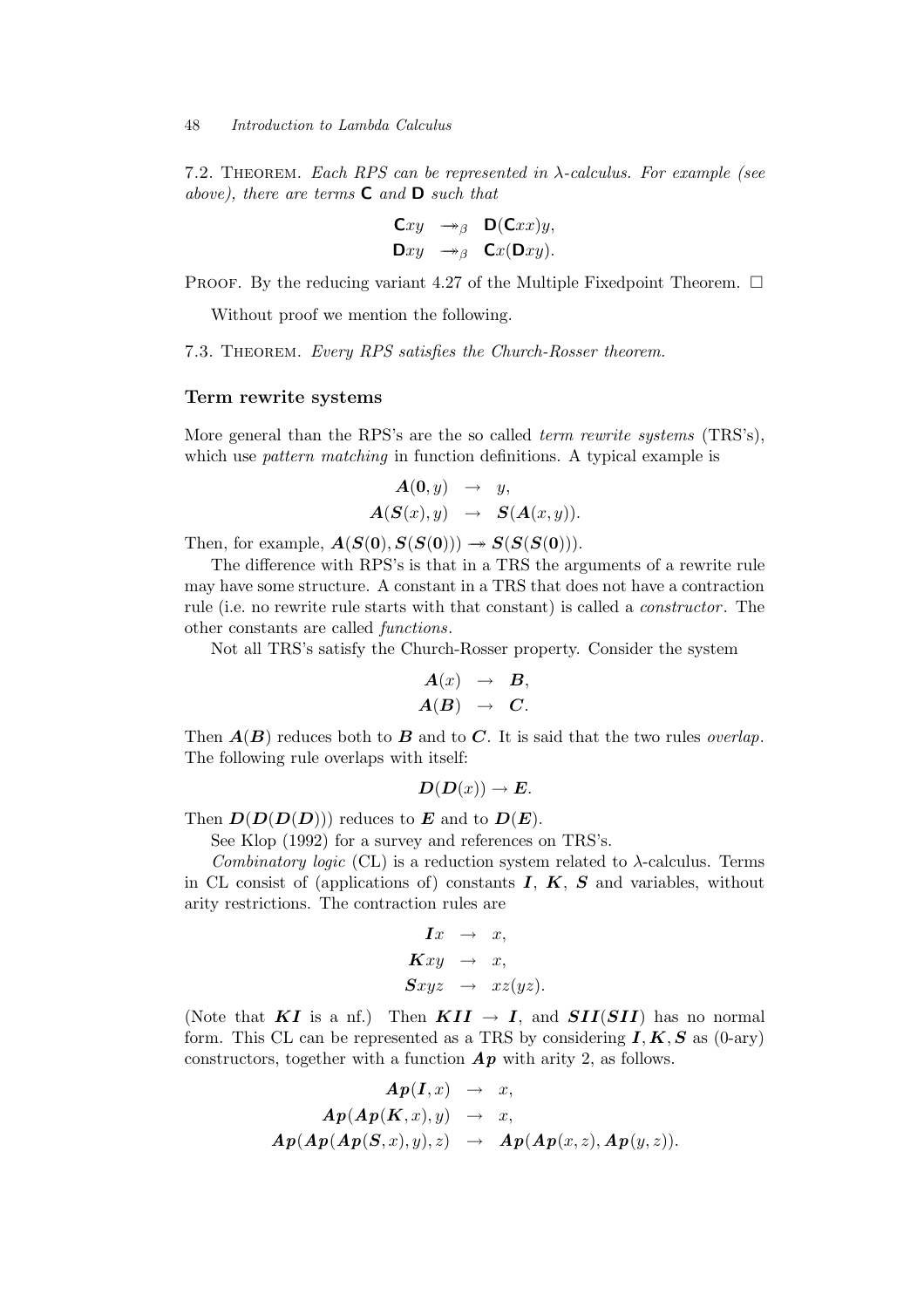7.2. THEOREM. Each RPS can be represented in  $\lambda$ -calculus. For example (see above), there are terms  $C$  and  $D$  such that

$$
\begin{array}{ccc}\n\mathbf{C} xy & \twoheadrightarrow_{\beta} & \mathbf{D}(\mathbf{C} xx)y, \\
\mathbf{D} xy & \twoheadrightarrow_{\beta} & \mathbf{C} x(\mathbf{D} xy).\n\end{array}
$$

PROOF. By the reducing variant 4.27 of the Multiple Fixedpoint Theorem.  $\Box$ 

Without proof we mention the following.

7.3. THEOREM. Every RPS satisfies the Church-Rosser theorem.

#### Term rewrite systems

More general than the RPS's are the so called *term rewrite systems* (TRS's), which use *pattern matching* in function definitions. A typical example is

$$
\begin{array}{rcl} \bm A(\bm 0,y) & \to & y, \\ \bm A(\bm S(x),y) & \to & \bm S(\bm A(x,y)). \end{array}
$$

Then, for example,  $A(S(0),S(S(0))) \rightarrow S(S(S(0))).$ 

The difference with RPS's is that in a TRS the arguments of a rewrite rule may have some structure. A constant in a TRS that does not have a contraction rule (i.e. no rewrite rule starts with that constant) is called a *constructor*. The other constants are called functions.

Not all TRS's satisfy the Church-Rosser property. Consider the system

$$
\begin{array}{rcl} A(x) & \rightarrow & B, \\ A(B) & \rightarrow & C. \end{array}
$$

Then  $A(B)$  reduces both to B and to C. It is said that the two rules *overlap*. The following rule overlaps with itself:

 $D(D(x)) \to E$ .

Then  $D(D(D)(D)))$  reduces to E and to  $D(E)$ .

See Klop (1992) for a survey and references on TRS's.

Combinatory logic (CL) is a reduction system related to  $\lambda$ -calculus. Terms in CL consist of (applications of) constants  $I, K, S$  and variables, without arity restrictions. The contraction rules are

$$
\begin{array}{rcl}\nIx & \to & x, \\
Kxy & \to & x, \\
Sxyz & \to & xz(yz).\n\end{array}
$$

(Note that KI is a nf.) Then  $KII \rightarrow I$ , and  $SII(SII)$  has no normal form. This CL can be represented as a TRS by considering  $I, K, S$  as (0-ary) constructors, together with a function  $Ap$  with arity 2, as follows.

$$
Ap(I, x) \rightarrow x,
$$
  
\n
$$
Ap(AP(K, x), y) \rightarrow x,
$$
  
\n
$$
Ap(AP(S, x), y), z) \rightarrow Ap(AP(x, z), Ap(y, z)).
$$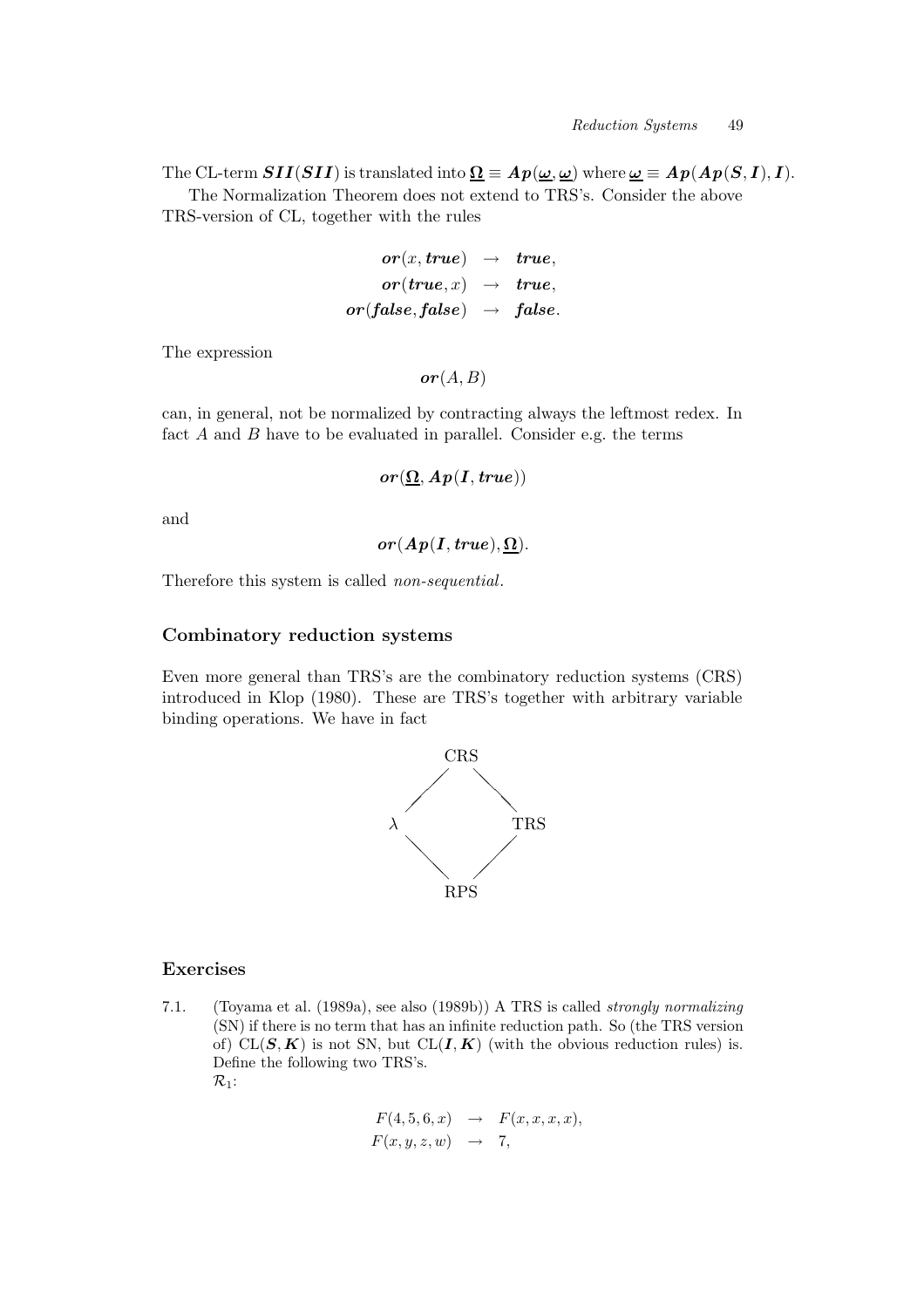The CL-term  $\boldsymbol{SII}(SII)$  is translated into  $\Omega \equiv \boldsymbol{Ap}(\omega, \omega)$  where  $\omega \equiv \boldsymbol{Ap}(\boldsymbol{Ap}(S, I), I)$ .

The Normalization Theorem does not extend to TRS's. Consider the above TRS-version of CL, together with the rules

$$
\begin{array}{rcl} or(x, true) & \rightarrow & true, \\ or (true, x) & \rightarrow & true, \\ or (false, false) & \rightarrow & false. \end{array}
$$

The expression

 $or(A, B)$ 

can, in general, not be normalized by contracting always the leftmost redex. In fact  $A$  and  $B$  have to be evaluated in parallel. Consider e.g. the terms

$$
\bm{or}(\underline{\bm{\Omega}}, \bm{Ap}(\bm{I},\bm{true}))
$$

and

 $or(Ap(I,true), \Omega).$ 

Therefore this system is called non-sequential.

### Combinatory reduction systems

Even more general than TRS's are the combinatory reduction systems (CRS) introduced in Klop (1980). These are TRS's together with arbitrary variable binding operations. We have in fact



#### Exercises

7.1. (Toyama et al. (1989a), see also (1989b)) A TRS is called strongly normalizing (SN) if there is no term that has an infinite reduction path. So (the TRS version of)  $CL(S, K)$  is not SN, but  $CL(I, K)$  (with the obvious reduction rules) is. Define the following two TRS's.  $\mathcal{R}_1$ :

$$
F(4,5,6,x) \rightarrow F(x,x,x,x),
$$
  

$$
F(x,y,z,w) \rightarrow 7,
$$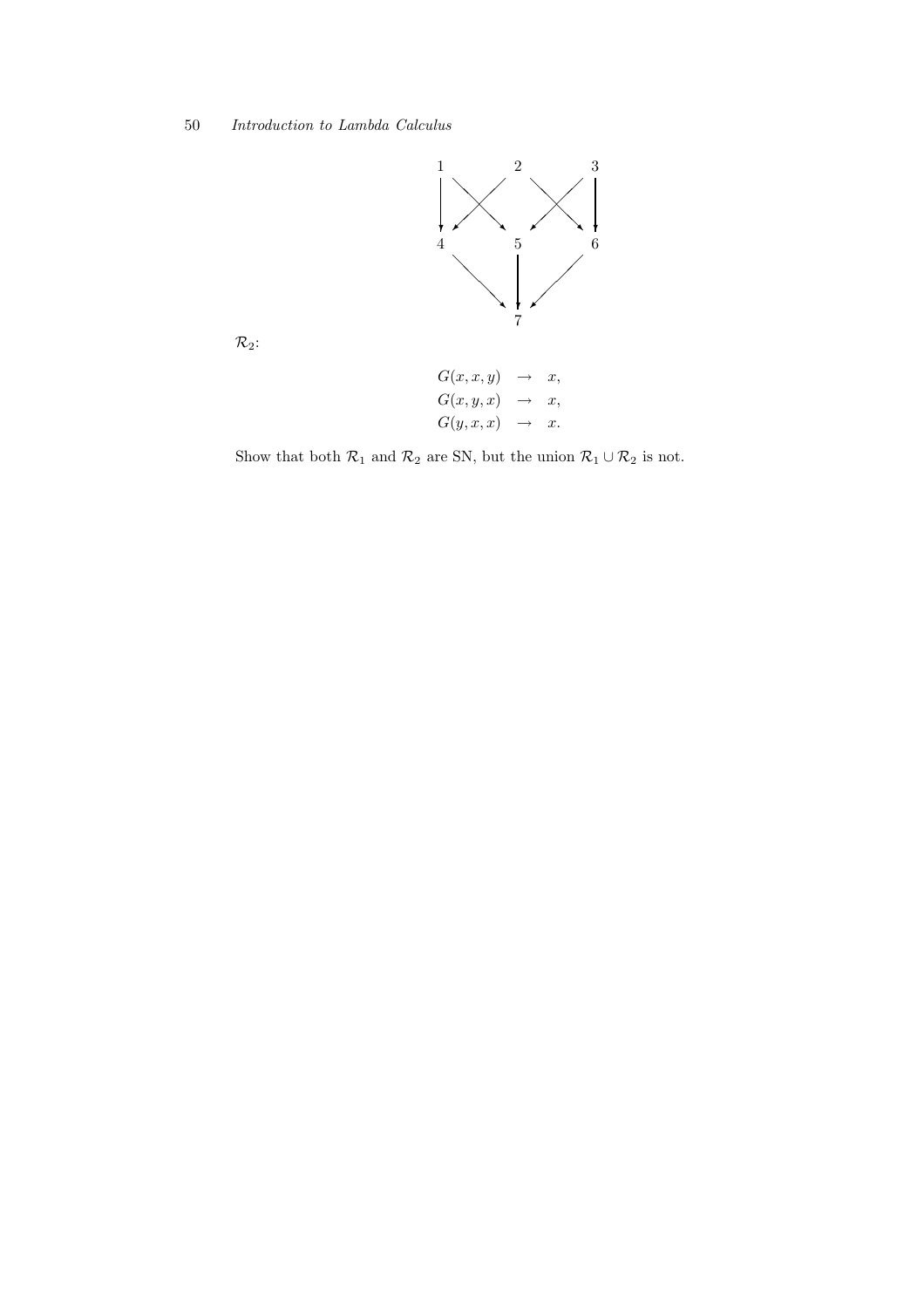

 $\mathcal{R}_2$ :

$$
G(x, x, y) \rightarrow x,
$$
  
\n
$$
G(x, y, x) \rightarrow x,
$$
  
\n
$$
G(y, x, x) \rightarrow x.
$$

Show that both  $\mathcal{R}_1$  and  $\mathcal{R}_2$  are SN, but the union  $\mathcal{R}_1 \cup \mathcal{R}_2$  is not.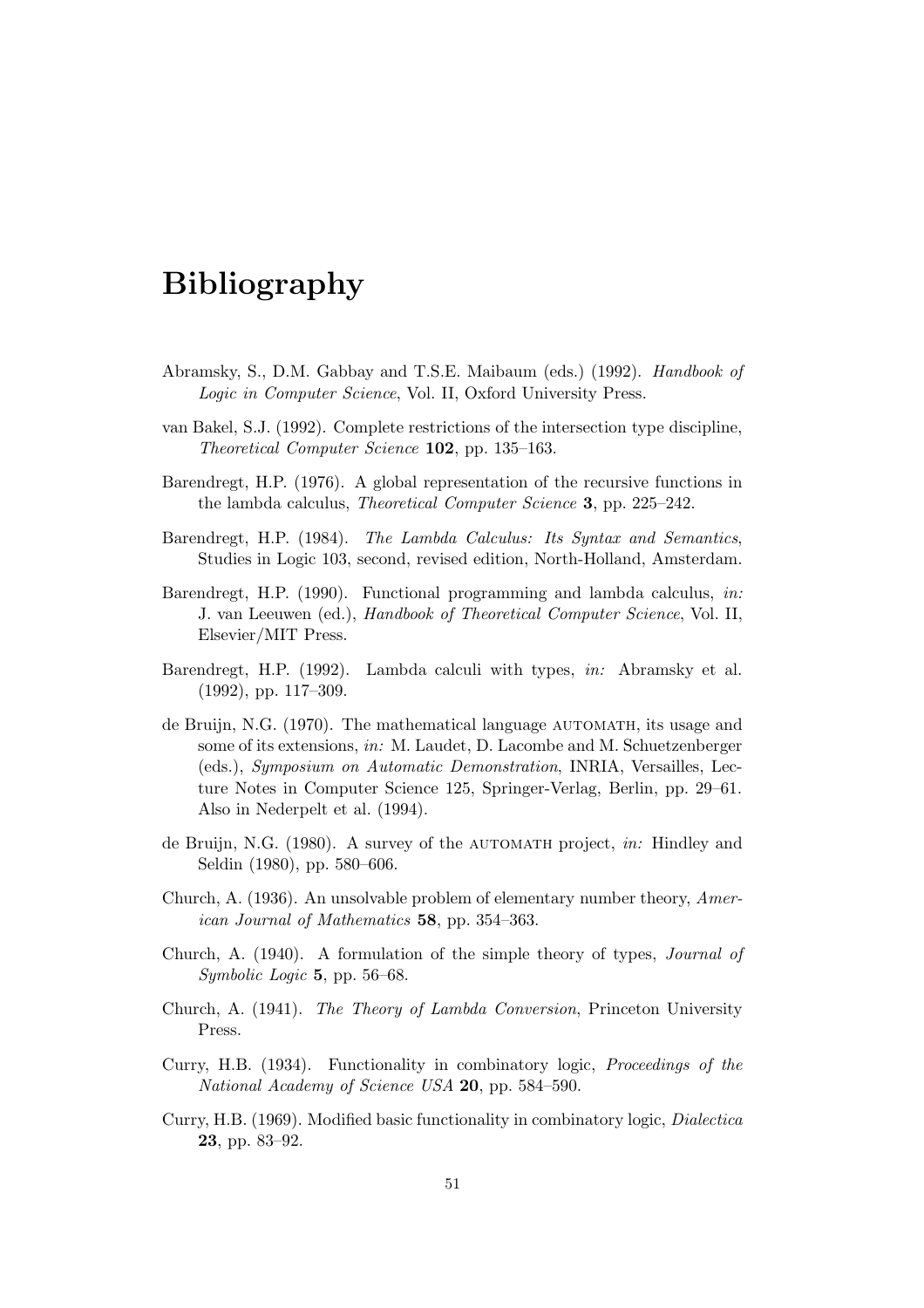# Bibliography

- Abramsky, S., D.M. Gabbay and T.S.E. Maibaum (eds.) (1992). Handbook of Logic in Computer Science, Vol. II, Oxford University Press.
- van Bakel, S.J. (1992). Complete restrictions of the intersection type discipline, Theoretical Computer Science 102, pp. 135–163.
- Barendregt, H.P. (1976). A global representation of the recursive functions in the lambda calculus, Theoretical Computer Science 3, pp. 225–242.
- Barendregt, H.P. (1984). The Lambda Calculus: Its Syntax and Semantics, Studies in Logic 103, second, revised edition, North-Holland, Amsterdam.
- Barendregt, H.P. (1990). Functional programming and lambda calculus, in: J. van Leeuwen (ed.), Handbook of Theoretical Computer Science, Vol. II, Elsevier/MIT Press.
- Barendregt, H.P. (1992). Lambda calculi with types, in: Abramsky et al. (1992), pp. 117–309.
- de Bruijn, N.G. (1970). The mathematical language automath, its usage and some of its extensions, in: M. Laudet, D. Lacombe and M. Schuetzenberger (eds.), Symposium on Automatic Demonstration, INRIA, Versailles, Lecture Notes in Computer Science 125, Springer-Verlag, Berlin, pp. 29–61. Also in Nederpelt et al. (1994).
- de Bruijn, N.G. (1980). A survey of the automath project, in: Hindley and Seldin (1980), pp. 580–606.
- Church, A. (1936). An unsolvable problem of elementary number theory, American Journal of Mathematics 58, pp. 354–363.
- Church, A. (1940). A formulation of the simple theory of types, Journal of Symbolic Logic 5, pp. 56–68.
- Church, A. (1941). The Theory of Lambda Conversion, Princeton University Press.
- Curry, H.B. (1934). Functionality in combinatory logic, Proceedings of the National Academy of Science USA 20, pp. 584–590.
- Curry, H.B. (1969). Modified basic functionality in combinatory logic, Dialectica 23, pp. 83–92.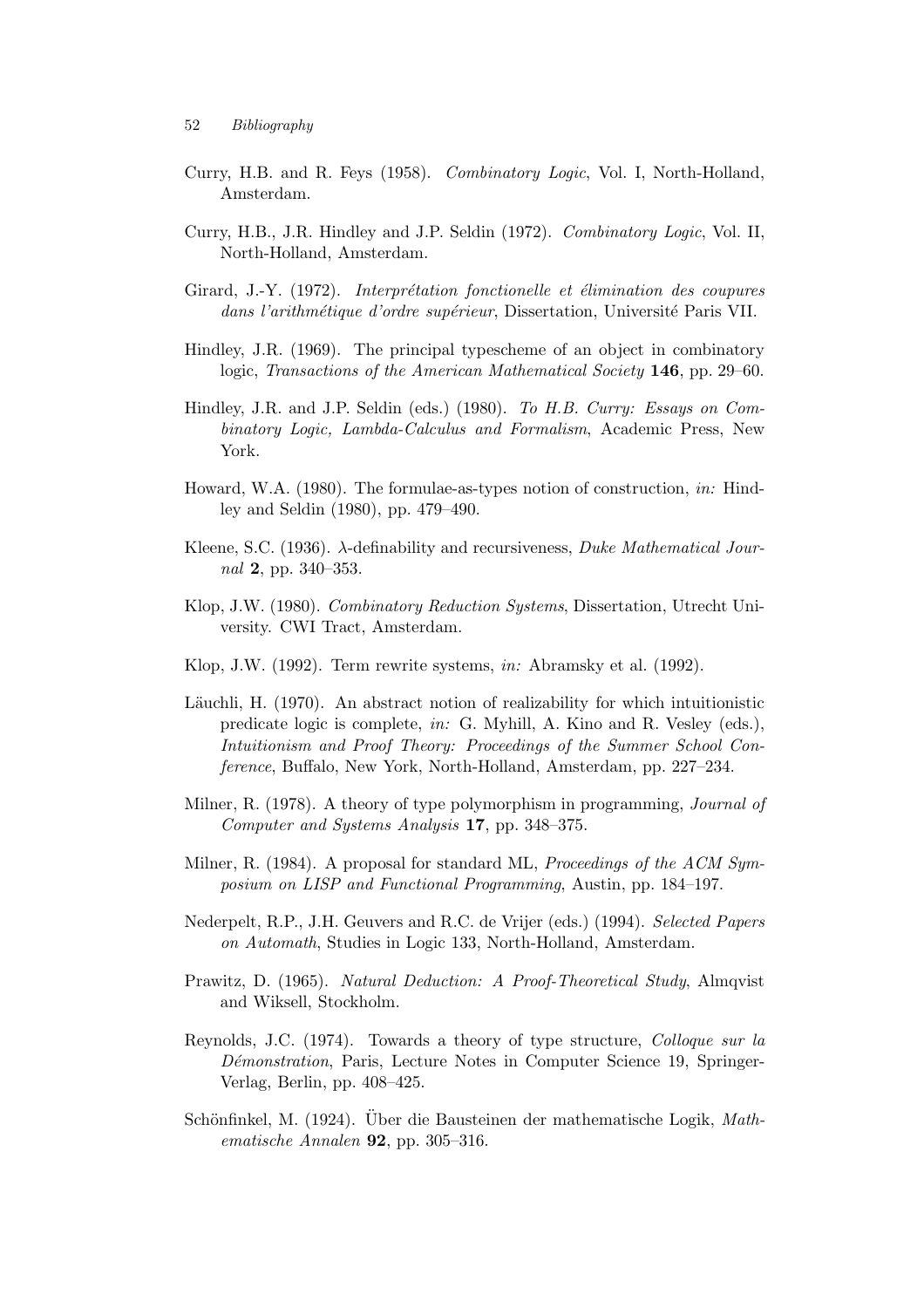- Curry, H.B. and R. Feys (1958). Combinatory Logic, Vol. I, North-Holland, Amsterdam.
- Curry, H.B., J.R. Hindley and J.P. Seldin (1972). Combinatory Logic, Vol. II, North-Holland, Amsterdam.
- Girard, J.-Y.  $(1972)$ . Interprétation fonctionelle et élimination des coupures dans l'arithmétique d'ordre supérieur, Dissertation, Université Paris VII.
- Hindley, J.R. (1969). The principal typescheme of an object in combinatory logic, Transactions of the American Mathematical Society 146, pp. 29–60.
- Hindley, J.R. and J.P. Seldin (eds.) (1980). To H.B. Curry: Essays on Combinatory Logic, Lambda-Calculus and Formalism, Academic Press, New York.
- Howard, W.A. (1980). The formulae-as-types notion of construction, in: Hindley and Seldin (1980), pp. 479–490.
- Kleene, S.C. (1936). λ-definability and recursiveness, Duke Mathematical Journal 2, pp. 340–353.
- Klop, J.W. (1980). Combinatory Reduction Systems, Dissertation, Utrecht University. CWI Tract, Amsterdam.
- Klop, J.W. (1992). Term rewrite systems, in: Abramsky et al. (1992).
- Läuchli, H. (1970). An abstract notion of realizability for which intuitionistic predicate logic is complete, in: G. Myhill, A. Kino and R. Vesley (eds.), Intuitionism and Proof Theory: Proceedings of the Summer School Conference, Buffalo, New York, North-Holland, Amsterdam, pp. 227–234.
- Milner, R. (1978). A theory of type polymorphism in programming, *Journal of* Computer and Systems Analysis 17, pp. 348–375.
- Milner, R. (1984). A proposal for standard ML, Proceedings of the ACM Symposium on LISP and Functional Programming, Austin, pp. 184–197.
- Nederpelt, R.P., J.H. Geuvers and R.C. de Vrijer (eds.) (1994). Selected Papers on Automath, Studies in Logic 133, North-Holland, Amsterdam.
- Prawitz, D. (1965). Natural Deduction: A Proof-Theoretical Study, Almqvist and Wiksell, Stockholm.
- Reynolds, J.C. (1974). Towards a theory of type structure, Colloque sur la Démonstration, Paris, Lecture Notes in Computer Science 19, Springer-Verlag, Berlin, pp. 408–425.
- Schönfinkel, M. (1924). Über die Bausteinen der mathematische Logik,  $Math$ ematische Annalen 92, pp. 305–316.